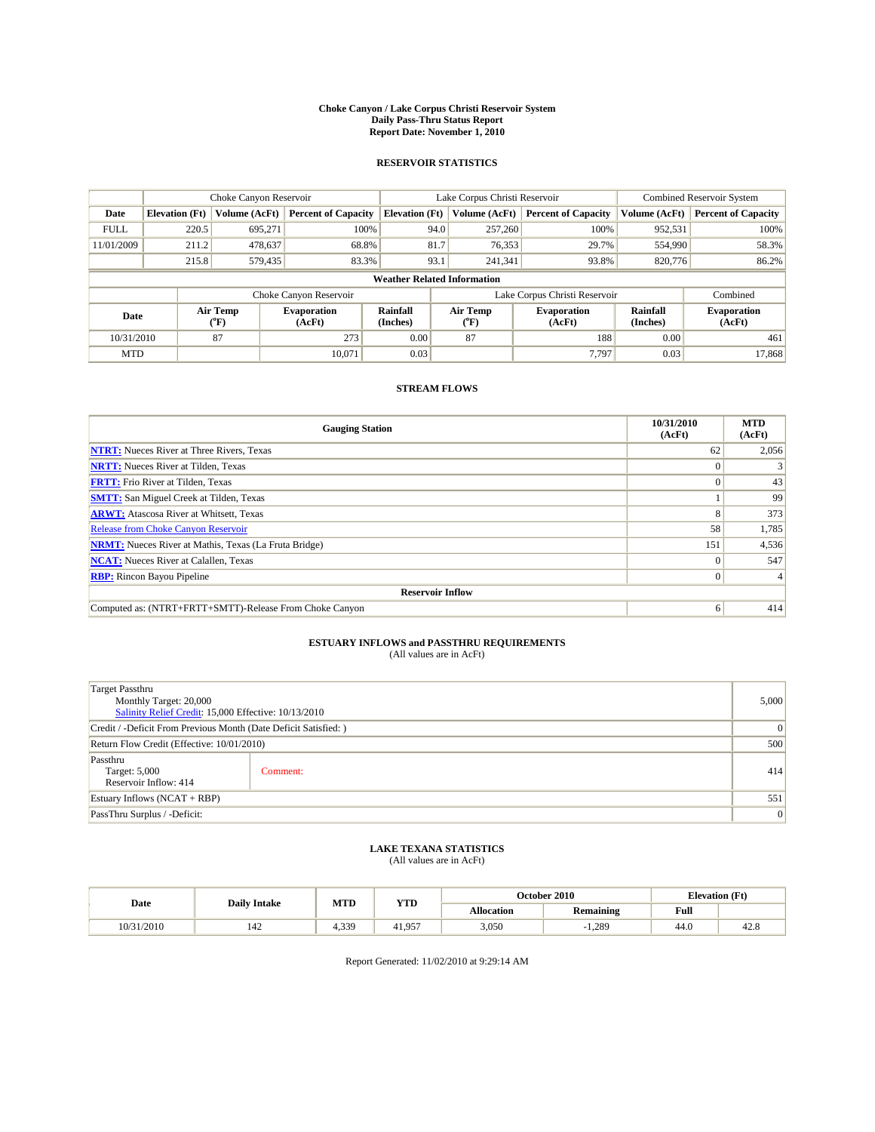#### **Choke Canyon / Lake Corpus Christi Reservoir System Daily Pass-Thru Status Report Report Date: November 1, 2010**

#### **RESERVOIR STATISTICS**

|             | Choke Canyon Reservoir |                  |                              |                                    | Lake Corpus Christi Reservoir | Combined Reservoir System     |                      |                              |
|-------------|------------------------|------------------|------------------------------|------------------------------------|-------------------------------|-------------------------------|----------------------|------------------------------|
| Date        | <b>Elevation</b> (Ft)  | Volume (AcFt)    | <b>Percent of Capacity</b>   | <b>Elevation (Ft)</b>              | Volume (AcFt)                 | <b>Percent of Capacity</b>    | Volume (AcFt)        | <b>Percent of Capacity</b>   |
| <b>FULL</b> | 220.5                  | 695,271          | 100%                         | 94.0                               | 257,260                       | 100%                          | 952,531              | 100%                         |
| 11/01/2009  | 211.2                  | 478,637          | 68.8%                        | 81.7                               | 76,353                        | 29.7%                         | 554,990              | 58.3%                        |
|             | 215.8                  | 579,435          | 83.3%                        | 93.1                               | 241,341                       | 93.8%                         | 820,776              | 86.2%                        |
|             |                        |                  |                              | <b>Weather Related Information</b> |                               |                               |                      |                              |
|             |                        |                  | Choke Canyon Reservoir       |                                    |                               | Lake Corpus Christi Reservoir |                      | Combined                     |
| Date        |                        | Air Temp<br>(°F) | <b>Evaporation</b><br>(AcFt) | <b>Rainfall</b><br>(Inches)        | Air Temp<br>$(^{\circ}F)$     | <b>Evaporation</b><br>(AcFt)  | Rainfall<br>(Inches) | <b>Evaporation</b><br>(AcFt) |
| 10/31/2010  |                        | 87               | 273                          | 0.00                               | 87                            | 188                           | 0.00                 | 461                          |
| <b>MTD</b>  |                        |                  | 10.071                       | 0.03                               |                               | 7.797                         | 0.03                 | 17.868                       |

### **STREAM FLOWS**

| <b>Gauging Station</b>                                       | 10/31/2010<br>(AcFt) | <b>MTD</b><br>(AcFt) |  |  |  |  |
|--------------------------------------------------------------|----------------------|----------------------|--|--|--|--|
| <b>NTRT:</b> Nueces River at Three Rivers, Texas             | 62                   | 2,056                |  |  |  |  |
| <b>NRTT:</b> Nueces River at Tilden, Texas                   |                      |                      |  |  |  |  |
| <b>FRTT:</b> Frio River at Tilden, Texas                     |                      | 43                   |  |  |  |  |
| <b>SMTT:</b> San Miguel Creek at Tilden, Texas               |                      | 99                   |  |  |  |  |
| <b>ARWT:</b> Atascosa River at Whitsett, Texas               | 8                    | 373                  |  |  |  |  |
| <b>Release from Choke Canyon Reservoir</b>                   | 58                   | 1,785                |  |  |  |  |
| <b>NRMT:</b> Nueces River at Mathis, Texas (La Fruta Bridge) | 151                  | 4,536                |  |  |  |  |
| <b>NCAT:</b> Nueces River at Calallen, Texas                 | $\theta$             | 547                  |  |  |  |  |
| <b>RBP:</b> Rincon Bayou Pipeline                            | $\overline{0}$       |                      |  |  |  |  |
| <b>Reservoir Inflow</b>                                      |                      |                      |  |  |  |  |
| Computed as: (NTRT+FRTT+SMTT)-Release From Choke Canyon      | 6                    | 414                  |  |  |  |  |

## **ESTUARY INFLOWS and PASSTHRU REQUIREMENTS**

|  | (All values are in AcFt) |
|--|--------------------------|
|--|--------------------------|

| Target Passthru<br>Monthly Target: 20,000<br>Salinity Relief Credit: 15,000 Effective: 10/13/2010 |          | 5,000 |
|---------------------------------------------------------------------------------------------------|----------|-------|
| Credit / -Deficit From Previous Month (Date Deficit Satisfied: )                                  |          | 0     |
| Return Flow Credit (Effective: 10/01/2010)                                                        |          | 500   |
| Passthru<br>Target: 5,000<br>Reservoir Inflow: 414                                                | Comment: | 414   |
| Estuary Inflows $(NCAT + RBP)$                                                                    |          | 551   |
| PassThru Surplus / -Deficit:                                                                      |          | 0     |

## **LAKE TEXANA STATISTICS** (All values are in AcFt)

| Date       | <b>Daily Intake</b> | <b>MTD</b> |        |                   | October 2010 |      | <b>Elevation</b> (Ft) |
|------------|---------------------|------------|--------|-------------------|--------------|------|-----------------------|
|            |                     |            | YTD    | <b>Allocation</b> | Remaining    | Full |                       |
| 10/31/2010 | 142                 | 4,339      | 41.957 | 3.050             | 1.289        | 44.0 | 42.6                  |

Report Generated: 11/02/2010 at 9:29:14 AM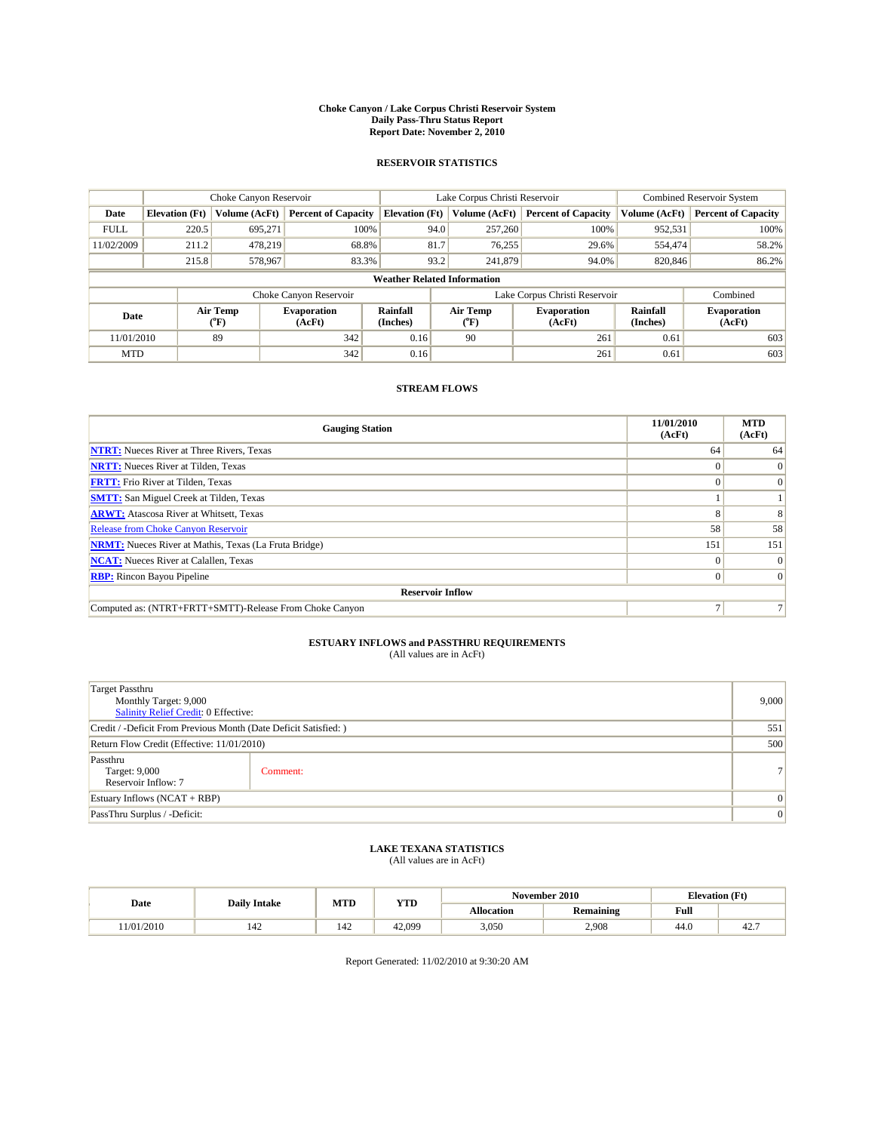#### **Choke Canyon / Lake Corpus Christi Reservoir System Daily Pass-Thru Status Report Report Date: November 2, 2010**

#### **RESERVOIR STATISTICS**

|             |                       | Choke Canyon Reservoir |                              |                                    | Lake Corpus Christi Reservoir | <b>Combined Reservoir System</b> |                      |                              |
|-------------|-----------------------|------------------------|------------------------------|------------------------------------|-------------------------------|----------------------------------|----------------------|------------------------------|
| Date        | <b>Elevation</b> (Ft) | Volume (AcFt)          | <b>Percent of Capacity</b>   | <b>Elevation (Ft)</b>              | Volume (AcFt)                 | <b>Percent of Capacity</b>       | Volume (AcFt)        | <b>Percent of Capacity</b>   |
| <b>FULL</b> | 220.5                 | 695,271                | 100%                         | 94.0                               | 257,260                       | 100%                             | 952,531              | 100%                         |
| 11/02/2009  | 211.2                 | 478,219                | 68.8%                        | 81.7                               | 76,255                        | 29.6%                            | 554,474              | 58.2%                        |
|             | 215.8                 | 578,967                | 83.3%                        | 93.2                               | 241,879                       | 94.0%                            | 820,846              | 86.2%                        |
|             |                       |                        |                              | <b>Weather Related Information</b> |                               |                                  |                      |                              |
|             |                       |                        | Choke Canyon Reservoir       |                                    |                               | Lake Corpus Christi Reservoir    |                      | Combined                     |
| Date        |                       | Air Temp<br>(°F)       | <b>Evaporation</b><br>(AcFt) | Rainfall<br>(Inches)               | Air Temp<br>(°F)              | <b>Evaporation</b><br>(AcFt)     | Rainfall<br>(Inches) | <b>Evaporation</b><br>(AcFt) |
| 11/01/2010  |                       | 89                     | 342                          | 0.16                               | 90                            | 261                              | 0.61                 | 603                          |
| <b>MTD</b>  |                       |                        | 342                          | 0.16                               |                               | 261                              | 0.61                 | 603                          |

### **STREAM FLOWS**

| <b>Gauging Station</b>                                       | 11/01/2010<br>(AcFt) | <b>MTD</b><br>(AcFt) |  |  |  |  |
|--------------------------------------------------------------|----------------------|----------------------|--|--|--|--|
| <b>NTRT:</b> Nueces River at Three Rivers, Texas             | 64                   | 64                   |  |  |  |  |
| <b>NRTT:</b> Nueces River at Tilden, Texas                   |                      | $\Omega$             |  |  |  |  |
| <b>FRTT:</b> Frio River at Tilden, Texas                     |                      | $\Omega$             |  |  |  |  |
| <b>SMTT:</b> San Miguel Creek at Tilden, Texas               |                      |                      |  |  |  |  |
| <b>ARWT:</b> Atascosa River at Whitsett, Texas               | 75                   | 8                    |  |  |  |  |
| Release from Choke Canyon Reservoir                          | 58                   | 58                   |  |  |  |  |
| <b>NRMT:</b> Nueces River at Mathis, Texas (La Fruta Bridge) | 151                  | 151                  |  |  |  |  |
| <b>NCAT:</b> Nueces River at Calallen, Texas                 | 0                    |                      |  |  |  |  |
| <b>RBP:</b> Rincon Bayou Pipeline                            |                      |                      |  |  |  |  |
| <b>Reservoir Inflow</b>                                      |                      |                      |  |  |  |  |
| Computed as: (NTRT+FRTT+SMTT)-Release From Choke Canyon      |                      |                      |  |  |  |  |

# **ESTUARY INFLOWS and PASSTHRU REQUIREMENTS**<br>(All values are in AcFt)

| <b>Target Passthru</b><br>Monthly Target: 9,000<br>Salinity Relief Credit: 0 Effective: |          | 9,000          |
|-----------------------------------------------------------------------------------------|----------|----------------|
| Credit / -Deficit From Previous Month (Date Deficit Satisfied: )                        |          | 551            |
| Return Flow Credit (Effective: 11/01/2010)                                              |          | 500            |
| Passthru<br>Target: 9,000<br>Reservoir Inflow: 7                                        | Comment: | 7 <sup>1</sup> |
| Estuary Inflows $(NCAT + RBP)$                                                          |          | $\Omega$       |
| PassThru Surplus / -Deficit:                                                            |          | 0              |

## **LAKE TEXANA STATISTICS** (All values are in AcFt)

| Date      | <b>Daily Intake</b> | <b>MTD</b> | YTD    |            | November 2010    | <b>Elevation</b> (Ft) |               |
|-----------|---------------------|------------|--------|------------|------------------|-----------------------|---------------|
|           |                     |            |        | Allocation | <b>Remaining</b> | <b>Full</b>           |               |
| 1/01/2010 | 142                 | 142        | 42.099 | 3,050      | 2,908            | 44.0                  | $\sim$<br>44. |

Report Generated: 11/02/2010 at 9:30:20 AM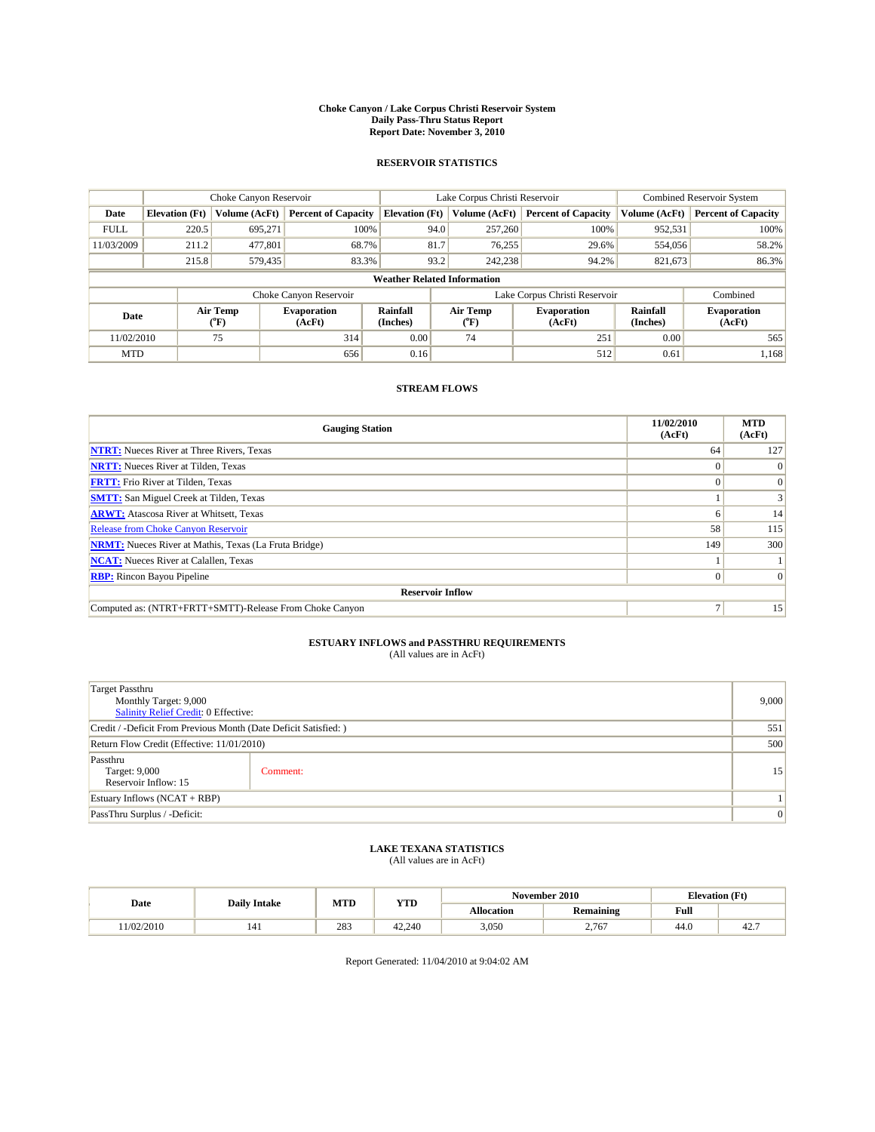#### **Choke Canyon / Lake Corpus Christi Reservoir System Daily Pass-Thru Status Report Report Date: November 3, 2010**

#### **RESERVOIR STATISTICS**

|             |                       | Choke Canyon Reservoir |                              |                                    | Lake Corpus Christi Reservoir | Combined Reservoir System     |                      |                              |
|-------------|-----------------------|------------------------|------------------------------|------------------------------------|-------------------------------|-------------------------------|----------------------|------------------------------|
| Date        | <b>Elevation</b> (Ft) | Volume (AcFt)          | <b>Percent of Capacity</b>   | <b>Elevation</b> (Ft)              | Volume (AcFt)                 | <b>Percent of Capacity</b>    | Volume (AcFt)        | <b>Percent of Capacity</b>   |
| <b>FULL</b> | 220.5                 | 695,271                | 100%                         | 94.0                               | 257,260                       | 100%                          | 952,531              | 100%                         |
| 11/03/2009  | 211.2                 | 477,801                | 68.7%                        | 81.7                               | 76,255                        | 29.6%                         | 554,056              | 58.2%                        |
|             | 215.8                 | 579,435                | 83.3%                        | 93.2                               | 242,238                       | 94.2%                         | 821,673              | 86.3%                        |
|             |                       |                        |                              | <b>Weather Related Information</b> |                               |                               |                      |                              |
|             |                       |                        | Choke Canyon Reservoir       |                                    |                               | Lake Corpus Christi Reservoir |                      | Combined                     |
| Date        |                       | Air Temp<br>(°F)       | <b>Evaporation</b><br>(AcFt) | <b>Rainfall</b><br>(Inches)        | Air Temp<br>(°F)              | <b>Evaporation</b><br>(AcFt)  | Rainfall<br>(Inches) | <b>Evaporation</b><br>(AcFt) |
| 11/02/2010  |                       | 75                     | 314                          | 0.00                               | 74                            | 251                           | 0.00                 | 565                          |
| <b>MTD</b>  |                       |                        | 656                          | 0.16                               |                               | 512                           | 0.61                 | 1,168                        |

### **STREAM FLOWS**

| <b>Gauging Station</b>                                       | 11/02/2010<br>(AcFt) | <b>MTD</b><br>(AcFt) |  |  |  |  |
|--------------------------------------------------------------|----------------------|----------------------|--|--|--|--|
| <b>NTRT:</b> Nueces River at Three Rivers, Texas             | 64                   | 127                  |  |  |  |  |
| <b>NRTT:</b> Nueces River at Tilden, Texas                   |                      |                      |  |  |  |  |
| <b>FRTT:</b> Frio River at Tilden, Texas                     |                      | $\Omega$             |  |  |  |  |
| <b>SMTT:</b> San Miguel Creek at Tilden, Texas               |                      |                      |  |  |  |  |
| <b>ARWT:</b> Atascosa River at Whitsett, Texas               | h                    | 14                   |  |  |  |  |
| <b>Release from Choke Canyon Reservoir</b>                   | 58                   | 115                  |  |  |  |  |
| <b>NRMT:</b> Nueces River at Mathis, Texas (La Fruta Bridge) | 149                  | 300                  |  |  |  |  |
| <b>NCAT:</b> Nueces River at Calallen, Texas                 |                      |                      |  |  |  |  |
| <b>RBP:</b> Rincon Bayou Pipeline                            | $\Omega$             |                      |  |  |  |  |
| <b>Reservoir Inflow</b>                                      |                      |                      |  |  |  |  |
| Computed as: (NTRT+FRTT+SMTT)-Release From Choke Canyon      |                      | 15                   |  |  |  |  |

# **ESTUARY INFLOWS and PASSTHRU REQUIREMENTS**<br>(All values are in AcFt)

| <b>Target Passthru</b><br>Monthly Target: 9,000<br>Salinity Relief Credit: 0 Effective: |          |     |  |
|-----------------------------------------------------------------------------------------|----------|-----|--|
| Credit / -Deficit From Previous Month (Date Deficit Satisfied: )                        |          | 551 |  |
| Return Flow Credit (Effective: 11/01/2010)                                              |          | 500 |  |
| Passthru<br>Target: 9,000<br>Reservoir Inflow: 15                                       | Comment: | 15  |  |
| Estuary Inflows $(NCAT + RBP)$                                                          |          |     |  |
| PassThru Surplus / -Deficit:                                                            |          |     |  |

## **LAKE TEXANA STATISTICS** (All values are in AcFt)

|           | <b>Daily Intake</b> |     | November 2010<br><b>MTD</b><br>YTD |            |                  | <b>Elevation</b> (Ft) |               |
|-----------|---------------------|-----|------------------------------------|------------|------------------|-----------------------|---------------|
| Date      |                     |     |                                    | Allocation | <b>Remaining</b> | <b>Full</b>           |               |
| 1/02/2010 | 141                 | 283 | 42.240                             | 3,050      | 2,767            | 44.0                  | $\sim$<br>44. |

Report Generated: 11/04/2010 at 9:04:02 AM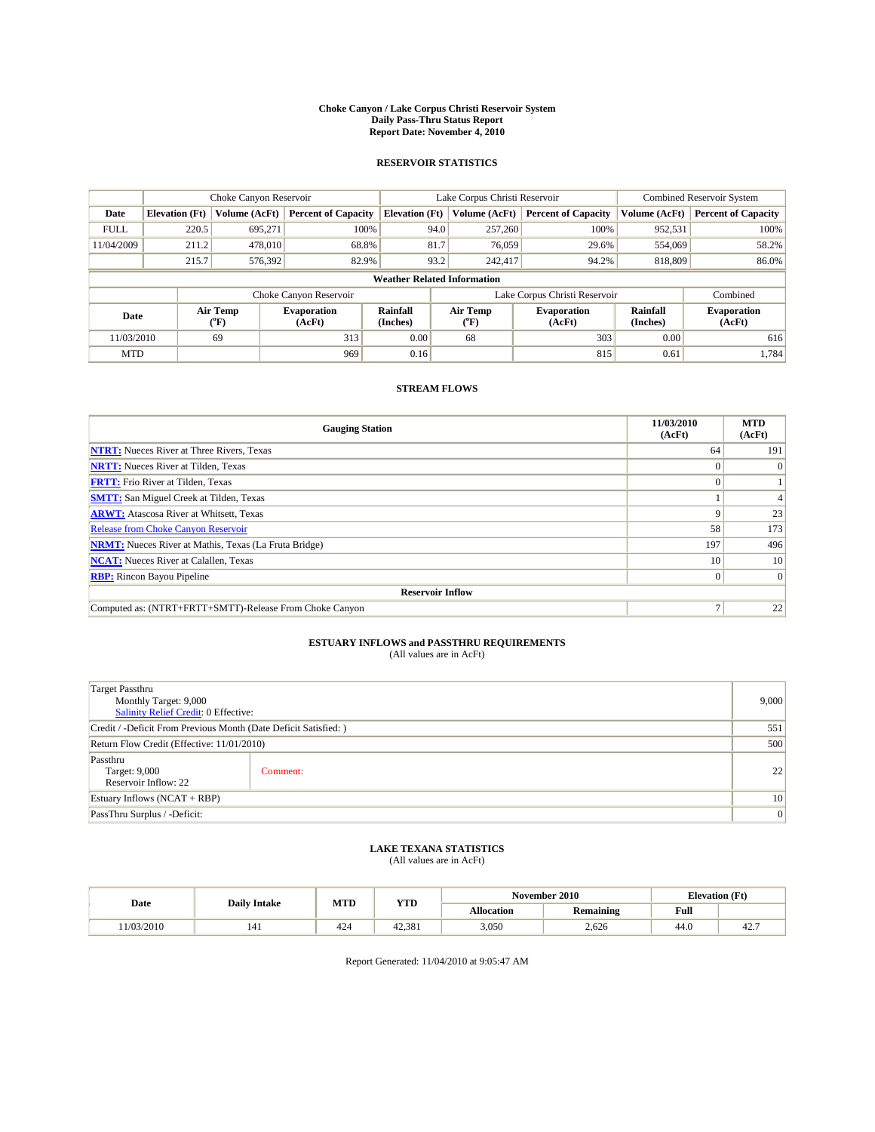#### **Choke Canyon / Lake Corpus Christi Reservoir System Daily Pass-Thru Status Report Report Date: November 4, 2010**

#### **RESERVOIR STATISTICS**

|             | Choke Canyon Reservoir |                  |                              |                                    | Lake Corpus Christi Reservoir |                       |                               |                             | Combined Reservoir System    |  |
|-------------|------------------------|------------------|------------------------------|------------------------------------|-------------------------------|-----------------------|-------------------------------|-----------------------------|------------------------------|--|
| Date        | <b>Elevation</b> (Ft)  | Volume (AcFt)    | <b>Percent of Capacity</b>   | <b>Elevation</b> (Ft)              |                               | Volume (AcFt)         | <b>Percent of Capacity</b>    | Volume (AcFt)               | <b>Percent of Capacity</b>   |  |
| <b>FULL</b> | 220.5                  | 695.271          | 100%                         |                                    | 94.0                          | 257,260               | 100%                          | 952,531                     | 100%                         |  |
| 11/04/2009  | 211.2                  | 478,010          | 68.8%                        |                                    | 81.7                          | 76,059                | 29.6%                         | 554,069                     | 58.2%                        |  |
|             | 215.7                  | 576.392          | 82.9%                        |                                    | 93.2                          | 242,417               | 94.2%                         | 818,809                     | 86.0%                        |  |
|             |                        |                  |                              | <b>Weather Related Information</b> |                               |                       |                               |                             |                              |  |
|             |                        |                  | Choke Canyon Reservoir       |                                    |                               |                       | Lake Corpus Christi Reservoir |                             | Combined                     |  |
| Date        |                        | Air Temp<br>(°F) | <b>Evaporation</b><br>(AcFt) | <b>Rainfall</b><br>(Inches)        |                               | Air Temp<br>$(^{o}F)$ | <b>Evaporation</b><br>(AcFt)  | <b>Rainfall</b><br>(Inches) | <b>Evaporation</b><br>(AcFt) |  |
| 11/03/2010  |                        | 69               | 313                          | 0.00                               |                               | 68                    | 303                           | 0.00                        | 616                          |  |
| <b>MTD</b>  |                        |                  | 969                          | 0.16                               |                               |                       | 815                           | 0.61                        | 1,784                        |  |

### **STREAM FLOWS**

| <b>Gauging Station</b>                                       | 11/03/2010<br>(AcFt) | <b>MTD</b><br>(AcFt) |
|--------------------------------------------------------------|----------------------|----------------------|
| <b>NTRT:</b> Nueces River at Three Rivers, Texas             | 64                   | 191                  |
| <b>NRTT:</b> Nueces River at Tilden, Texas                   | $\theta$             |                      |
| <b>FRTT:</b> Frio River at Tilden, Texas                     |                      |                      |
| <b>SMTT:</b> San Miguel Creek at Tilden, Texas               |                      |                      |
| <b>ARWT:</b> Atascosa River at Whitsett, Texas               |                      | 23                   |
| <b>Release from Choke Canyon Reservoir</b>                   | 58                   | 173                  |
| <b>NRMT:</b> Nueces River at Mathis, Texas (La Fruta Bridge) | 197                  | 496                  |
| <b>NCAT:</b> Nueces River at Calallen, Texas                 | 10 <sup>1</sup>      | 10 <sub>1</sub>      |
| <b>RBP:</b> Rincon Bayou Pipeline                            | $\overline{0}$       | $\Omega$             |
| <b>Reservoir Inflow</b>                                      |                      |                      |
| Computed as: (NTRT+FRTT+SMTT)-Release From Choke Canyon      |                      | 22                   |

# **ESTUARY INFLOWS and PASSTHRU REQUIREMENTS**<br>(All values are in AcFt)

| <b>Target Passthru</b><br>Monthly Target: 9,000<br>Salinity Relief Credit: 0 Effective: |          |    |  |  |
|-----------------------------------------------------------------------------------------|----------|----|--|--|
| Credit / -Deficit From Previous Month (Date Deficit Satisfied: )                        |          |    |  |  |
| Return Flow Credit (Effective: 11/01/2010)                                              |          |    |  |  |
| Passthru<br>Target: 9,000<br>Reservoir Inflow: 22                                       | Comment: | 22 |  |  |
| Estuary Inflows $(NCAT + RBP)$                                                          |          |    |  |  |
| PassThru Surplus / -Deficit:                                                            |          |    |  |  |

## **LAKE TEXANA STATISTICS** (All values are in AcFt)

|           | <b>Daily Intake</b> | <b>MTD</b> | YTD    |                   | November 2010    | <b>Elevation</b> (Ft) |     |
|-----------|---------------------|------------|--------|-------------------|------------------|-----------------------|-----|
| Date      |                     |            |        | <b>Allocation</b> | <b>Remaining</b> | Full                  |     |
| 1/03/2010 | 141                 | 424        | 42.381 | 3.050             | 2.626            | 44.0                  | 44. |

Report Generated: 11/04/2010 at 9:05:47 AM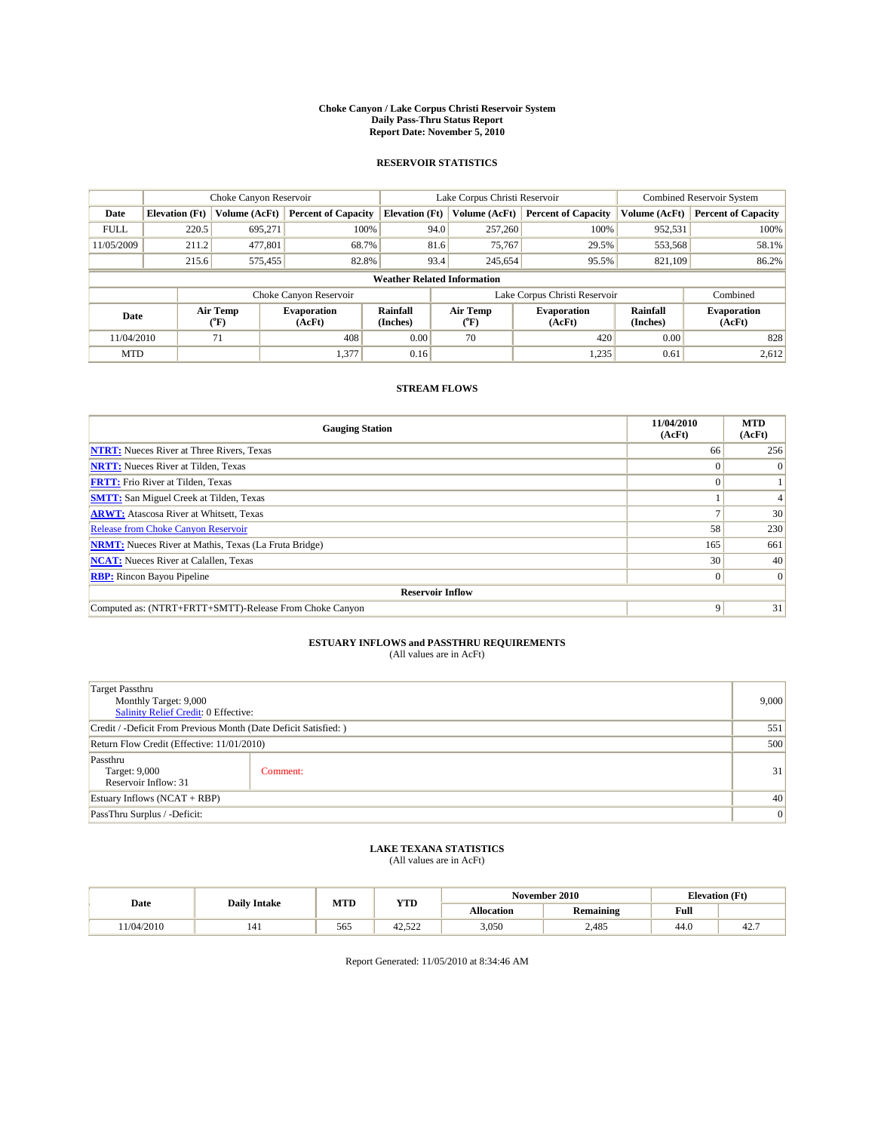#### **Choke Canyon / Lake Corpus Christi Reservoir System Daily Pass-Thru Status Report Report Date: November 5, 2010**

#### **RESERVOIR STATISTICS**

|             | Choke Canyon Reservoir |                  |                              |                                    | Lake Corpus Christi Reservoir | <b>Combined Reservoir System</b> |                             |                              |
|-------------|------------------------|------------------|------------------------------|------------------------------------|-------------------------------|----------------------------------|-----------------------------|------------------------------|
| Date        | <b>Elevation</b> (Ft)  | Volume (AcFt)    | <b>Percent of Capacity</b>   | <b>Elevation</b> (Ft)              | Volume (AcFt)                 | <b>Percent of Capacity</b>       | Volume (AcFt)               | <b>Percent of Capacity</b>   |
| <b>FULL</b> | 220.5                  | 695,271          | 100%                         | 94.0                               | 257,260                       | 100%                             | 952,531                     | 100%                         |
| 11/05/2009  | 211.2                  | 477,801          | 68.7%                        | 81.6                               | 75,767                        | 29.5%                            | 553,568                     | 58.1%                        |
|             | 215.6                  | 575,455          | 82.8%                        | 93.4                               | 245,654                       | 95.5%                            | 821.109                     | 86.2%                        |
|             |                        |                  |                              | <b>Weather Related Information</b> |                               |                                  |                             |                              |
|             |                        |                  | Choke Canyon Reservoir       |                                    |                               | Lake Corpus Christi Reservoir    |                             | Combined                     |
| Date        |                        | Air Temp<br>(°F) | <b>Evaporation</b><br>(AcFt) | <b>Rainfall</b><br>(Inches)        | Air Temp<br>$(^{o}F)$         | <b>Evaporation</b><br>(AcFt)     | <b>Rainfall</b><br>(Inches) | <b>Evaporation</b><br>(AcFt) |
| 11/04/2010  |                        | 71               | 408                          | 0.00                               | 70                            | 420                              | 0.00                        | 828                          |
| <b>MTD</b>  |                        |                  | 1,377                        | 0.16                               |                               | 1,235                            | 0.61                        | 2,612                        |

### **STREAM FLOWS**

| <b>Gauging Station</b>                                       | 11/04/2010<br>(AcFt) | <b>MTD</b><br>(AcFt) |
|--------------------------------------------------------------|----------------------|----------------------|
| <b>NTRT:</b> Nueces River at Three Rivers, Texas             | 66                   | 256                  |
| <b>NRTT:</b> Nueces River at Tilden, Texas                   | $\theta$             |                      |
| <b>FRTT:</b> Frio River at Tilden, Texas                     |                      |                      |
| <b>SMTT:</b> San Miguel Creek at Tilden, Texas               |                      |                      |
| <b>ARWT:</b> Atascosa River at Whitsett, Texas               |                      | 30                   |
| <b>Release from Choke Canyon Reservoir</b>                   | 58                   | 230                  |
| <b>NRMT:</b> Nueces River at Mathis, Texas (La Fruta Bridge) | 165                  | 661                  |
| <b>NCAT:</b> Nueces River at Calallen, Texas                 | 30                   | 40                   |
| <b>RBP:</b> Rincon Bayou Pipeline                            | $\overline{0}$       | $\Omega$             |
| <b>Reservoir Inflow</b>                                      |                      |                      |
| Computed as: (NTRT+FRTT+SMTT)-Release From Choke Canyon      | 9                    | 31                   |

# **ESTUARY INFLOWS and PASSTHRU REQUIREMENTS**<br>(All values are in AcFt)

| <b>Target Passthru</b><br>Monthly Target: 9,000<br>Salinity Relief Credit: 0 Effective: |          |    |  |  |
|-----------------------------------------------------------------------------------------|----------|----|--|--|
| Credit / -Deficit From Previous Month (Date Deficit Satisfied: )                        |          |    |  |  |
| Return Flow Credit (Effective: 11/01/2010)                                              |          |    |  |  |
| Passthru<br>Target: 9,000<br>Reservoir Inflow: 31                                       | Comment: | 31 |  |  |
| Estuary Inflows $(NCAT + RBP)$                                                          |          |    |  |  |
| PassThru Surplus / -Deficit:                                                            |          |    |  |  |

## **LAKE TEXANA STATISTICS** (All values are in AcFt)

|           | <b>Daily Intake</b> |     | November 2010<br><b>MTD</b><br>YTD |            |                  | <b>Elevation</b> (Ft) |               |
|-----------|---------------------|-----|------------------------------------|------------|------------------|-----------------------|---------------|
| Date      |                     |     |                                    | Allocation | <b>Remaining</b> | <b>Full</b>           |               |
| 1/04/2010 | 141                 | 565 | 500<br>47<br>+2.922                | 3,050      | 2,485            | 44.0                  | $\sim$<br>44. |

Report Generated: 11/05/2010 at 8:34:46 AM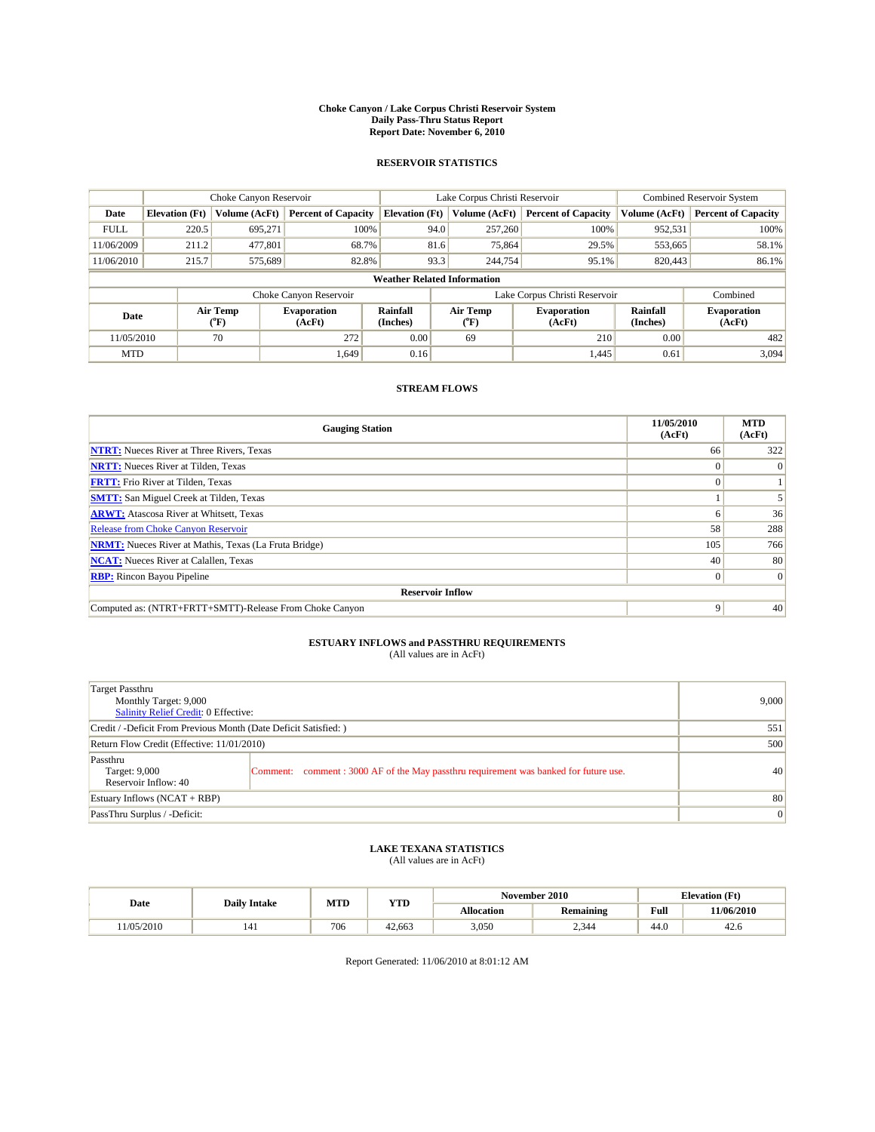#### **Choke Canyon / Lake Corpus Christi Reservoir System Daily Pass-Thru Status Report Report Date: November 6, 2010**

#### **RESERVOIR STATISTICS**

|             | Choke Canyon Reservoir                        |                                           |                              |                                    | Lake Corpus Christi Reservoir | Combined Reservoir System     |                      |                              |
|-------------|-----------------------------------------------|-------------------------------------------|------------------------------|------------------------------------|-------------------------------|-------------------------------|----------------------|------------------------------|
| Date        | <b>Volume (AcFt)</b><br><b>Elevation</b> (Ft) |                                           | <b>Percent of Capacity</b>   | <b>Elevation</b> (Ft)              | Volume (AcFt)                 | <b>Percent of Capacity</b>    | Volume (AcFt)        | <b>Percent of Capacity</b>   |
| <b>FULL</b> | 220.5                                         | 695,271                                   | 100%                         | 94.0                               | 257,260                       | 100%                          | 952,531              | 100%                         |
| 11/06/2009  | 211.2                                         | 477,801                                   | 68.7%                        | 81.6                               | 75,864                        | 29.5%                         | 553,665              | 58.1%                        |
| 11/06/2010  | 215.7                                         | 575,689                                   | 82.8%                        | 93.3                               | 244,754                       | 95.1%                         | 820,443              | 86.1%                        |
|             |                                               |                                           |                              | <b>Weather Related Information</b> |                               |                               |                      |                              |
|             |                                               |                                           | Choke Canyon Reservoir       |                                    |                               | Lake Corpus Christi Reservoir |                      | Combined                     |
| Date        |                                               | Air Temp<br>$({}^{\mathrm{o}}\mathrm{F})$ | <b>Evaporation</b><br>(AcFt) | <b>Rainfall</b><br>(Inches)        | Air Temp<br>(°F)              | <b>Evaporation</b><br>(AcFt)  | Rainfall<br>(Inches) | <b>Evaporation</b><br>(AcFt) |
| 11/05/2010  |                                               | 70                                        | 272                          | 0.00                               | 69                            | 210                           | 0.00                 | 482                          |
| <b>MTD</b>  |                                               |                                           | 1.649                        | 0.16                               |                               | 1,445                         | 0.61                 | 3.094                        |

### **STREAM FLOWS**

| <b>Gauging Station</b>                                       | 11/05/2010<br>(AcFt) | <b>MTD</b><br>(AcFt) |
|--------------------------------------------------------------|----------------------|----------------------|
| <b>NTRT:</b> Nueces River at Three Rivers, Texas             | 66                   | 322                  |
| <b>NRTT:</b> Nueces River at Tilden, Texas                   |                      | $\theta$             |
| <b>FRTT:</b> Frio River at Tilden, Texas                     |                      |                      |
| <b>SMTT:</b> San Miguel Creek at Tilden, Texas               |                      |                      |
| <b>ARWT:</b> Atascosa River at Whitsett, Texas               | n                    | 36                   |
| Release from Choke Canyon Reservoir                          | 58                   | 288                  |
| <b>NRMT:</b> Nueces River at Mathis, Texas (La Fruta Bridge) | 105                  | 766                  |
| <b>NCAT:</b> Nueces River at Calallen, Texas                 | 40                   | 80                   |
| <b>RBP:</b> Rincon Bayou Pipeline                            | $\Omega$             | $\Omega$             |
| <b>Reservoir Inflow</b>                                      |                      |                      |
| Computed as: (NTRT+FRTT+SMTT)-Release From Choke Canyon      | 9                    | 40                   |

# **ESTUARY INFLOWS and PASSTHRU REQUIREMENTS**<br>(All values are in AcFt)

| Target Passthru<br>Monthly Target: 9,000<br>Salinity Relief Credit: 0 Effective: |                                                                                      | 9,000 |
|----------------------------------------------------------------------------------|--------------------------------------------------------------------------------------|-------|
| Credit / -Deficit From Previous Month (Date Deficit Satisfied: )                 | 551                                                                                  |       |
| Return Flow Credit (Effective: 11/01/2010)                                       | 500                                                                                  |       |
| Passthru<br>Target: 9,000<br>Reservoir Inflow: 40                                | Comment: comment: 3000 AF of the May passthru requirement was banked for future use. | 40    |
| Estuary Inflows (NCAT + RBP)                                                     | 80                                                                                   |       |
| PassThru Surplus / -Deficit:                                                     | $\vert 0 \vert$                                                                      |       |

## **LAKE TEXANA STATISTICS** (All values are in AcFt)

|           |                     | MTD<br>YTD |        |                   | November 2010 |      | <b>Elevation</b> (Ft) |
|-----------|---------------------|------------|--------|-------------------|---------------|------|-----------------------|
| Date      | <b>Daily Intake</b> |            |        | <b>Allocation</b> | Remaining     | Full | 11/06/2010            |
| 1/05/2010 | 141                 | 706        | 42.663 | 3,050             | ົາ 4<br>2,344 | 44.0 | 42.0                  |

Report Generated: 11/06/2010 at 8:01:12 AM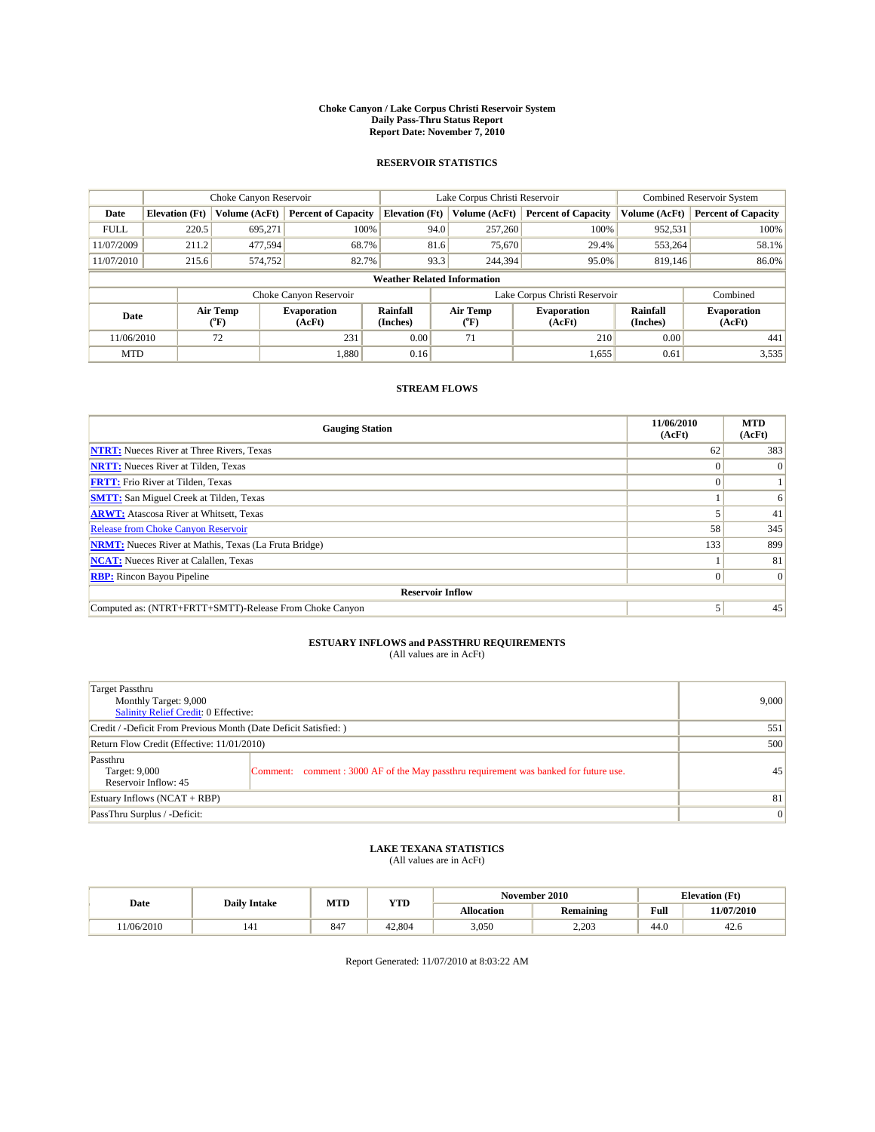#### **Choke Canyon / Lake Corpus Christi Reservoir System Daily Pass-Thru Status Report Report Date: November 7, 2010**

#### **RESERVOIR STATISTICS**

|             | Choke Canyon Reservoir |                  |                              |                                    | Lake Corpus Christi Reservoir | Combined Reservoir System    |                      |                              |
|-------------|------------------------|------------------|------------------------------|------------------------------------|-------------------------------|------------------------------|----------------------|------------------------------|
| Date        | <b>Elevation</b> (Ft)  | Volume (AcFt)    | <b>Percent of Capacity</b>   | <b>Elevation</b> (Ft)              | Volume (AcFt)                 | <b>Percent of Capacity</b>   | Volume (AcFt)        | <b>Percent of Capacity</b>   |
| <b>FULL</b> | 220.5                  | 695,271          | 100%                         | 94.0                               | 257,260                       | 100%                         | 952,531              | 100%                         |
| 11/07/2009  | 211.2                  | 477,594          | 68.7%                        | 81.6                               | 75,670                        | 29.4%                        | 553,264              | 58.1%                        |
| 11/07/2010  | 215.6                  | 574,752          | 82.7%                        | 93.3                               | 244,394                       | 95.0%                        | 819,146              | 86.0%                        |
|             |                        |                  |                              | <b>Weather Related Information</b> |                               |                              |                      |                              |
|             |                        |                  | Choke Canyon Reservoir       |                                    | Lake Corpus Christi Reservoir |                              |                      | Combined                     |
| Date        |                        | Air Temp<br>(°F) | <b>Evaporation</b><br>(AcFt) | <b>Rainfall</b><br>(Inches)        | Air Temp<br>(°F)              | <b>Evaporation</b><br>(AcFt) | Rainfall<br>(Inches) | <b>Evaporation</b><br>(AcFt) |
| 11/06/2010  |                        | 72               | 231                          | 0.00                               | 71                            | 210                          | 0.00                 | 441                          |
| <b>MTD</b>  |                        |                  | 1,880                        | 0.16                               |                               | 1,655                        | 0.61                 | 3,535                        |

### **STREAM FLOWS**

| <b>Gauging Station</b>                                       | 11/06/2010<br>(AcFt) | <b>MTD</b><br>(AcFt) |  |  |  |  |
|--------------------------------------------------------------|----------------------|----------------------|--|--|--|--|
| <b>NTRT:</b> Nueces River at Three Rivers, Texas             | 62                   | 383                  |  |  |  |  |
| <b>NRTT:</b> Nueces River at Tilden, Texas                   |                      |                      |  |  |  |  |
| <b>FRTT:</b> Frio River at Tilden, Texas                     |                      |                      |  |  |  |  |
| <b>SMTT:</b> San Miguel Creek at Tilden, Texas               |                      | 6                    |  |  |  |  |
| <b>ARWT:</b> Atascosa River at Whitsett, Texas               |                      | 41                   |  |  |  |  |
| <b>Release from Choke Canyon Reservoir</b>                   | 58                   | 345                  |  |  |  |  |
| <b>NRMT:</b> Nueces River at Mathis, Texas (La Fruta Bridge) | 133                  | 899                  |  |  |  |  |
| <b>NCAT:</b> Nueces River at Calallen, Texas                 |                      | 81                   |  |  |  |  |
| <b>RBP:</b> Rincon Bayou Pipeline                            | $\Omega$             | $\Omega$             |  |  |  |  |
| <b>Reservoir Inflow</b>                                      |                      |                      |  |  |  |  |
| Computed as: (NTRT+FRTT+SMTT)-Release From Choke Canyon      |                      | 45                   |  |  |  |  |

# **ESTUARY INFLOWS and PASSTHRU REQUIREMENTS**<br>(All values are in AcFt)

| Target Passthru<br>Monthly Target: 9,000<br>Salinity Relief Credit: 0 Effective: |                                                                                      | 9,000           |
|----------------------------------------------------------------------------------|--------------------------------------------------------------------------------------|-----------------|
| Credit / -Deficit From Previous Month (Date Deficit Satisfied: )                 | 551                                                                                  |                 |
| Return Flow Credit (Effective: 11/01/2010)                                       | 500                                                                                  |                 |
| Passthru<br>Target: 9,000<br>Reservoir Inflow: 45                                | Comment: comment: 3000 AF of the May passthru requirement was banked for future use. | 45              |
| Estuary Inflows (NCAT + RBP)                                                     | 81                                                                                   |                 |
| PassThru Surplus / -Deficit:                                                     |                                                                                      | $\vert 0 \vert$ |

## **LAKE TEXANA STATISTICS** (All values are in AcFt)

|           |                     | MTD<br>YTD |        |            | November 2010    |      | <b>Elevation</b> (Ft) |
|-----------|---------------------|------------|--------|------------|------------------|------|-----------------------|
| Date      | <b>Daily Intake</b> |            |        | Allocation | <b>Remaining</b> | Full | 11/07/2010            |
| 1/06/2010 | 141                 | 847        | 42.804 | 3,050      | 2.203            | 44.0 | 44.C                  |

Report Generated: 11/07/2010 at 8:03:22 AM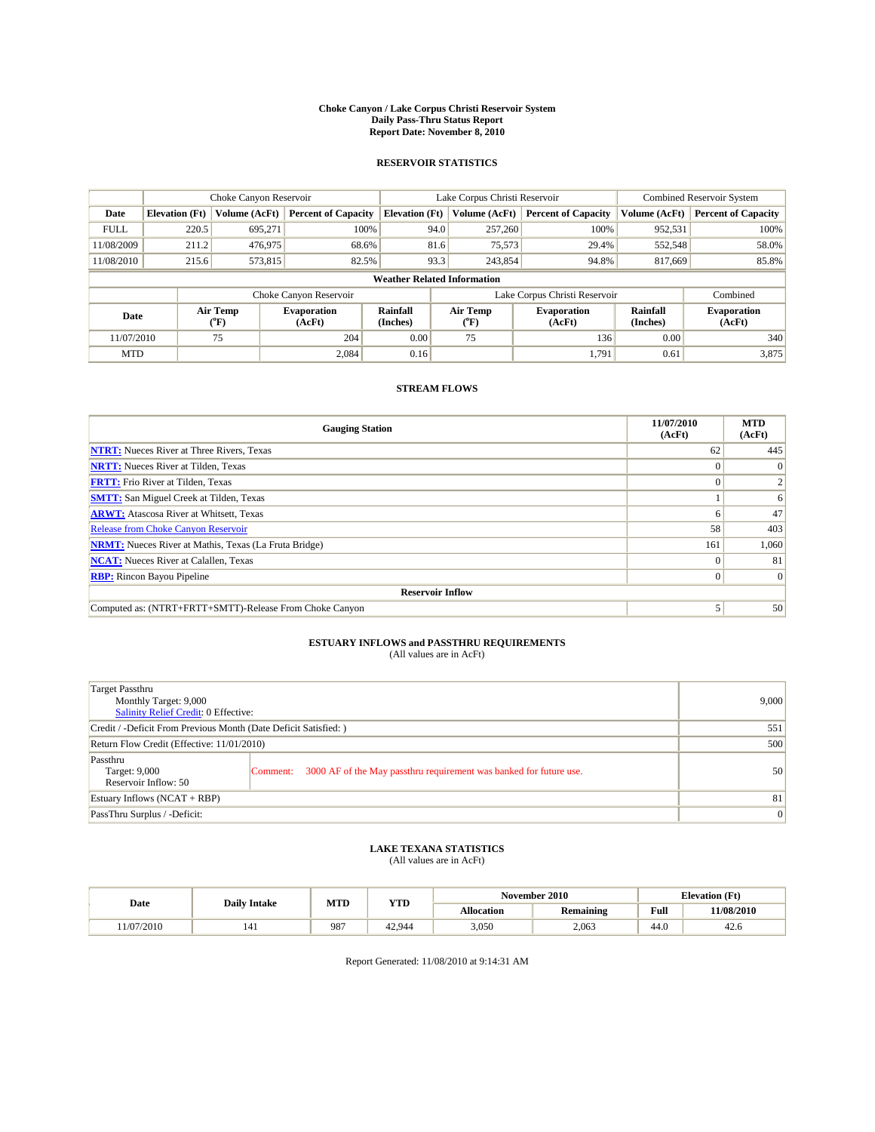#### **Choke Canyon / Lake Corpus Christi Reservoir System Daily Pass-Thru Status Report Report Date: November 8, 2010**

#### **RESERVOIR STATISTICS**

|             | Choke Canyon Reservoir |                  |                              |                                    | Lake Corpus Christi Reservoir | Combined Reservoir System    |                      |                              |
|-------------|------------------------|------------------|------------------------------|------------------------------------|-------------------------------|------------------------------|----------------------|------------------------------|
| Date        | <b>Elevation</b> (Ft)  | Volume (AcFt)    | <b>Percent of Capacity</b>   | <b>Elevation</b> (Ft)              | Volume (AcFt)                 | <b>Percent of Capacity</b>   | Volume (AcFt)        | <b>Percent of Capacity</b>   |
| <b>FULL</b> | 220.5                  | 695,271          | 100%                         | 94.0                               | 257,260                       | 100%                         | 952,531              | 100%                         |
| 11/08/2009  | 211.2                  | 476,975          | 68.6%                        | 81.6                               | 75,573                        | 29.4%                        | 552,548              | 58.0%                        |
| 11/08/2010  | 215.6                  | 573,815          | 82.5%                        | 93.3                               | 243,854                       | 94.8%                        | 817,669              | 85.8%                        |
|             |                        |                  |                              | <b>Weather Related Information</b> |                               |                              |                      |                              |
|             |                        |                  | Choke Canyon Reservoir       |                                    | Lake Corpus Christi Reservoir |                              |                      | Combined                     |
| Date        |                        | Air Temp<br>(°F) | <b>Evaporation</b><br>(AcFt) | <b>Rainfall</b><br>(Inches)        | Air Temp<br>(°F)              | <b>Evaporation</b><br>(AcFt) | Rainfall<br>(Inches) | <b>Evaporation</b><br>(AcFt) |
| 11/07/2010  |                        | 75               | 204                          | 0.00                               | 75                            | 136                          | 0.00                 | 340                          |
| <b>MTD</b>  |                        |                  | 2.084                        | 0.16                               |                               | 1.791                        | 0.61                 | 3,875                        |

### **STREAM FLOWS**

| <b>Gauging Station</b>                                       | 11/07/2010<br>(AcFt) | <b>MTD</b><br>(AcFt) |  |  |  |  |
|--------------------------------------------------------------|----------------------|----------------------|--|--|--|--|
| <b>NTRT:</b> Nueces River at Three Rivers, Texas             | 62                   | 445                  |  |  |  |  |
| <b>NRTT:</b> Nueces River at Tilden, Texas                   |                      |                      |  |  |  |  |
| <b>FRTT:</b> Frio River at Tilden, Texas                     |                      |                      |  |  |  |  |
| <b>SMTT:</b> San Miguel Creek at Tilden, Texas               |                      | 6                    |  |  |  |  |
| <b>ARWT:</b> Atascosa River at Whitsett, Texas               | n                    | 47                   |  |  |  |  |
| Release from Choke Canyon Reservoir                          | 58                   | 403                  |  |  |  |  |
| <b>NRMT:</b> Nueces River at Mathis, Texas (La Fruta Bridge) | 161                  | 1,060                |  |  |  |  |
| <b>NCAT:</b> Nueces River at Calallen, Texas                 | 0                    | 81                   |  |  |  |  |
| <b>RBP:</b> Rincon Bayou Pipeline                            | $\Omega$             | $\Omega$             |  |  |  |  |
| <b>Reservoir Inflow</b>                                      |                      |                      |  |  |  |  |
| Computed as: (NTRT+FRTT+SMTT)-Release From Choke Canyon      |                      | 50                   |  |  |  |  |

# **ESTUARY INFLOWS and PASSTHRU REQUIREMENTS**<br>(All values are in AcFt)

| Target Passthru<br>Monthly Target: 9,000<br>Salinity Relief Credit: 0 Effective: |                                                                                | 9,000 |
|----------------------------------------------------------------------------------|--------------------------------------------------------------------------------|-------|
| Credit / -Deficit From Previous Month (Date Deficit Satisfied: )                 | 551                                                                            |       |
| Return Flow Credit (Effective: 11/01/2010)                                       |                                                                                | 500   |
| Passthru<br>Target: 9,000<br>Reservoir Inflow: 50                                | 3000 AF of the May passthru requirement was banked for future use.<br>Comment: | 50    |
| Estuary Inflows (NCAT + RBP)                                                     | 81                                                                             |       |
| PassThru Surplus / -Deficit:                                                     | $\vert 0 \vert$                                                                |       |

## **LAKE TEXANA STATISTICS** (All values are in AcFt)

|           |                     | MTD<br>YTD |        |                   | November 2010 | <b>Elevation</b> (Ft) |            |
|-----------|---------------------|------------|--------|-------------------|---------------|-----------------------|------------|
| Date      | <b>Daily Intake</b> |            |        | <b>Allocation</b> | Remaining     | Full                  | 11/08/2010 |
| 1/07/2010 | 141                 | 987        | 42,944 | 3,050             | 2.063         | 44.0                  | 42.0       |

Report Generated: 11/08/2010 at 9:14:31 AM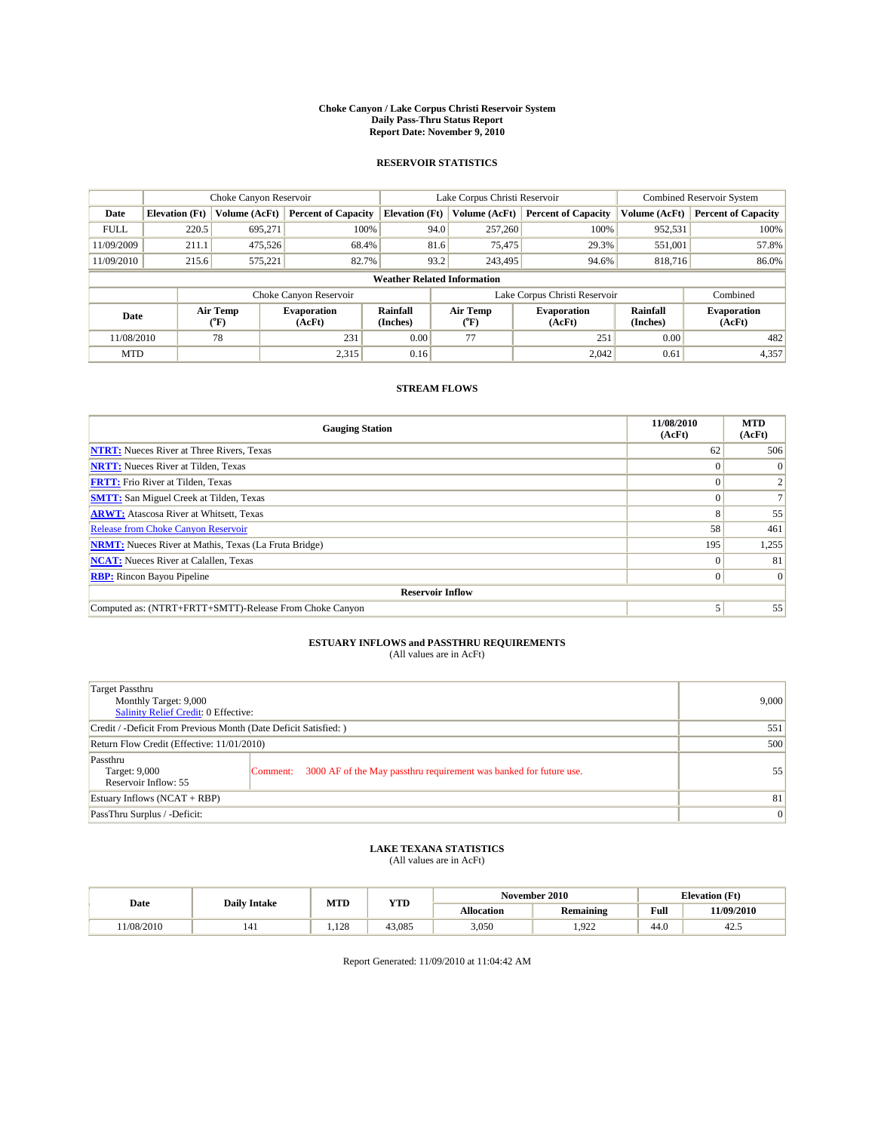#### **Choke Canyon / Lake Corpus Christi Reservoir System Daily Pass-Thru Status Report Report Date: November 9, 2010**

#### **RESERVOIR STATISTICS**

|             | Choke Canyon Reservoir |                             |                              |                                    | Lake Corpus Christi Reservoir | <b>Combined Reservoir System</b> |                      |                              |
|-------------|------------------------|-----------------------------|------------------------------|------------------------------------|-------------------------------|----------------------------------|----------------------|------------------------------|
| Date        | <b>Elevation</b> (Ft)  | Volume (AcFt)               | <b>Percent of Capacity</b>   | <b>Elevation (Ft)</b>              | Volume (AcFt)                 | <b>Percent of Capacity</b>       | Volume (AcFt)        | <b>Percent of Capacity</b>   |
| <b>FULL</b> | 220.5                  | 695,271                     | 100%                         | 94.0                               | 257,260                       | 100%                             | 952,531              | 100%                         |
| 11/09/2009  | 211.1                  | 475.526                     | 68.4%                        | 81.6                               | 75,475                        | 29.3%                            | 551,001              | 57.8%                        |
| 11/09/2010  | 215.6                  | 575.221                     | 82.7%                        | 93.2                               | 243,495                       | 94.6%                            | 818,716              | 86.0%                        |
|             |                        |                             |                              | <b>Weather Related Information</b> |                               |                                  |                      |                              |
|             |                        |                             | Choke Canyon Reservoir       |                                    | Lake Corpus Christi Reservoir |                                  |                      | Combined                     |
| Date        |                        | Air Temp<br>${}^{\circ}$ F) | <b>Evaporation</b><br>(AcFt) | <b>Rainfall</b><br>(Inches)        | Air Temp<br>(°F)              | <b>Evaporation</b><br>(AcFt)     | Rainfall<br>(Inches) | <b>Evaporation</b><br>(AcFt) |
| 11/08/2010  |                        | 78                          | 231                          | 0.00                               | 77                            | 251                              | 0.00                 | 482                          |
| <b>MTD</b>  |                        |                             | 2,315                        | 0.16                               |                               | 2,042                            | 0.61                 | 4,357                        |

### **STREAM FLOWS**

| <b>Gauging Station</b>                                       | 11/08/2010<br>(AcFt) | <b>MTD</b><br>(AcFt) |  |  |  |  |
|--------------------------------------------------------------|----------------------|----------------------|--|--|--|--|
| <b>NTRT:</b> Nueces River at Three Rivers, Texas             | 62                   | 506                  |  |  |  |  |
| <b>NRTT:</b> Nueces River at Tilden, Texas                   |                      |                      |  |  |  |  |
| <b>FRTT:</b> Frio River at Tilden, Texas                     |                      |                      |  |  |  |  |
| <b>SMTT:</b> San Miguel Creek at Tilden, Texas               |                      |                      |  |  |  |  |
| <b>ARWT:</b> Atascosa River at Whitsett, Texas               | 8                    | 55                   |  |  |  |  |
| <b>Release from Choke Canyon Reservoir</b>                   | 58                   | 461                  |  |  |  |  |
| <b>NRMT:</b> Nueces River at Mathis, Texas (La Fruta Bridge) | 195                  | 1,255                |  |  |  |  |
| <b>NCAT:</b> Nueces River at Calallen, Texas                 | 0                    | 81                   |  |  |  |  |
| <b>RBP:</b> Rincon Bayou Pipeline                            | $\Omega$             | $\Omega$             |  |  |  |  |
| <b>Reservoir Inflow</b>                                      |                      |                      |  |  |  |  |
| Computed as: (NTRT+FRTT+SMTT)-Release From Choke Canyon      |                      | 55                   |  |  |  |  |

# **ESTUARY INFLOWS and PASSTHRU REQUIREMENTS**<br>(All values are in AcFt)

| Target Passthru<br>Monthly Target: 9,000<br>Salinity Relief Credit: 0 Effective: |                                                                                | 9,000 |
|----------------------------------------------------------------------------------|--------------------------------------------------------------------------------|-------|
| Credit / -Deficit From Previous Month (Date Deficit Satisfied: )                 | 551                                                                            |       |
| Return Flow Credit (Effective: 11/01/2010)                                       |                                                                                | 500   |
| Passthru<br>Target: 9,000<br>Reservoir Inflow: 55                                | 3000 AF of the May passthru requirement was banked for future use.<br>Comment: | 55'   |
| Estuary Inflows (NCAT + RBP)                                                     | 81                                                                             |       |
| PassThru Surplus / -Deficit:                                                     | $\vert 0 \vert$                                                                |       |

## **LAKE TEXANA STATISTICS** (All values are in AcFt)

| Date      | <b>Daily Intake</b> | MTD         | YTD    |            | November 2010    | <b>Elevation</b> (Ft) |            |
|-----------|---------------------|-------------|--------|------------|------------------|-----------------------|------------|
|           |                     |             |        | Allocation | <b>Remaining</b> | Full                  | 11/09/2010 |
| 1/08/2010 | 141                 | 120<br>.120 | 43,085 | 3,050      | റാ<br>. 744      | 44.0                  | 42.3       |

Report Generated: 11/09/2010 at 11:04:42 AM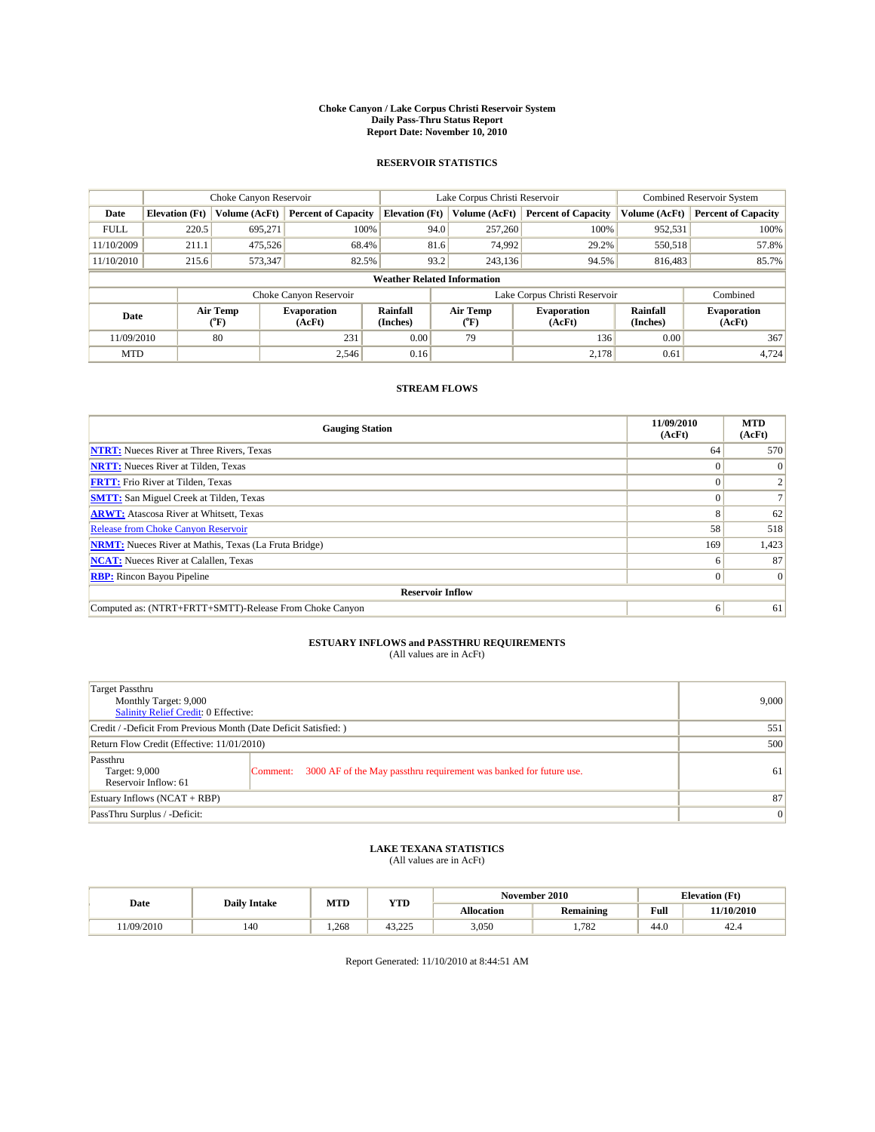#### **Choke Canyon / Lake Corpus Christi Reservoir System Daily Pass-Thru Status Report Report Date: November 10, 2010**

#### **RESERVOIR STATISTICS**

|                                    | Choke Canyon Reservoir |                             |                              |                             | Lake Corpus Christi Reservoir | <b>Combined Reservoir System</b> |                      |                              |  |  |
|------------------------------------|------------------------|-----------------------------|------------------------------|-----------------------------|-------------------------------|----------------------------------|----------------------|------------------------------|--|--|
| Date                               | <b>Elevation</b> (Ft)  | Volume (AcFt)               | <b>Percent of Capacity</b>   | <b>Elevation (Ft)</b>       | Volume (AcFt)                 | <b>Percent of Capacity</b>       | Volume (AcFt)        | <b>Percent of Capacity</b>   |  |  |
| <b>FULL</b>                        | 220.5                  | 695,271                     | 100%                         | 94.0                        | 257,260                       | 100%                             | 952,531              | 100%                         |  |  |
| 11/10/2009                         | 211.1                  | 475.526                     | 68.4%                        | 81.6                        | 74,992                        | 29.2%                            | 550,518              | 57.8%                        |  |  |
| 11/10/2010                         | 215.6                  | 573,347                     | 82.5%                        | 93.2                        | 243.136                       | 94.5%                            | 816,483              | 85.7%                        |  |  |
| <b>Weather Related Information</b> |                        |                             |                              |                             |                               |                                  |                      |                              |  |  |
|                                    |                        |                             | Choke Canyon Reservoir       |                             |                               | Lake Corpus Christi Reservoir    |                      | Combined                     |  |  |
| Date                               |                        | Air Temp<br>${}^{\circ}$ F) | <b>Evaporation</b><br>(AcFt) | <b>Rainfall</b><br>(Inches) | Air Temp<br>(°F)              | <b>Evaporation</b><br>(AcFt)     | Rainfall<br>(Inches) | <b>Evaporation</b><br>(AcFt) |  |  |
| 11/09/2010                         |                        | 80                          | 231                          | 0.00                        | 79                            | 136                              | 0.00                 | 367                          |  |  |
| <b>MTD</b>                         |                        |                             | 2,546                        | 0.16                        |                               | 2,178                            | 0.61                 | 4,724                        |  |  |

### **STREAM FLOWS**

| <b>Gauging Station</b>                                       | 11/09/2010<br>(AcFt) | <b>MTD</b><br>(AcFt) |  |  |  |  |  |
|--------------------------------------------------------------|----------------------|----------------------|--|--|--|--|--|
| <b>NTRT:</b> Nueces River at Three Rivers, Texas             | 64                   | 570                  |  |  |  |  |  |
| <b>NRTT:</b> Nueces River at Tilden, Texas                   |                      | $\Omega$             |  |  |  |  |  |
| <b>FRTT:</b> Frio River at Tilden, Texas                     |                      |                      |  |  |  |  |  |
| <b>SMTT:</b> San Miguel Creek at Tilden, Texas               |                      |                      |  |  |  |  |  |
| <b>ARWT:</b> Atascosa River at Whitsett, Texas               | Δ                    | 62                   |  |  |  |  |  |
| <b>Release from Choke Canyon Reservoir</b>                   | 58                   | 518                  |  |  |  |  |  |
| <b>NRMT:</b> Nueces River at Mathis, Texas (La Fruta Bridge) | 169                  | 1,423                |  |  |  |  |  |
| <b>NCAT:</b> Nueces River at Calallen, Texas                 | n                    | 87                   |  |  |  |  |  |
| <b>RBP:</b> Rincon Bayou Pipeline                            | $\Omega$             | $\Omega$             |  |  |  |  |  |
| <b>Reservoir Inflow</b>                                      |                      |                      |  |  |  |  |  |
| Computed as: (NTRT+FRTT+SMTT)-Release From Choke Canyon      | 6                    | 61                   |  |  |  |  |  |

# **ESTUARY INFLOWS and PASSTHRU REQUIREMENTS**<br>(All values are in AcFt)

| Target Passthru<br>Monthly Target: 9,000<br>Salinity Relief Credit: 0 Effective: |                                                                                | 9,000 |
|----------------------------------------------------------------------------------|--------------------------------------------------------------------------------|-------|
| Credit / -Deficit From Previous Month (Date Deficit Satisfied: )                 | 551                                                                            |       |
| Return Flow Credit (Effective: 11/01/2010)                                       | 500                                                                            |       |
| Passthru<br>Target: 9,000<br>Reservoir Inflow: 61                                | 3000 AF of the May passthru requirement was banked for future use.<br>Comment: | 61    |
| Estuary Inflows (NCAT + RBP)                                                     | 87                                                                             |       |
| PassThru Surplus / -Deficit:                                                     | $\vert 0 \vert$                                                                |       |

# **LAKE TEXANA STATISTICS** (All values are in AcFt)

|           | <b>Daily Intake</b> | MTD  | YTD   |                   | November 2010 |      | <b>Elevation</b> (Ft) |
|-----------|---------------------|------|-------|-------------------|---------------|------|-----------------------|
| Date      |                     |      |       | <b>Allocation</b> | Remaining     | Full | 11/10/2010            |
| 1/09/2010 | 140                 | .268 | 43.22 | 3,050             | .782          | 44.0 | 42.5                  |

Report Generated: 11/10/2010 at 8:44:51 AM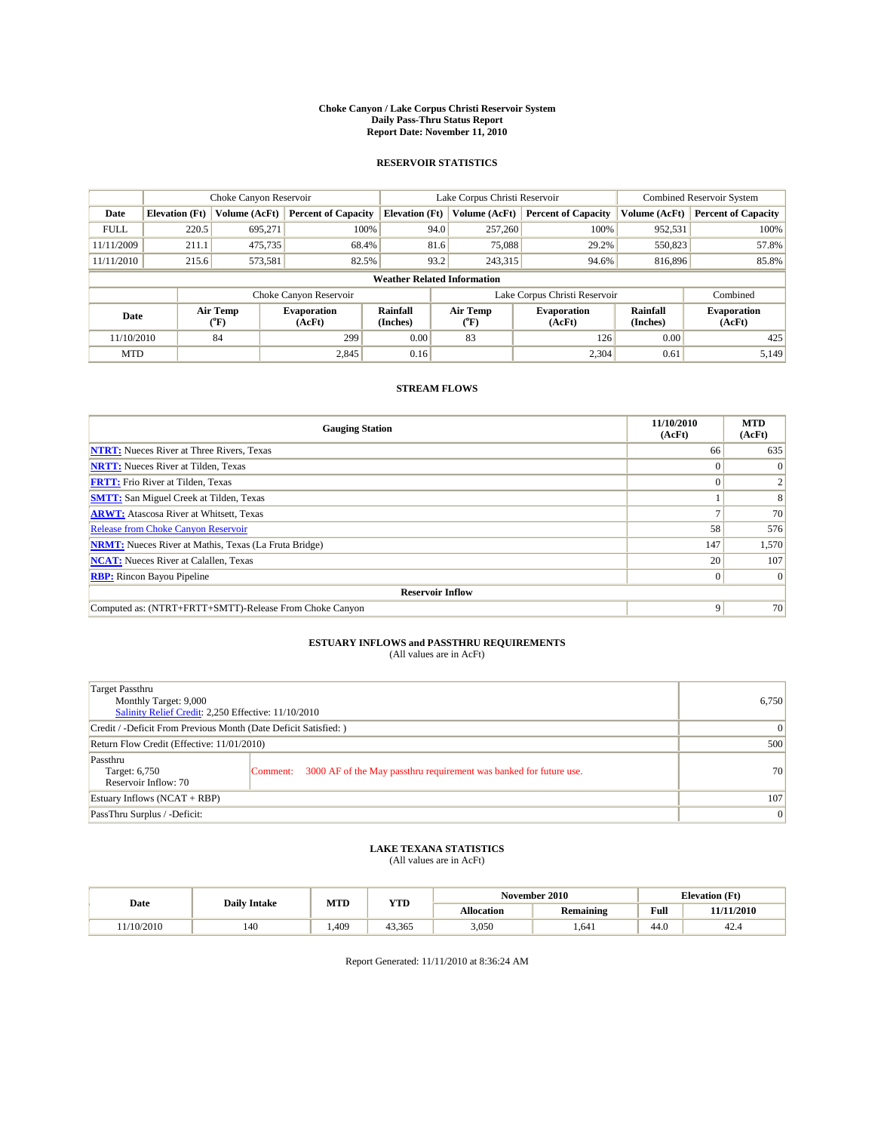#### **Choke Canyon / Lake Corpus Christi Reservoir System Daily Pass-Thru Status Report Report Date: November 11, 2010**

#### **RESERVOIR STATISTICS**

|             | Choke Canyon Reservoir             |                  |                              |                       | Lake Corpus Christi Reservoir | <b>Combined Reservoir System</b> |                      |                              |  |  |  |
|-------------|------------------------------------|------------------|------------------------------|-----------------------|-------------------------------|----------------------------------|----------------------|------------------------------|--|--|--|
| Date        | <b>Elevation</b> (Ft)              | Volume (AcFt)    | <b>Percent of Capacity</b>   | <b>Elevation (Ft)</b> | Volume (AcFt)                 | <b>Percent of Capacity</b>       | Volume (AcFt)        | <b>Percent of Capacity</b>   |  |  |  |
| <b>FULL</b> | 220.5                              | 695,271          | 100%                         | 94.0                  | 257,260                       | 100%                             | 952,531              | 100%                         |  |  |  |
| 11/11/2009  | 211.1                              | 475,735          | 68.4%                        | 81.6                  | 75,088                        | 29.2%                            | 550,823              | 57.8%                        |  |  |  |
| 11/11/2010  | 215.6                              | 573,581          | 82.5%                        | 93.2                  | 243,315                       | 94.6%                            | 816,896              | 85.8%                        |  |  |  |
|             | <b>Weather Related Information</b> |                  |                              |                       |                               |                                  |                      |                              |  |  |  |
|             |                                    |                  | Choke Canyon Reservoir       |                       |                               | Lake Corpus Christi Reservoir    |                      | Combined                     |  |  |  |
| Date        |                                    | Air Temp<br>(°F) | <b>Evaporation</b><br>(AcFt) | Rainfall<br>(Inches)  | Air Temp<br>("F)              | <b>Evaporation</b><br>(AcFt)     | Rainfall<br>(Inches) | <b>Evaporation</b><br>(AcFt) |  |  |  |
| 11/10/2010  |                                    | 84               | 299                          | 0.00                  | 83                            | 126                              | 0.00                 | 425                          |  |  |  |
| <b>MTD</b>  |                                    |                  | 2,845                        | 0.16                  |                               | 2,304                            | 0.61                 | 5.149                        |  |  |  |

### **STREAM FLOWS**

| <b>Gauging Station</b>                                       | 11/10/2010<br>(AcFt) | <b>MTD</b><br>(AcFt) |
|--------------------------------------------------------------|----------------------|----------------------|
| <b>NTRT:</b> Nueces River at Three Rivers, Texas             | 66                   | 635                  |
| <b>NRTT:</b> Nueces River at Tilden, Texas                   | $\theta$             |                      |
| <b>FRTT:</b> Frio River at Tilden, Texas                     |                      |                      |
| <b>SMTT:</b> San Miguel Creek at Tilden, Texas               |                      |                      |
| <b>ARWT:</b> Atascosa River at Whitsett, Texas               |                      | 70                   |
| <b>Release from Choke Canyon Reservoir</b>                   | 58                   | 576                  |
| <b>NRMT:</b> Nueces River at Mathis, Texas (La Fruta Bridge) | 147                  | 1,570                |
| <b>NCAT:</b> Nueces River at Calallen, Texas                 | 20                   | 107                  |
| <b>RBP:</b> Rincon Bayou Pipeline                            | $\overline{0}$       | $\Omega$             |
| <b>Reservoir Inflow</b>                                      |                      |                      |
| Computed as: (NTRT+FRTT+SMTT)-Release From Choke Canyon      | 9                    | 70                   |

# **ESTUARY INFLOWS and PASSTHRU REQUIREMENTS**<br>(All values are in AcFt)

| Target Passthru<br>Monthly Target: 9,000<br>Salinity Relief Credit: 2,250 Effective: 11/10/2010 | 6,750                                                                          |    |
|-------------------------------------------------------------------------------------------------|--------------------------------------------------------------------------------|----|
| Credit / -Deficit From Previous Month (Date Deficit Satisfied: )                                | $\vert 0 \vert$                                                                |    |
| Return Flow Credit (Effective: 11/01/2010)                                                      | 500                                                                            |    |
| Passthru<br>Target: 6,750<br>Reservoir Inflow: 70                                               | 3000 AF of the May passthru requirement was banked for future use.<br>Comment: | 70 |
| Estuary Inflows $(NCAT + RBP)$                                                                  | 107                                                                            |    |
| PassThru Surplus / -Deficit:                                                                    | $\vert 0 \vert$                                                                |    |

# **LAKE TEXANA STATISTICS** (All values are in AcFt)

|           | <b>Daily Intake</b> | MTD   | <b>YTD</b> |            | November 2010 |                                             | <b>Elevation</b> (Ft) |
|-----------|---------------------|-------|------------|------------|---------------|---------------------------------------------|-----------------------|
| Date      |                     |       |            | Allocation | Remaining     | Full<br>the contract of the contract of the | 11/11/2010            |
| 1/10/2010 | 140                 | 1.409 | 43.365     | 3,050      | .641          | 44.0                                        | 44.4                  |

Report Generated: 11/11/2010 at 8:36:24 AM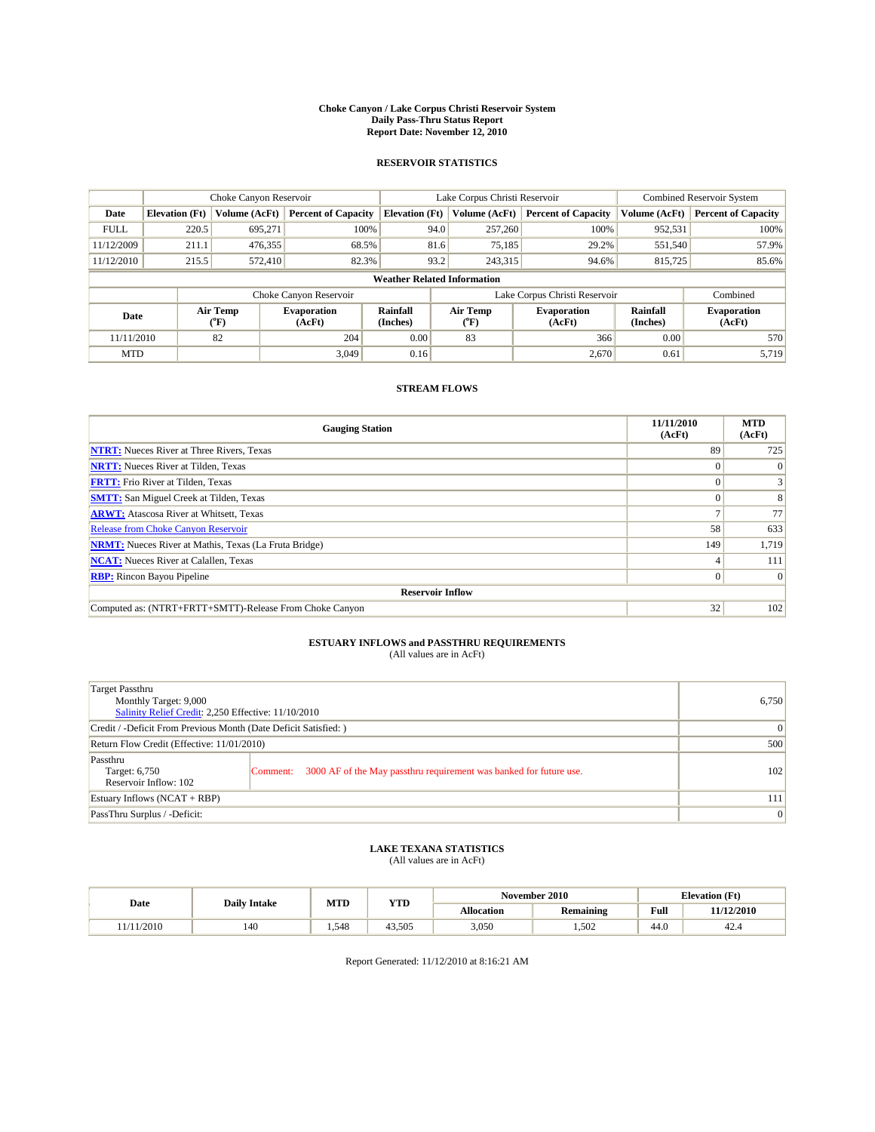#### **Choke Canyon / Lake Corpus Christi Reservoir System Daily Pass-Thru Status Report Report Date: November 12, 2010**

#### **RESERVOIR STATISTICS**

|                                    | Choke Canyon Reservoir |                             |                              |                             | Lake Corpus Christi Reservoir |               |                               |                      | <b>Combined Reservoir System</b> |  |
|------------------------------------|------------------------|-----------------------------|------------------------------|-----------------------------|-------------------------------|---------------|-------------------------------|----------------------|----------------------------------|--|
| Date<br><b>Elevation</b> (Ft)      |                        | Volume (AcFt)               | <b>Percent of Capacity</b>   | <b>Elevation (Ft)</b>       |                               | Volume (AcFt) | <b>Percent of Capacity</b>    | Volume (AcFt)        | <b>Percent of Capacity</b>       |  |
| <b>FULL</b>                        | 220.5                  | 695,271                     | 100%                         |                             | 94.0                          | 257,260       | 100%                          | 952,531              | 100%                             |  |
| 11/12/2009                         | 211.1                  | 476,355                     | 68.5%                        |                             | 81.6                          | 75,185        | 29.2%                         | 551,540              | 57.9%                            |  |
| 11/12/2010                         | 215.5                  | 572,410                     | 82.3%                        |                             | 93.2                          | 243,315       | 94.6%                         | 815,725              | 85.6%                            |  |
| <b>Weather Related Information</b> |                        |                             |                              |                             |                               |               |                               |                      |                                  |  |
|                                    |                        |                             | Choke Canyon Reservoir       |                             |                               |               | Lake Corpus Christi Reservoir |                      | Combined                         |  |
| Date                               |                        | Air Temp<br>${}^{\circ}$ F) | <b>Evaporation</b><br>(AcFt) | <b>Rainfall</b><br>(Inches) | Air Temp<br>(°F)              |               | <b>Evaporation</b><br>(AcFt)  | Rainfall<br>(Inches) | <b>Evaporation</b><br>(AcFt)     |  |
| 11/11/2010                         |                        | 82                          | 204                          | 0.00                        | 83                            |               | 366                           | 0.00                 | 570                              |  |
| <b>MTD</b>                         |                        |                             | 3,049                        | 0.16                        |                               |               | 2,670                         | 0.61                 | 5.719                            |  |

### **STREAM FLOWS**

| <b>Gauging Station</b>                                       | 11/11/2010<br>(AcFt) | <b>MTD</b><br>(AcFt) |
|--------------------------------------------------------------|----------------------|----------------------|
| <b>NTRT:</b> Nueces River at Three Rivers, Texas             | 89                   | 725                  |
| <b>NRTT:</b> Nueces River at Tilden, Texas                   | $\Omega$             |                      |
| <b>FRTT:</b> Frio River at Tilden, Texas                     |                      |                      |
| <b>SMTT:</b> San Miguel Creek at Tilden, Texas               |                      | 8                    |
| <b>ARWT:</b> Atascosa River at Whitsett, Texas               |                      | 77                   |
| <b>Release from Choke Canyon Reservoir</b>                   | 58                   | 633                  |
| <b>NRMT:</b> Nueces River at Mathis, Texas (La Fruta Bridge) | 149                  | 1,719                |
| <b>NCAT:</b> Nueces River at Calallen, Texas                 |                      | 111                  |
| <b>RBP:</b> Rincon Bayou Pipeline                            | $\overline{0}$       | $\Omega$             |
| <b>Reservoir Inflow</b>                                      |                      |                      |
| Computed as: (NTRT+FRTT+SMTT)-Release From Choke Canyon      | 32                   | 102                  |

### **ESTUARY INFLOWS and PASSTHRU REQUIREMENTS**

| (All values are in AcFt) |  |
|--------------------------|--|
|--------------------------|--|

| Target Passthru<br>Monthly Target: 9,000<br>Salinity Relief Credit: 2,250 Effective: 11/10/2010 | 6,750                                                                          |                 |  |  |
|-------------------------------------------------------------------------------------------------|--------------------------------------------------------------------------------|-----------------|--|--|
| Credit / -Deficit From Previous Month (Date Deficit Satisfied: )                                |                                                                                | $\vert 0 \vert$ |  |  |
| Return Flow Credit (Effective: 11/01/2010)                                                      |                                                                                |                 |  |  |
| Passthru<br>Target: 6,750<br>Reservoir Inflow: 102                                              | 3000 AF of the May passthru requirement was banked for future use.<br>Comment: | 102             |  |  |
| Estuary Inflows (NCAT + RBP)                                                                    | 111                                                                            |                 |  |  |
| PassThru Surplus / -Deficit:                                                                    |                                                                                | $\vert 0 \vert$ |  |  |

## **LAKE TEXANA STATISTICS** (All values are in AcFt)

|           | <b>Daily Intake</b> |       | MTD<br><b>YTD</b> |            | November 2010    | <b>Elevation</b> (Ft) |            |
|-----------|---------------------|-------|-------------------|------------|------------------|-----------------------|------------|
| Date      |                     |       |                   | Allocation | <b>Remaining</b> | <b>Full</b>           | 11/12/2010 |
| 1/11/2010 | 140                 | 1.548 | 43.505            | 3,050      | 1.502            | 44.0                  | 42.4       |

Report Generated: 11/12/2010 at 8:16:21 AM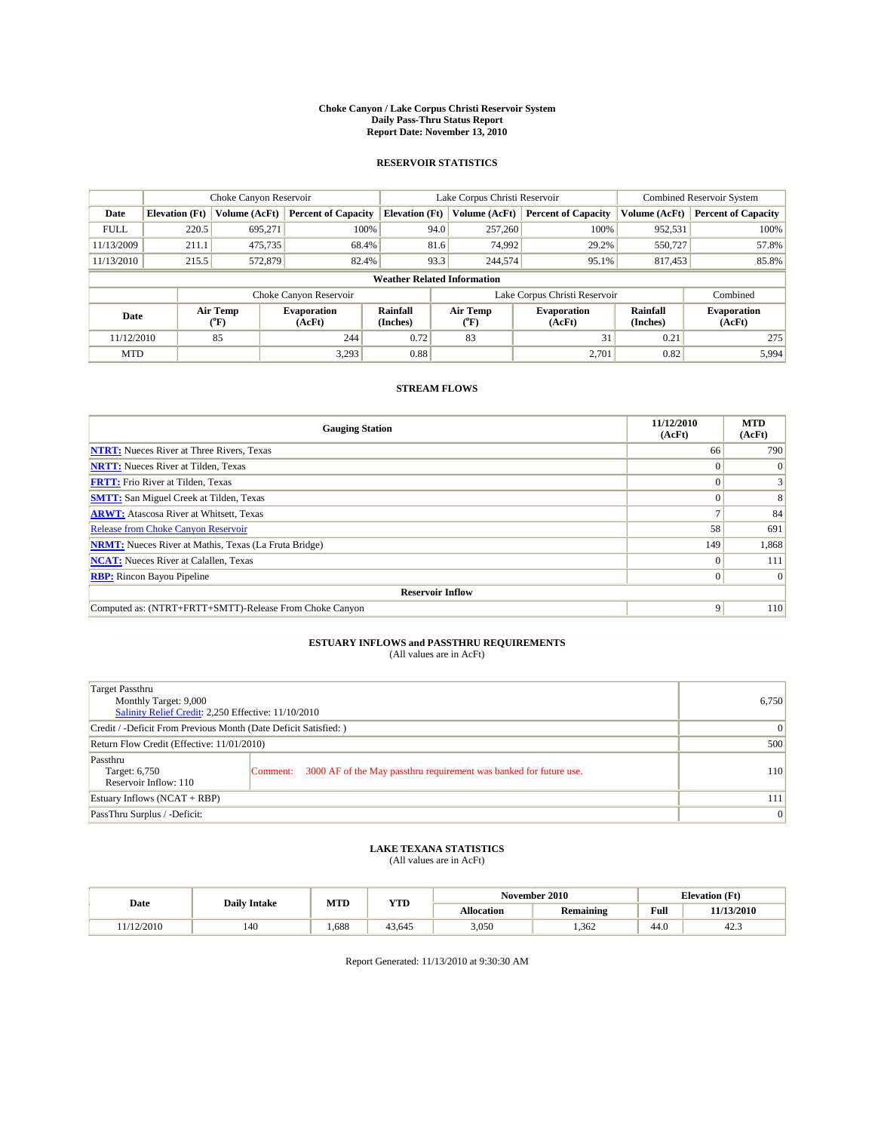#### **Choke Canyon / Lake Corpus Christi Reservoir System Daily Pass-Thru Status Report Report Date: November 13, 2010**

#### **RESERVOIR STATISTICS**

|             | Choke Canyon Reservoir |                             |                              |                                    | Lake Corpus Christi Reservoir | <b>Combined Reservoir System</b> |                      |                              |
|-------------|------------------------|-----------------------------|------------------------------|------------------------------------|-------------------------------|----------------------------------|----------------------|------------------------------|
| Date        | <b>Elevation</b> (Ft)  | Volume (AcFt)               | <b>Percent of Capacity</b>   | <b>Elevation (Ft)</b>              | Volume (AcFt)                 | <b>Percent of Capacity</b>       | Volume (AcFt)        | <b>Percent of Capacity</b>   |
| <b>FULL</b> | 220.5                  | 695,271                     | 100%                         | 94.0                               | 257,260                       | 100%                             | 952,531              | 100%                         |
| 11/13/2009  | 211.1                  | 475,735                     | 68.4%                        | 81.6                               | 74,992                        | 29.2%                            | 550,727              | 57.8%                        |
| 11/13/2010  | 215.5                  | 572,879                     | 82.4%                        | 93.3                               | 244,574                       | 95.1%                            | 817,453              | 85.8%                        |
|             |                        |                             |                              | <b>Weather Related Information</b> |                               |                                  |                      |                              |
|             |                        |                             | Choke Canyon Reservoir       |                                    | Lake Corpus Christi Reservoir |                                  |                      | Combined                     |
| Date        |                        | Air Temp<br>${}^{\circ}$ F) | <b>Evaporation</b><br>(AcFt) | <b>Rainfall</b><br>(Inches)        | Air Temp<br>(°F)              | <b>Evaporation</b><br>(AcFt)     | Rainfall<br>(Inches) | <b>Evaporation</b><br>(AcFt) |
| 11/12/2010  |                        | 85                          | 244                          | 0.72                               | 83                            | 31                               | 0.21                 | 275                          |
| <b>MTD</b>  |                        |                             | 3,293                        | 0.88                               |                               | 2,701                            | 0.82                 | 5,994                        |

### **STREAM FLOWS**

| <b>Gauging Station</b>                                       | 11/12/2010<br>(AcFt) | <b>MTD</b><br>(AcFt) |
|--------------------------------------------------------------|----------------------|----------------------|
| <b>NTRT:</b> Nueces River at Three Rivers, Texas             | 66                   | 790                  |
| <b>NRTT:</b> Nueces River at Tilden, Texas                   | $\theta$             |                      |
| <b>FRTT:</b> Frio River at Tilden, Texas                     |                      |                      |
| <b>SMTT:</b> San Miguel Creek at Tilden, Texas               |                      | 8                    |
| <b>ARWT:</b> Atascosa River at Whitsett, Texas               |                      | 84                   |
| <b>Release from Choke Canyon Reservoir</b>                   | 58                   | 691                  |
| <b>NRMT:</b> Nueces River at Mathis, Texas (La Fruta Bridge) | 149                  | 1,868                |
| <b>NCAT:</b> Nueces River at Calallen, Texas                 | $\Omega$             | 111                  |
| <b>RBP:</b> Rincon Bayou Pipeline                            | $\overline{0}$       |                      |
| <b>Reservoir Inflow</b>                                      |                      |                      |
| Computed as: (NTRT+FRTT+SMTT)-Release From Choke Canyon      | 9                    | 110                  |

# **ESTUARY INFLOWS and PASSTHRU REQUIREMENTS**<br>(All values are in AcFt)

| <b>Target Passthru</b><br>Monthly Target: 9,000<br>Salinity Relief Credit: 2,250 Effective: 11/10/2010 | 6,750                                                                          |     |  |  |
|--------------------------------------------------------------------------------------------------------|--------------------------------------------------------------------------------|-----|--|--|
| Credit / -Deficit From Previous Month (Date Deficit Satisfied: )                                       |                                                                                | 0   |  |  |
| Return Flow Credit (Effective: 11/01/2010)                                                             |                                                                                |     |  |  |
| Passthru<br>Target: 6,750<br>Reservoir Inflow: 110                                                     | 3000 AF of the May passthru requirement was banked for future use.<br>Comment: | 110 |  |  |
| Estuary Inflows $(NCAT + RBP)$                                                                         | 111                                                                            |     |  |  |
| PassThru Surplus / -Deficit:                                                                           |                                                                                | 0   |  |  |

# **LAKE TEXANA STATISTICS** (All values are in AcFt)

|           |                     | MTD  | <b>YTD</b> |            | November 2010    |      | <b>Elevation</b> (Ft) |  |
|-----------|---------------------|------|------------|------------|------------------|------|-----------------------|--|
| Date      | <b>Daily Intake</b> |      |            | Allocation | <b>Remaining</b> | Full | 11/13/2010            |  |
| 1/12/2010 | 140                 | .688 | 43.645     | 3,050      | .362             | 44.0 | 42.5                  |  |

Report Generated: 11/13/2010 at 9:30:30 AM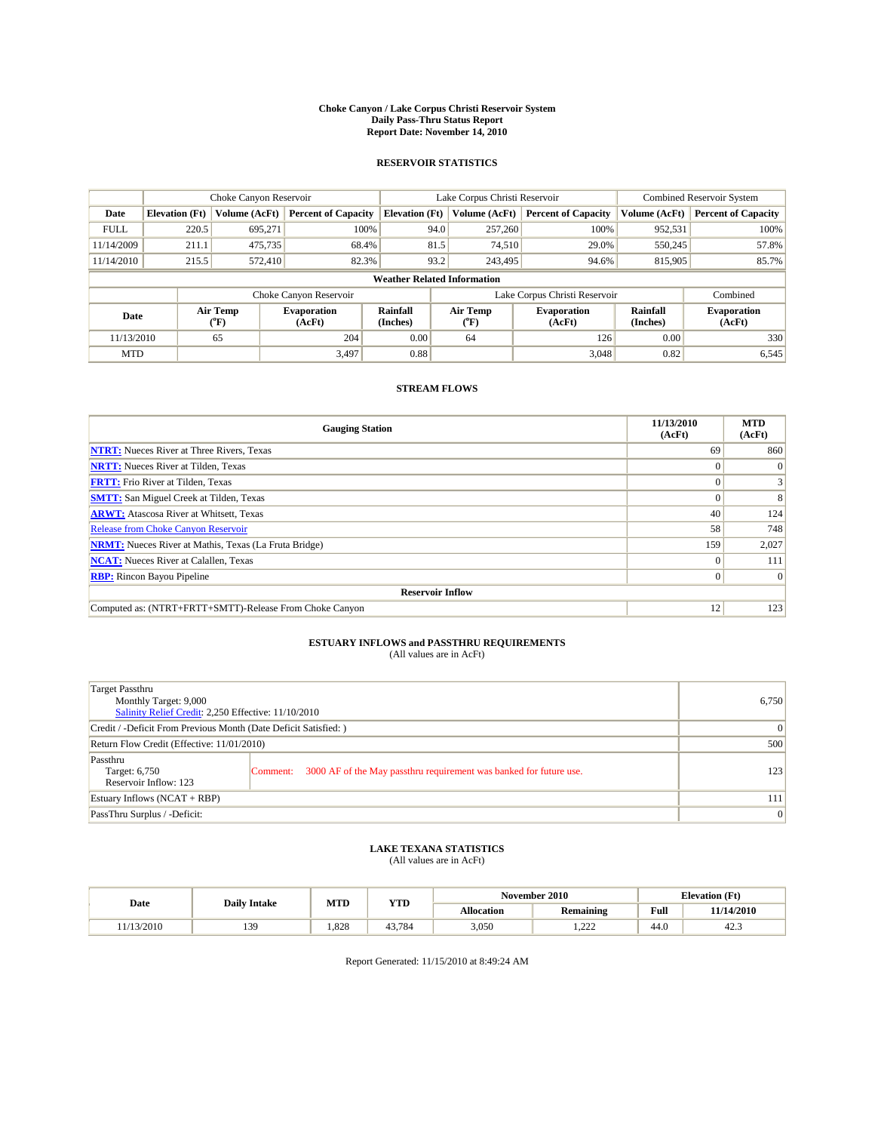#### **Choke Canyon / Lake Corpus Christi Reservoir System Daily Pass-Thru Status Report Report Date: November 14, 2010**

#### **RESERVOIR STATISTICS**

|             | Choke Canyon Reservoir |                             |                              |                                    | Lake Corpus Christi Reservoir | <b>Combined Reservoir System</b> |                      |                              |
|-------------|------------------------|-----------------------------|------------------------------|------------------------------------|-------------------------------|----------------------------------|----------------------|------------------------------|
| Date        | <b>Elevation</b> (Ft)  | Volume (AcFt)               | <b>Percent of Capacity</b>   | <b>Elevation (Ft)</b>              | Volume (AcFt)                 | <b>Percent of Capacity</b>       | Volume (AcFt)        | <b>Percent of Capacity</b>   |
| <b>FULL</b> | 220.5                  | 695,271                     | 100%                         | 94.0                               | 257,260                       | 100%                             | 952,531              | 100%                         |
| 11/14/2009  | 211.1                  | 475,735                     | 68.4%                        | 81.5                               | 74,510                        | 29.0%                            | 550,245              | 57.8%                        |
| 11/14/2010  | 215.5                  | 572,410                     | 82.3%                        | 93.2                               | 243,495                       | 94.6%                            | 815,905              | 85.7%                        |
|             |                        |                             |                              | <b>Weather Related Information</b> |                               |                                  |                      |                              |
|             |                        |                             | Choke Canyon Reservoir       |                                    | Lake Corpus Christi Reservoir |                                  |                      | Combined                     |
| Date        |                        | Air Temp<br>${}^{\circ}$ F) | <b>Evaporation</b><br>(AcFt) | <b>Rainfall</b><br>(Inches)        | Air Temp<br>(°F)              | <b>Evaporation</b><br>(AcFt)     | Rainfall<br>(Inches) | <b>Evaporation</b><br>(AcFt) |
| 11/13/2010  |                        | 65                          | 204                          | 0.00                               | 64                            | 126                              | 0.00                 | 330                          |
| <b>MTD</b>  |                        |                             | 3,497                        | 0.88                               |                               | 3,048                            | 0.82                 | 6,545                        |

### **STREAM FLOWS**

| <b>Gauging Station</b>                                       | 11/13/2010<br>(AcFt) | <b>MTD</b><br>(AcFt) |
|--------------------------------------------------------------|----------------------|----------------------|
| <b>NTRT:</b> Nueces River at Three Rivers, Texas             | 69                   | 860                  |
| <b>NRTT:</b> Nueces River at Tilden, Texas                   | $\theta$             |                      |
| <b>FRTT:</b> Frio River at Tilden, Texas                     |                      |                      |
| <b>SMTT:</b> San Miguel Creek at Tilden, Texas               |                      | 8                    |
| <b>ARWT:</b> Atascosa River at Whitsett, Texas               | 40                   | 124                  |
| <b>Release from Choke Canyon Reservoir</b>                   | 58                   | 748                  |
| <b>NRMT:</b> Nueces River at Mathis, Texas (La Fruta Bridge) | 159                  | 2,027                |
| <b>NCAT:</b> Nueces River at Calallen, Texas                 | $\Omega$             | 111                  |
| <b>RBP:</b> Rincon Bayou Pipeline                            | $\overline{0}$       | $\Omega$             |
| <b>Reservoir Inflow</b>                                      |                      |                      |
| Computed as: (NTRT+FRTT+SMTT)-Release From Choke Canyon      | 12                   | 123                  |

### **ESTUARY INFLOWS and PASSTHRU REQUIREMENTS**

|  | (All values are in AcFt) |
|--|--------------------------|
|--|--------------------------|

| Target Passthru<br>Monthly Target: 9,000<br>Salinity Relief Credit: 2,250 Effective: 11/10/2010 | 6,750                                                                          |                 |  |  |  |  |
|-------------------------------------------------------------------------------------------------|--------------------------------------------------------------------------------|-----------------|--|--|--|--|
|                                                                                                 | Credit / -Deficit From Previous Month (Date Deficit Satisfied: )               |                 |  |  |  |  |
| Return Flow Credit (Effective: 11/01/2010)                                                      |                                                                                |                 |  |  |  |  |
| Passthru<br>Target: 6,750<br>Reservoir Inflow: 123                                              | 3000 AF of the May passthru requirement was banked for future use.<br>Comment: | 123             |  |  |  |  |
| Estuary Inflows (NCAT + RBP)                                                                    | 111                                                                            |                 |  |  |  |  |
| PassThru Surplus / -Deficit:                                                                    |                                                                                | $\vert 0 \vert$ |  |  |  |  |

## **LAKE TEXANA STATISTICS** (All values are in AcFt)

| <b>Daily Intake</b> |         | MTD  | YTD    | November 2010<br><b>Elevation</b> (Ft) |           |      |            |
|---------------------|---------|------|--------|----------------------------------------|-----------|------|------------|
| Date                |         |      |        | <b>Allocation</b>                      | Remaining | Full | 11/14/2010 |
| 1/13/2010           | 139<br> | .828 | 43.784 | 3,050                                  | 22<br>.   | 44.0 | 42.3       |

Report Generated: 11/15/2010 at 8:49:24 AM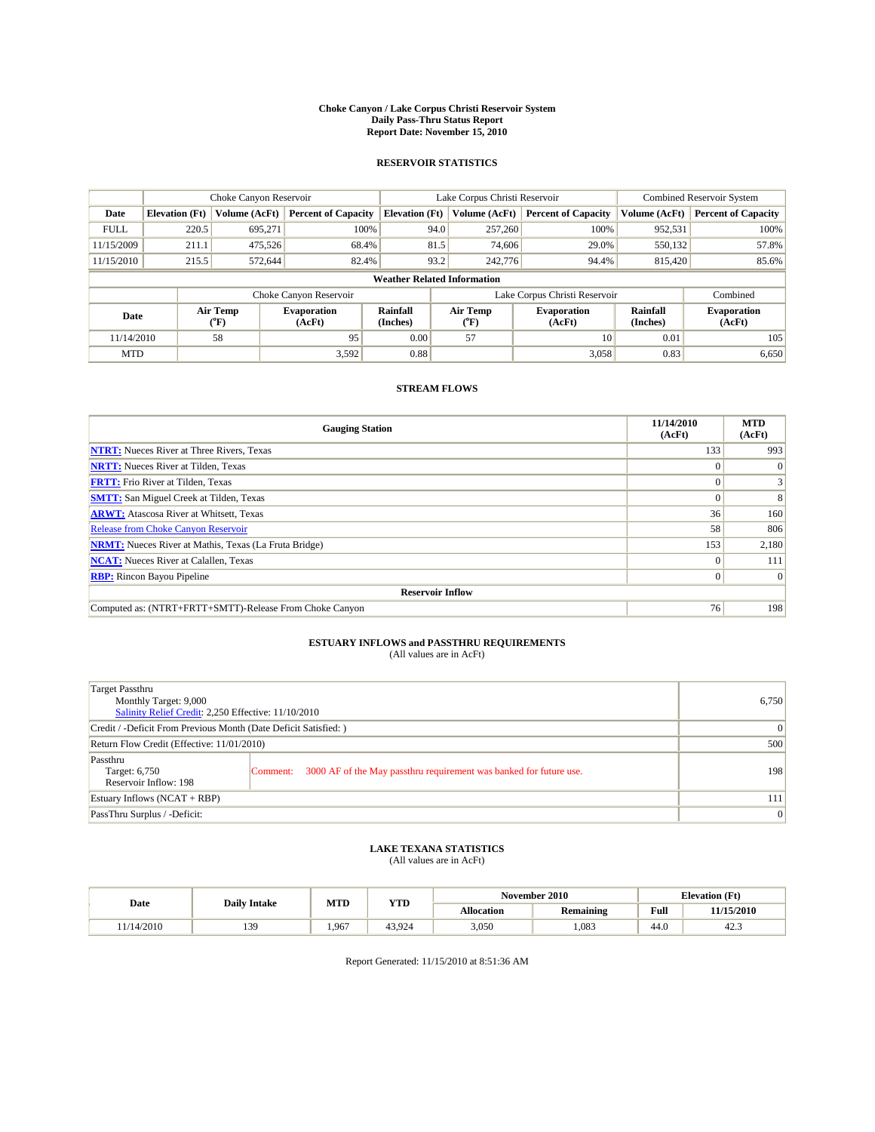#### **Choke Canyon / Lake Corpus Christi Reservoir System Daily Pass-Thru Status Report Report Date: November 15, 2010**

#### **RESERVOIR STATISTICS**

|             | Choke Canyon Reservoir |                  |                              |                                    | Lake Corpus Christi Reservoir | Combined Reservoir System    |                      |                              |
|-------------|------------------------|------------------|------------------------------|------------------------------------|-------------------------------|------------------------------|----------------------|------------------------------|
| Date        | <b>Elevation</b> (Ft)  | Volume (AcFt)    | <b>Percent of Capacity</b>   | <b>Elevation</b> (Ft)              | Volume (AcFt)                 | <b>Percent of Capacity</b>   | Volume (AcFt)        | <b>Percent of Capacity</b>   |
| <b>FULL</b> | 220.5                  | 695,271          | 100%                         | 94.0                               | 257,260                       | 100%                         | 952,531              | 100%                         |
| 11/15/2009  | 211.1                  | 475,526          | 68.4%                        | 81.5                               | 74,606                        | 29.0%                        | 550,132              | 57.8%                        |
| 11/15/2010  | 215.5                  | 572,644          | 82.4%                        | 93.2                               | 242,776                       | 94.4%                        | 815,420              | 85.6%                        |
|             |                        |                  |                              | <b>Weather Related Information</b> |                               |                              |                      |                              |
|             |                        |                  | Choke Canyon Reservoir       |                                    | Lake Corpus Christi Reservoir |                              |                      | Combined                     |
| Date        |                        | Air Temp<br>(°F) | <b>Evaporation</b><br>(AcFt) | <b>Rainfall</b><br>(Inches)        | Air Temp<br>(°F)              | <b>Evaporation</b><br>(AcFt) | Rainfall<br>(Inches) | <b>Evaporation</b><br>(AcFt) |
| 11/14/2010  |                        | 58               | 95                           | 0.00                               | 57                            | 10                           | 0.01                 | 105                          |
| <b>MTD</b>  |                        |                  | 3,592                        | 0.88                               |                               | 3,058                        | 0.83                 | 6,650                        |

### **STREAM FLOWS**

| <b>Gauging Station</b>                                       | 11/14/2010<br>(AcFt) | <b>MTD</b><br>(AcFt) |  |  |  |
|--------------------------------------------------------------|----------------------|----------------------|--|--|--|
| <b>NTRT:</b> Nueces River at Three Rivers, Texas             | 133                  | 993                  |  |  |  |
| <b>NRTT:</b> Nueces River at Tilden, Texas                   | $\theta$             | $\Omega$             |  |  |  |
| <b>FRTT:</b> Frio River at Tilden, Texas                     |                      |                      |  |  |  |
| <b>SMTT:</b> San Miguel Creek at Tilden, Texas               |                      | 8                    |  |  |  |
| <b>ARWT:</b> Atascosa River at Whitsett, Texas               | 36                   | 160                  |  |  |  |
| Release from Choke Canyon Reservoir                          | 58                   | 806                  |  |  |  |
| <b>NRMT:</b> Nueces River at Mathis, Texas (La Fruta Bridge) | 153                  | 2,180                |  |  |  |
| <b>NCAT:</b> Nueces River at Calallen, Texas                 | $\Omega$             | 111                  |  |  |  |
| <b>RBP:</b> Rincon Bayou Pipeline                            | $\Omega$             | $\Omega$             |  |  |  |
| <b>Reservoir Inflow</b>                                      |                      |                      |  |  |  |
| Computed as: (NTRT+FRTT+SMTT)-Release From Choke Canyon      | 76                   | 198                  |  |  |  |

# **ESTUARY INFLOWS and PASSTHRU REQUIREMENTS**<br>(All values are in AcFt)

| Target Passthru<br>Monthly Target: 9,000<br>Salinity Relief Credit: 2,250 Effective: 11/10/2010 |                                                                                | 6,750           |
|-------------------------------------------------------------------------------------------------|--------------------------------------------------------------------------------|-----------------|
| Credit / -Deficit From Previous Month (Date Deficit Satisfied: )                                |                                                                                | $\overline{0}$  |
| Return Flow Credit (Effective: 11/01/2010)                                                      |                                                                                | 500             |
| Passthru<br>Target: 6,750<br>Reservoir Inflow: 198                                              | 3000 AF of the May passthru requirement was banked for future use.<br>Comment: | 198             |
| Estuary Inflows $(NCAT + RBP)$                                                                  | 111                                                                            |                 |
| PassThru Surplus / -Deficit:                                                                    |                                                                                | $\vert 0 \vert$ |

## **LAKE TEXANA STATISTICS** (All values are in AcFt)

|           | <b>Daily Intake</b> | MTD  | November 2010<br><b>YTD</b> |            |                  |      | <b>Elevation</b> (Ft) |
|-----------|---------------------|------|-----------------------------|------------|------------------|------|-----------------------|
| Date      |                     |      |                             | Allocation | <b>Remaining</b> | Full | 11/15/2010            |
| 1/14/2010 | 139<br>             | .967 | 43.924                      | 3,050      | .083             | 44.0 | 42.5                  |

Report Generated: 11/15/2010 at 8:51:36 AM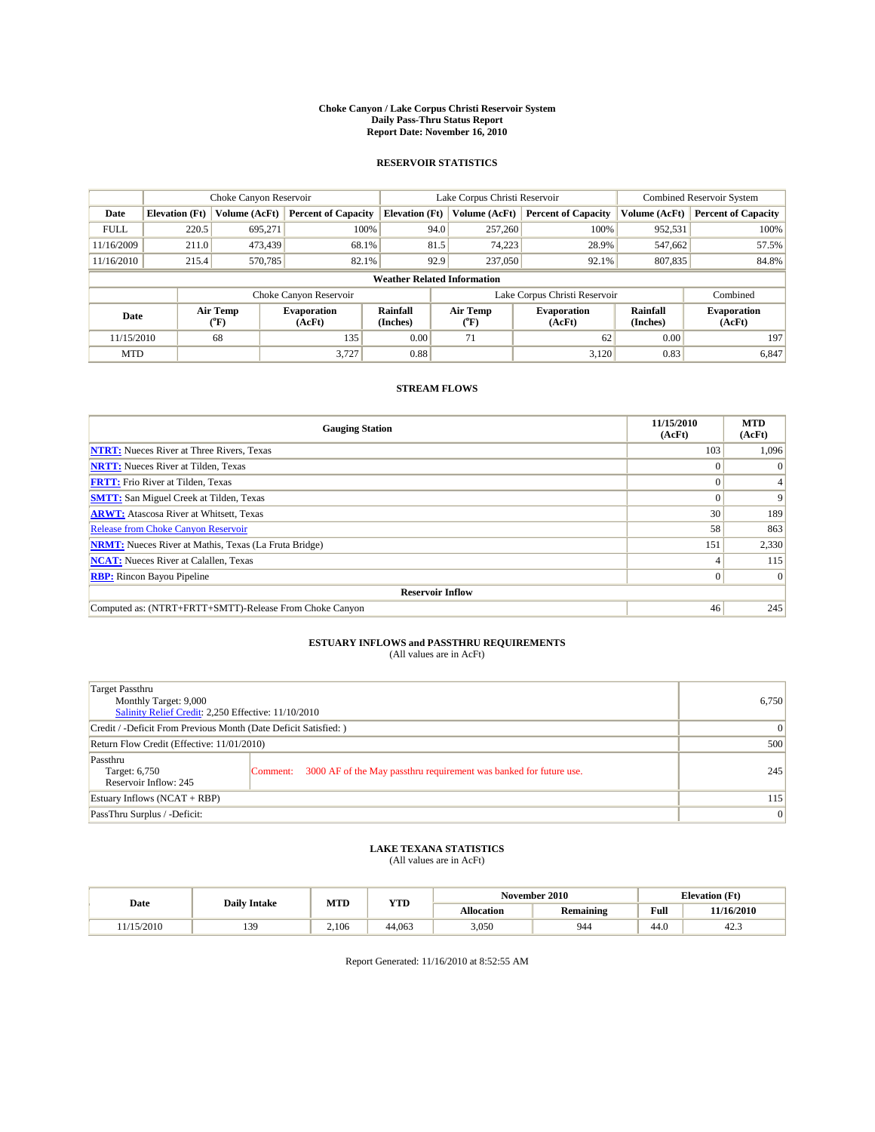#### **Choke Canyon / Lake Corpus Christi Reservoir System Daily Pass-Thru Status Report Report Date: November 16, 2010**

#### **RESERVOIR STATISTICS**

|             | Choke Canyon Reservoir |                             |                              |                             | Lake Corpus Christi Reservoir                                                          | <b>Combined Reservoir System</b> |                              |                            |
|-------------|------------------------|-----------------------------|------------------------------|-----------------------------|----------------------------------------------------------------------------------------|----------------------------------|------------------------------|----------------------------|
| Date        | <b>Elevation</b> (Ft)  | Volume (AcFt)               | <b>Percent of Capacity</b>   | <b>Elevation (Ft)</b>       | Volume (AcFt)                                                                          | <b>Percent of Capacity</b>       | Volume (AcFt)                | <b>Percent of Capacity</b> |
| <b>FULL</b> | 220.5                  | 695,271                     | 100%                         |                             | 257,260<br>94.0                                                                        | 100%                             | 952,531                      | 100%                       |
| 11/16/2009  | 211.0                  | 473,439                     | 68.1%                        |                             | 74.223<br>81.5                                                                         | 28.9%                            | 547,662                      | 57.5%                      |
| 11/16/2010  | 215.4                  | 570,785                     | 82.1%                        |                             | 92.9<br>237,050                                                                        | 92.1%                            | 807,835                      | 84.8%                      |
|             |                        |                             |                              |                             | <b>Weather Related Information</b>                                                     |                                  |                              |                            |
|             |                        |                             | Choke Canyon Reservoir       |                             |                                                                                        | Lake Corpus Christi Reservoir    |                              | Combined                   |
| Date        |                        | Air Temp<br>${}^{\circ}$ F) | <b>Evaporation</b><br>(AcFt) | <b>Rainfall</b><br>(Inches) | Air Temp<br>Rainfall<br><b>Evaporation</b><br>(Inches)<br>$(^{o}\mathrm{F})$<br>(AcFt) |                                  | <b>Evaporation</b><br>(AcFt) |                            |
| 11/15/2010  |                        | 68                          | 135                          | 0.00                        | 71                                                                                     | 62                               | 0.00                         | 197                        |
| <b>MTD</b>  |                        |                             | 3,727                        | 0.88                        |                                                                                        | 3,120                            | 0.83                         | 6,847                      |

### **STREAM FLOWS**

| <b>Gauging Station</b>                                       | 11/15/2010<br>(AcFt) | <b>MTD</b><br>(AcFt) |  |  |  |
|--------------------------------------------------------------|----------------------|----------------------|--|--|--|
| <b>NTRT:</b> Nueces River at Three Rivers, Texas             | 103                  | 1,096                |  |  |  |
| <b>NRTT:</b> Nueces River at Tilden, Texas                   |                      |                      |  |  |  |
| <b>FRTT:</b> Frio River at Tilden, Texas                     |                      |                      |  |  |  |
| <b>SMTT:</b> San Miguel Creek at Tilden, Texas               |                      | 9                    |  |  |  |
| <b>ARWT:</b> Atascosa River at Whitsett, Texas               | 30                   | 189                  |  |  |  |
| <b>Release from Choke Canyon Reservoir</b>                   | 58                   | 863                  |  |  |  |
| <b>NRMT:</b> Nueces River at Mathis, Texas (La Fruta Bridge) | 151                  | 2,330                |  |  |  |
| <b>NCAT:</b> Nueces River at Calallen, Texas                 |                      | 115                  |  |  |  |
| <b>RBP:</b> Rincon Bayou Pipeline                            | $\overline{0}$       | $\Omega$             |  |  |  |
| <b>Reservoir Inflow</b>                                      |                      |                      |  |  |  |
| Computed as: (NTRT+FRTT+SMTT)-Release From Choke Canyon      | 46                   | 245                  |  |  |  |

### **ESTUARY INFLOWS and PASSTHRU REQUIREMENTS**

|  | (All values are in AcFt) |
|--|--------------------------|
|--|--------------------------|

| Target Passthru<br>Monthly Target: 9,000<br>Salinity Relief Credit: 2,250 Effective: 11/10/2010 | 6,750                                                                          |                 |
|-------------------------------------------------------------------------------------------------|--------------------------------------------------------------------------------|-----------------|
| Credit / -Deficit From Previous Month (Date Deficit Satisfied: )                                | $\vert 0 \vert$                                                                |                 |
| Return Flow Credit (Effective: 11/01/2010)                                                      |                                                                                | 500             |
| Passthru<br>Target: 6,750<br>Reservoir Inflow: 245                                              | 3000 AF of the May passthru requirement was banked for future use.<br>Comment: | 245             |
| Estuary Inflows (NCAT + RBP)                                                                    | 115                                                                            |                 |
| PassThru Surplus / -Deficit:                                                                    |                                                                                | $\vert 0 \vert$ |

# **LAKE TEXANA STATISTICS** (All values are in AcFt)

|           | <b>Daily Intake</b> | MTD   | November 2010<br><b>Elevation</b> (Ft)<br><b>YTD</b> |                   |           |      |            |
|-----------|---------------------|-------|------------------------------------------------------|-------------------|-----------|------|------------|
| Date      |                     |       |                                                      | <b>Allocation</b> | Remaining | Full | 11/16/2010 |
| 1/15/2010 | 139<br>             | 2.106 | 44.063                                               | 3,050             | 944       | 44.0 | 42.3       |

Report Generated: 11/16/2010 at 8:52:55 AM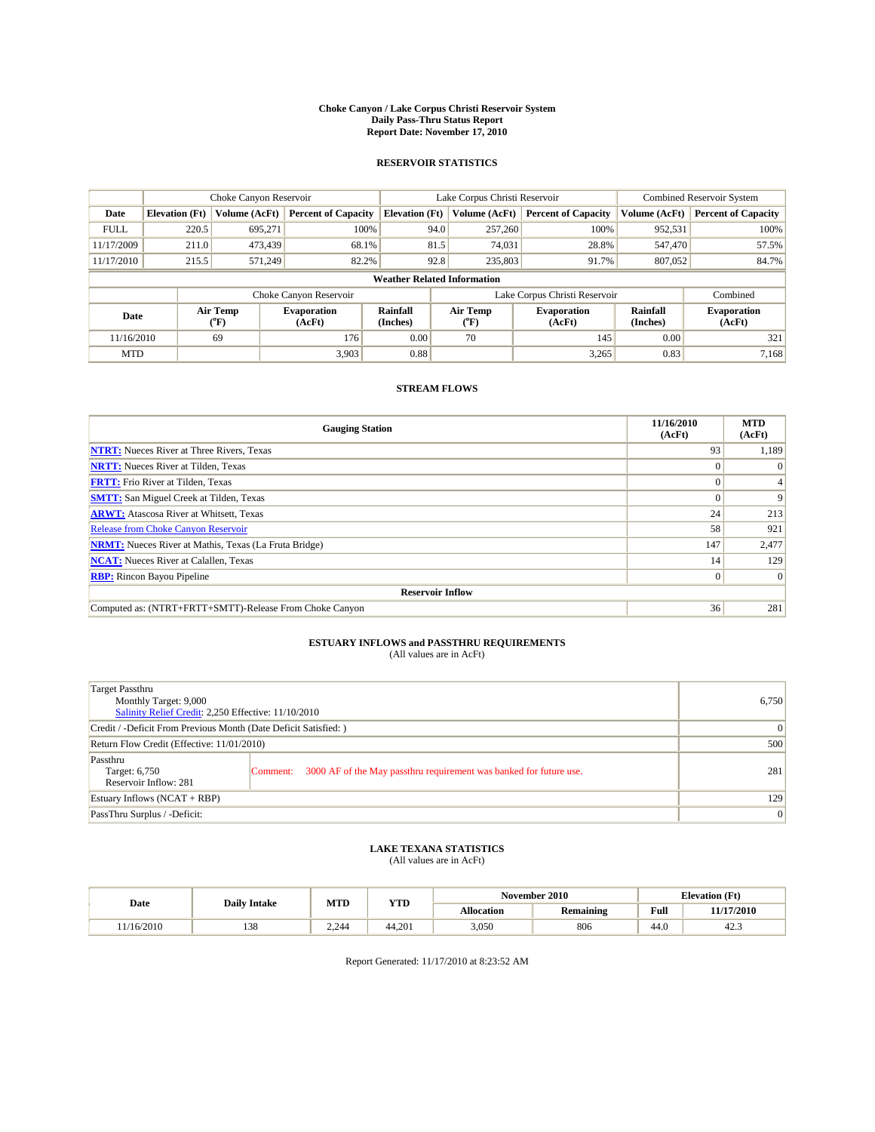#### **Choke Canyon / Lake Corpus Christi Reservoir System Daily Pass-Thru Status Report Report Date: November 17, 2010**

#### **RESERVOIR STATISTICS**

|             | Choke Canyon Reservoir |                             |                              |                                    | Lake Corpus Christi Reservoir                                            |               |                               |                              | <b>Combined Reservoir System</b> |  |
|-------------|------------------------|-----------------------------|------------------------------|------------------------------------|--------------------------------------------------------------------------|---------------|-------------------------------|------------------------------|----------------------------------|--|
| Date        | <b>Elevation</b> (Ft)  | Volume (AcFt)               | <b>Percent of Capacity</b>   | <b>Elevation (Ft)</b>              |                                                                          | Volume (AcFt) | <b>Percent of Capacity</b>    | Volume (AcFt)                | <b>Percent of Capacity</b>       |  |
| <b>FULL</b> | 220.5                  | 695,271                     | 100%                         |                                    | 94.0                                                                     | 257,260       | 100%                          | 952,531                      | 100%                             |  |
| 11/17/2009  | 211.0                  | 473,439                     | 68.1%                        |                                    | 81.5                                                                     | 74,031        | 28.8%                         | 547,470                      | 57.5%                            |  |
| 11/17/2010  | 215.5                  | 571.249                     | 82.2%                        |                                    | 92.8                                                                     | 235,803       | 91.7%                         | 807,052                      | 84.7%                            |  |
|             |                        |                             |                              | <b>Weather Related Information</b> |                                                                          |               |                               |                              |                                  |  |
|             |                        |                             | Choke Canyon Reservoir       |                                    |                                                                          |               | Lake Corpus Christi Reservoir |                              | Combined                         |  |
| Date        |                        | Air Temp<br>${}^{\circ}$ F) | <b>Evaporation</b><br>(AcFt) | <b>Rainfall</b><br>(Inches)        | Air Temp<br>Rainfall<br><b>Evaporation</b><br>(Inches)<br>(°F)<br>(AcFt) |               |                               | <b>Evaporation</b><br>(AcFt) |                                  |  |
| 11/16/2010  |                        | 69                          | 176                          | 0.00                               |                                                                          | 70            | 145                           | 0.00                         | 321                              |  |
| <b>MTD</b>  |                        |                             | 3,903                        | 0.88                               |                                                                          |               | 3,265                         | 0.83                         | 7,168                            |  |

### **STREAM FLOWS**

| <b>Gauging Station</b>                                       | 11/16/2010<br>(AcFt) | <b>MTD</b><br>(AcFt) |  |  |  |
|--------------------------------------------------------------|----------------------|----------------------|--|--|--|
| <b>NTRT:</b> Nueces River at Three Rivers, Texas             | 93                   | 1,189                |  |  |  |
| <b>NRTT:</b> Nueces River at Tilden, Texas                   | $\Omega$             |                      |  |  |  |
| <b>FRTT:</b> Frio River at Tilden, Texas                     |                      |                      |  |  |  |
| <b>SMTT:</b> San Miguel Creek at Tilden, Texas               |                      | 9                    |  |  |  |
| <b>ARWT:</b> Atascosa River at Whitsett, Texas               | 24                   | 213                  |  |  |  |
| <b>Release from Choke Canyon Reservoir</b>                   | 58                   | 921                  |  |  |  |
| <b>NRMT:</b> Nueces River at Mathis, Texas (La Fruta Bridge) | 147                  | 2,477                |  |  |  |
| <b>NCAT:</b> Nueces River at Calallen, Texas                 | 14                   | 129                  |  |  |  |
| <b>RBP:</b> Rincon Bayou Pipeline                            | $\overline{0}$       | $\Omega$             |  |  |  |
| <b>Reservoir Inflow</b>                                      |                      |                      |  |  |  |
| Computed as: (NTRT+FRTT+SMTT)-Release From Choke Canyon      | 36                   | 281                  |  |  |  |

## **ESTUARY INFLOWS and PASSTHRU REQUIREMENTS**

|  | (All values are in AcFt) |
|--|--------------------------|
|--|--------------------------|

| Target Passthru<br>Monthly Target: 9,000<br>Salinity Relief Credit: 2,250 Effective: 11/10/2010 | 6,750                                                                          |                 |
|-------------------------------------------------------------------------------------------------|--------------------------------------------------------------------------------|-----------------|
| Credit / -Deficit From Previous Month (Date Deficit Satisfied: )                                |                                                                                | 0               |
| Return Flow Credit (Effective: 11/01/2010)                                                      |                                                                                | 500             |
| Passthru<br>Target: 6,750<br>Reservoir Inflow: 281                                              | 3000 AF of the May passthru requirement was banked for future use.<br>Comment: | 281             |
| Estuary Inflows (NCAT + RBP)                                                                    |                                                                                | 129             |
| PassThru Surplus / -Deficit:                                                                    |                                                                                | $\vert 0 \vert$ |

## **LAKE TEXANA STATISTICS** (All values are in AcFt)

| Date      |                     | MTD   | YTD    |                   | November 2010 | <b>Elevation</b> (Ft) |            |
|-----------|---------------------|-------|--------|-------------------|---------------|-----------------------|------------|
|           | <b>Daily Intake</b> |       |        | <b>Allocation</b> | Remaining     | Full                  | 11/17/2010 |
| 1/16/2010 | 138                 | 2.244 | 44,201 | 3,050             | 806           | 44.0                  | 42.3       |

Report Generated: 11/17/2010 at 8:23:52 AM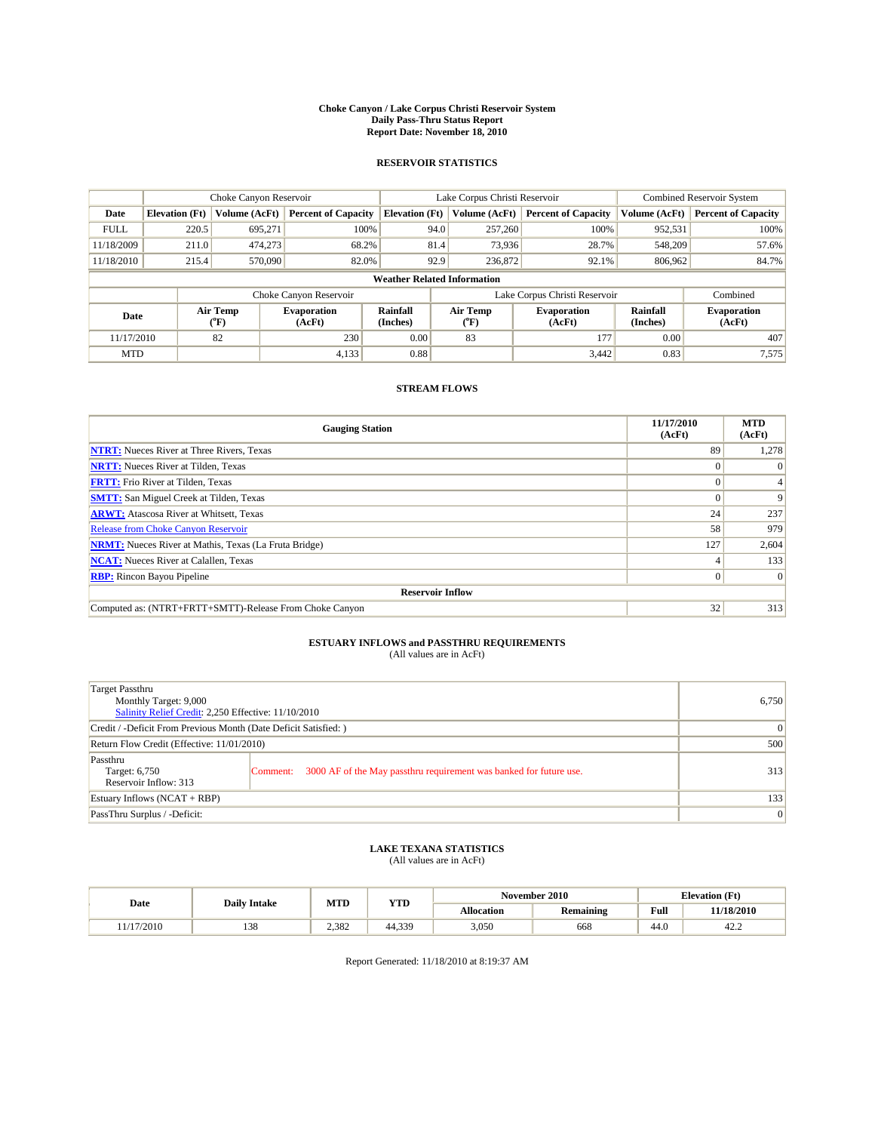#### **Choke Canyon / Lake Corpus Christi Reservoir System Daily Pass-Thru Status Report Report Date: November 18, 2010**

#### **RESERVOIR STATISTICS**

|             |                       | Choke Canyon Reservoir |                              |                                    | Lake Corpus Christi Reservoir | <b>Combined Reservoir System</b> |                      |                              |
|-------------|-----------------------|------------------------|------------------------------|------------------------------------|-------------------------------|----------------------------------|----------------------|------------------------------|
| Date        | <b>Elevation</b> (Ft) | Volume (AcFt)          | <b>Percent of Capacity</b>   | <b>Elevation</b> (Ft)              | Volume (AcFt)                 | <b>Percent of Capacity</b>       | Volume (AcFt)        | <b>Percent of Capacity</b>   |
| <b>FULL</b> | 220.5                 | 695,271                | 100%                         | 94.0                               | 257,260                       | 100%                             | 952,531              | 100%                         |
| 11/18/2009  | 211.0                 | 474,273                | 68.2%                        | 81.4                               | 73,936                        | 28.7%                            | 548,209              | 57.6%                        |
| 11/18/2010  | 215.4                 | 570,090                | 82.0%                        | 92.9                               | 236,872                       | 92.1%                            | 806,962              | 84.7%                        |
|             |                       |                        |                              | <b>Weather Related Information</b> |                               |                                  |                      |                              |
|             |                       |                        | Choke Canyon Reservoir       |                                    | Lake Corpus Christi Reservoir |                                  |                      | Combined                     |
| Date        |                       | Air Temp<br>(°F)       | <b>Evaporation</b><br>(AcFt) | <b>Rainfall</b><br>(Inches)        | Air Temp<br>(°F)              | <b>Evaporation</b><br>(AcFt)     | Rainfall<br>(Inches) | <b>Evaporation</b><br>(AcFt) |
| 11/17/2010  |                       | 82                     | 230                          | 0.00                               | 83                            | 177                              | 0.00                 | 407                          |
| <b>MTD</b>  |                       |                        | 4,133                        | 0.88                               |                               | 3,442                            | 0.83                 | 7,575                        |

### **STREAM FLOWS**

| <b>Gauging Station</b>                                       | 11/17/2010<br>(AcFt) | <b>MTD</b><br>(AcFt) |
|--------------------------------------------------------------|----------------------|----------------------|
| <b>NTRT:</b> Nueces River at Three Rivers, Texas             | 89                   | 1,278                |
| <b>NRTT:</b> Nueces River at Tilden, Texas                   | $\Omega$             |                      |
| <b>FRTT:</b> Frio River at Tilden, Texas                     |                      |                      |
| <b>SMTT:</b> San Miguel Creek at Tilden, Texas               |                      | 9                    |
| <b>ARWT:</b> Atascosa River at Whitsett, Texas               | 24                   | 237                  |
| <b>Release from Choke Canyon Reservoir</b>                   | 58                   | 979                  |
| <b>NRMT:</b> Nueces River at Mathis, Texas (La Fruta Bridge) | 127                  | 2,604                |
| <b>NCAT:</b> Nueces River at Calallen, Texas                 |                      | 133                  |
| <b>RBP:</b> Rincon Bayou Pipeline                            | $\Omega$             | $\Omega$             |
| <b>Reservoir Inflow</b>                                      |                      |                      |
| Computed as: (NTRT+FRTT+SMTT)-Release From Choke Canyon      | 32                   | 313                  |

# **ESTUARY INFLOWS and PASSTHRU REQUIREMENTS**<br>(All values are in AcFt)

| Target Passthru<br>Monthly Target: 9,000<br>Salinity Relief Credit: 2,250 Effective: 11/10/2010 | 6,750                                                                          |     |  |  |  |
|-------------------------------------------------------------------------------------------------|--------------------------------------------------------------------------------|-----|--|--|--|
| Credit / -Deficit From Previous Month (Date Deficit Satisfied: )                                |                                                                                |     |  |  |  |
| Return Flow Credit (Effective: 11/01/2010)                                                      |                                                                                |     |  |  |  |
| Passthru<br>Target: 6,750<br>Reservoir Inflow: 313                                              | 3000 AF of the May passthru requirement was banked for future use.<br>Comment: | 313 |  |  |  |
| Estuary Inflows $(NCAT + RBP)$                                                                  | 133                                                                            |     |  |  |  |
| PassThru Surplus / -Deficit:                                                                    |                                                                                | 0   |  |  |  |

# **LAKE TEXANA STATISTICS** (All values are in AcFt)

| Date    |                     | MTD   | <b>YTD</b> |            | November 2010    | <b>Elevation</b> (Ft) |                  |
|---------|---------------------|-------|------------|------------|------------------|-----------------------|------------------|
|         | <b>Daily Intake</b> |       |            | Allocation | <b>Remaining</b> | Full                  | 11/18/2010       |
| 17/2010 | 129<br>120          | 2.382 | 44.339     | 3,050      | 668              | 44.0                  | $\Delta$<br>42.2 |

Report Generated: 11/18/2010 at 8:19:37 AM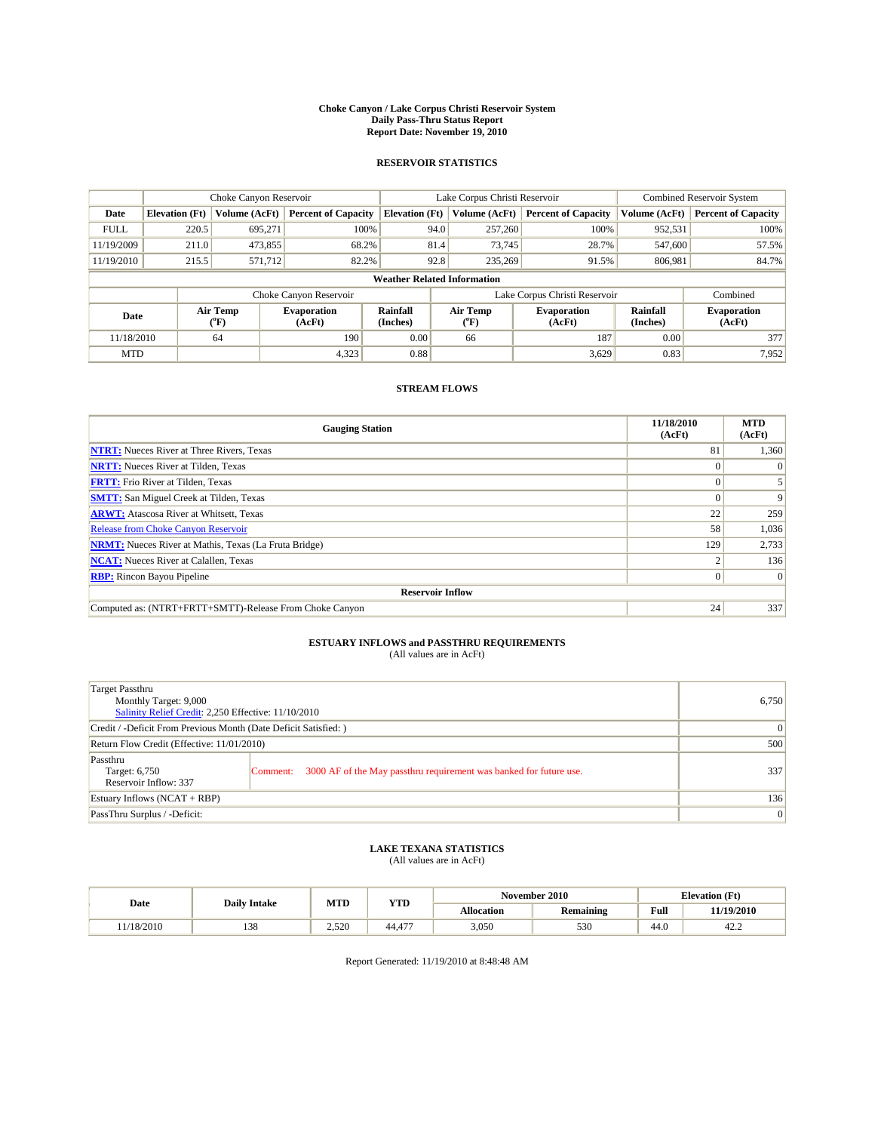#### **Choke Canyon / Lake Corpus Christi Reservoir System Daily Pass-Thru Status Report Report Date: November 19, 2010**

#### **RESERVOIR STATISTICS**

|             | Choke Canyon Reservoir |                             | Lake Corpus Christi Reservoir |                                    |                               |                  | <b>Combined Reservoir System</b> |                      |                              |
|-------------|------------------------|-----------------------------|-------------------------------|------------------------------------|-------------------------------|------------------|----------------------------------|----------------------|------------------------------|
| Date        | <b>Elevation</b> (Ft)  | Volume (AcFt)               | <b>Percent of Capacity</b>    | <b>Elevation (Ft)</b>              |                               | Volume (AcFt)    | <b>Percent of Capacity</b>       | Volume (AcFt)        | <b>Percent of Capacity</b>   |
| <b>FULL</b> | 220.5                  | 695,271                     | 100%                          |                                    | 94.0                          | 257,260          | 100%                             | 952,531              | 100%                         |
| 11/19/2009  | 211.0                  | 473,855                     | 68.2%                         |                                    | 81.4                          | 73,745           | 28.7%                            | 547,600              | 57.5%                        |
| 11/19/2010  | 215.5                  | 571.712                     | 82.2%                         |                                    | 92.8                          | 235,269          | 91.5%                            | 806.981              | 84.7%                        |
|             |                        |                             |                               | <b>Weather Related Information</b> |                               |                  |                                  |                      |                              |
|             |                        |                             | Choke Canyon Reservoir        |                                    | Lake Corpus Christi Reservoir |                  |                                  |                      | Combined                     |
| Date        |                        | Air Temp<br>${}^{\circ}$ F) | <b>Evaporation</b><br>(AcFt)  | <b>Rainfall</b><br>(Inches)        |                               | Air Temp<br>(°F) | <b>Evaporation</b><br>(AcFt)     | Rainfall<br>(Inches) | <b>Evaporation</b><br>(AcFt) |
| 11/18/2010  |                        | 64                          | 190                           | 0.00                               |                               | 66               | 187                              | 0.00                 | 377                          |
| <b>MTD</b>  |                        |                             | 4,323                         | 0.88                               |                               |                  | 3,629                            | 0.83                 | 7,952                        |

### **STREAM FLOWS**

| <b>Gauging Station</b>                                       | 11/18/2010<br>(AcFt) | <b>MTD</b><br>(AcFt) |
|--------------------------------------------------------------|----------------------|----------------------|
| <b>NTRT:</b> Nueces River at Three Rivers, Texas             | 81                   | 1,360                |
| <b>NRTT:</b> Nueces River at Tilden, Texas                   | 0                    |                      |
| <b>FRTT:</b> Frio River at Tilden, Texas                     |                      |                      |
| <b>SMTT:</b> San Miguel Creek at Tilden, Texas               |                      | $\mathbf Q$          |
| <b>ARWT:</b> Atascosa River at Whitsett, Texas               | 22                   | 259                  |
| <b>Release from Choke Canyon Reservoir</b>                   | 58                   | 1,036                |
| <b>NRMT:</b> Nueces River at Mathis, Texas (La Fruta Bridge) | 129                  | 2,733                |
| <b>NCAT:</b> Nueces River at Calallen, Texas                 |                      | 136                  |
| <b>RBP:</b> Rincon Bayou Pipeline                            | $\Omega$             | $\Omega$             |
| <b>Reservoir Inflow</b>                                      |                      |                      |
| Computed as: (NTRT+FRTT+SMTT)-Release From Choke Canyon      | 24                   | 337                  |

## **ESTUARY INFLOWS and PASSTHRU REQUIREMENTS**

|  | (All values are in AcFt) |
|--|--------------------------|
|--|--------------------------|

| Target Passthru<br>Monthly Target: 9,000<br>Salinity Relief Credit: 2,250 Effective: 11/10/2010 |                                                                                |                 |  |  |  |
|-------------------------------------------------------------------------------------------------|--------------------------------------------------------------------------------|-----------------|--|--|--|
| Credit / -Deficit From Previous Month (Date Deficit Satisfied: )                                |                                                                                |                 |  |  |  |
| Return Flow Credit (Effective: 11/01/2010)                                                      |                                                                                |                 |  |  |  |
| Passthru<br>Target: 6,750<br>Reservoir Inflow: 337                                              | 3000 AF of the May passthru requirement was banked for future use.<br>Comment: | 337             |  |  |  |
| Estuary Inflows (NCAT + RBP)                                                                    |                                                                                |                 |  |  |  |
| PassThru Surplus / -Deficit:                                                                    |                                                                                | $\vert 0 \vert$ |  |  |  |

## **LAKE TEXANA STATISTICS** (All values are in AcFt)

| Date      | <b>Daily Intake</b> | MTD   | YTD          |                   | November 2010 | <b>Elevation</b> (Ft)                       |                |
|-----------|---------------------|-------|--------------|-------------------|---------------|---------------------------------------------|----------------|
|           |                     |       |              | <b>Allocation</b> | Remaining     | Full<br>the contract of the contract of the | 11/19/2010     |
| 1/18/2010 | 138                 | 2.520 | 477<br>44.47 | 3,050             | 530           | 44.0                                        | $\sim$<br>42.2 |

Report Generated: 11/19/2010 at 8:48:48 AM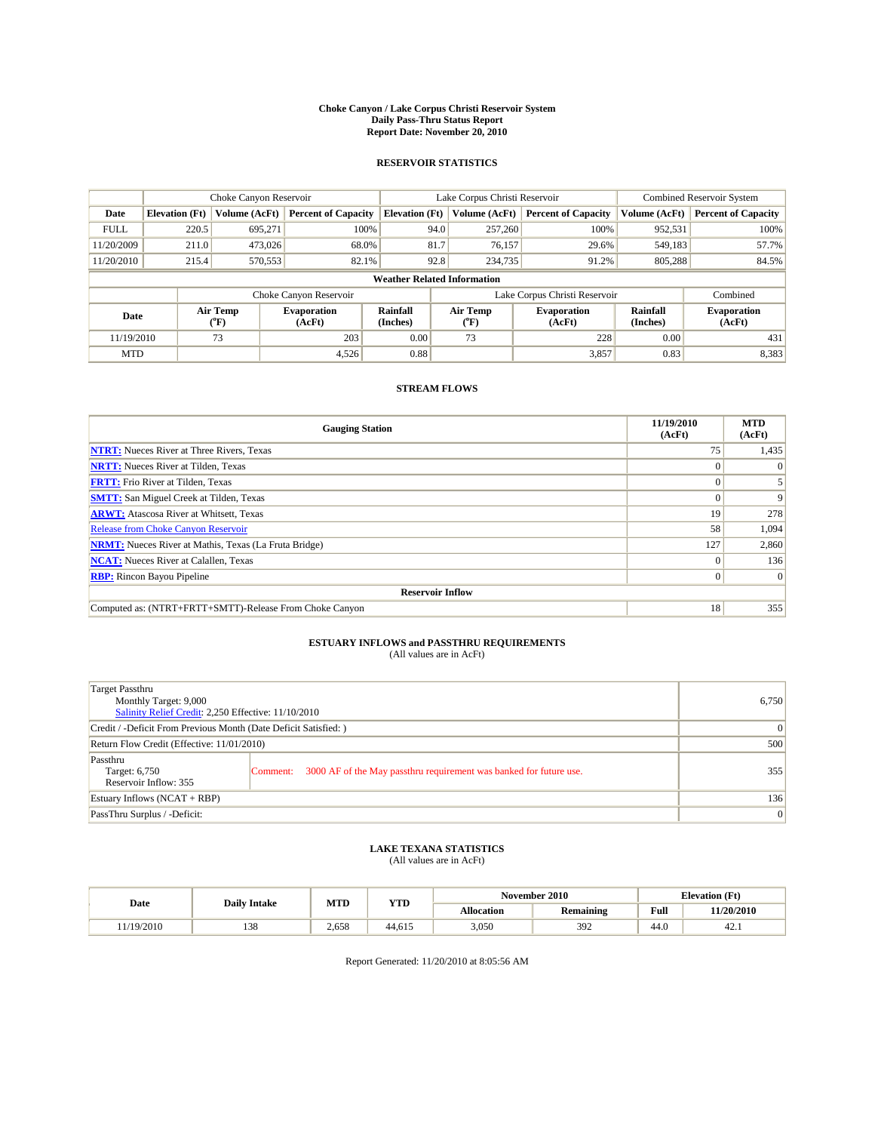#### **Choke Canyon / Lake Corpus Christi Reservoir System Daily Pass-Thru Status Report Report Date: November 20, 2010**

#### **RESERVOIR STATISTICS**

|             | Choke Canyon Reservoir |                            | Lake Corpus Christi Reservoir |                                    |                                         |         | Combined Reservoir System    |                      |                              |
|-------------|------------------------|----------------------------|-------------------------------|------------------------------------|-----------------------------------------|---------|------------------------------|----------------------|------------------------------|
| Date        | <b>Elevation</b> (Ft)  | Volume (AcFt)              | <b>Percent of Capacity</b>    | <b>Elevation (Ft)</b>              | Volume (AcFt)                           |         | <b>Percent of Capacity</b>   | Volume (AcFt)        | <b>Percent of Capacity</b>   |
| <b>FULL</b> | 220.5                  | 695,271                    | 100%                          |                                    | 94.0                                    | 257,260 | 100%                         | 952,531              | 100%                         |
| 11/20/2009  | 211.0                  | 473,026                    | 68.0%                         |                                    | 81.7                                    | 76,157  | 29.6%                        | 549,183              | 57.7%                        |
| 11/20/2010  | 215.4                  | 570,553                    | 82.1%                         |                                    | 92.8                                    | 234,735 | 91.2%                        | 805,288              | 84.5%                        |
|             |                        |                            |                               | <b>Weather Related Information</b> |                                         |         |                              |                      |                              |
|             |                        |                            | Choke Canyon Reservoir        |                                    | Lake Corpus Christi Reservoir           |         |                              |                      | Combined                     |
| Date        |                        | Air Temp<br>${}^{\circ}F)$ | <b>Evaporation</b><br>(AcFt)  | Rainfall<br>(Inches)               | Air Temp<br>$(^{\mathrm{o}}\mathrm{F})$ |         | <b>Evaporation</b><br>(AcFt) | Rainfall<br>(Inches) | <b>Evaporation</b><br>(AcFt) |
| 11/19/2010  |                        | 73                         | 203                           | 0.00                               | 73                                      |         | 228                          | 0.00                 | 431                          |
| <b>MTD</b>  |                        |                            | 4,526                         | 0.88                               |                                         |         | 3,857                        | 0.83                 | 8,383                        |

### **STREAM FLOWS**

| <b>Gauging Station</b>                                       | 11/19/2010<br>(AcFt) | <b>MTD</b><br>(AcFt) |
|--------------------------------------------------------------|----------------------|----------------------|
| <b>NTRT:</b> Nueces River at Three Rivers, Texas             | 75                   | 1,435                |
| <b>NRTT:</b> Nueces River at Tilden, Texas                   |                      |                      |
| <b>FRTT:</b> Frio River at Tilden, Texas                     |                      |                      |
| <b>SMTT:</b> San Miguel Creek at Tilden, Texas               |                      | 9                    |
| <b>ARWT:</b> Atascosa River at Whitsett, Texas               | 19                   | 278                  |
| <b>Release from Choke Canyon Reservoir</b>                   | 58                   | 1,094                |
| <b>NRMT:</b> Nueces River at Mathis, Texas (La Fruta Bridge) | 127                  | 2,860                |
| <b>NCAT:</b> Nueces River at Calallen, Texas                 | $\Omega$             | 136                  |
| <b>RBP:</b> Rincon Bayou Pipeline                            | $\overline{0}$       | $\Omega$             |
| <b>Reservoir Inflow</b>                                      |                      |                      |
| Computed as: (NTRT+FRTT+SMTT)-Release From Choke Canyon      | 18                   | 355                  |

# **ESTUARY INFLOWS and PASSTHRU REQUIREMENTS**<br>(All values are in AcFt)

| Target Passthru<br>Monthly Target: 9,000<br>Salinity Relief Credit: 2,250 Effective: 11/10/2010 |                                                                                |     |  |  |  |
|-------------------------------------------------------------------------------------------------|--------------------------------------------------------------------------------|-----|--|--|--|
| Credit / -Deficit From Previous Month (Date Deficit Satisfied: )                                |                                                                                |     |  |  |  |
| Return Flow Credit (Effective: 11/01/2010)                                                      |                                                                                |     |  |  |  |
| Passthru<br>Target: 6,750<br>Reservoir Inflow: 355                                              | 3000 AF of the May passthru requirement was banked for future use.<br>Comment: | 355 |  |  |  |
| Estuary Inflows $(NCAT + RBP)$                                                                  |                                                                                |     |  |  |  |
| PassThru Surplus / -Deficit:                                                                    |                                                                                | 0   |  |  |  |

# **LAKE TEXANA STATISTICS** (All values are in AcFt)

| Date      | <b>Daily Intake</b> | MTD   | <b>YTD</b> |            | November 2010    |                                             | <b>Elevation</b> (Ft) |
|-----------|---------------------|-------|------------|------------|------------------|---------------------------------------------|-----------------------|
|           |                     |       |            | Allocation | <b>Remaining</b> | Full<br>the contract of the contract of the | 11/20/2010            |
| 1/19/2010 | 120<br>120          | 2.658 | 44.615     | 3,050      | 392              | 44.0                                        | 42.1                  |

Report Generated: 11/20/2010 at 8:05:56 AM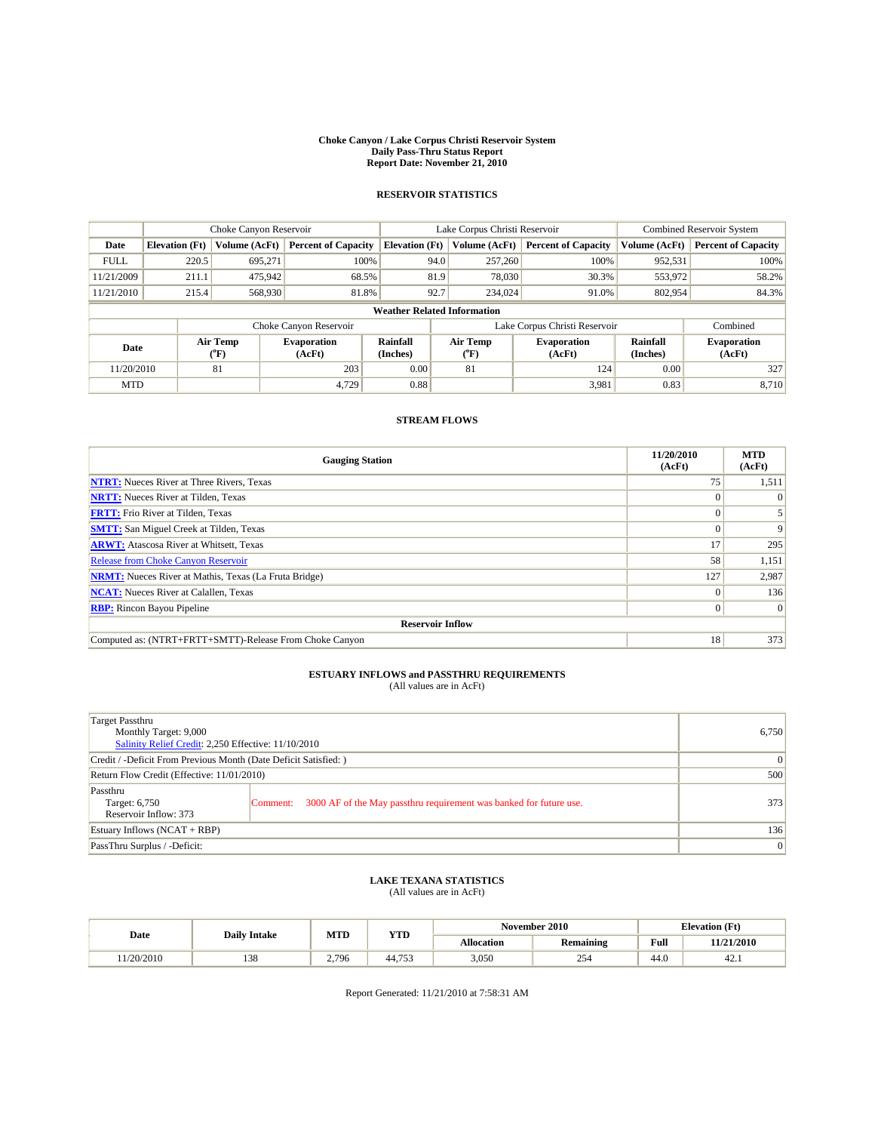#### **Choke Canyon / Lake Corpus Christi Reservoir System Daily Pass-Thru Status Report Report Date: November 21, 2010**

### **RESERVOIR STATISTICS**

|             | Choke Canyon Reservoir |                  |                              |                                    | Lake Corpus Christi Reservoir |                  |                               |                      | <b>Combined Reservoir System</b> |  |
|-------------|------------------------|------------------|------------------------------|------------------------------------|-------------------------------|------------------|-------------------------------|----------------------|----------------------------------|--|
| Date        | <b>Elevation</b> (Ft)  | Volume (AcFt)    | <b>Percent of Capacity</b>   | <b>Elevation</b> (Ft)              |                               | Volume (AcFt)    | <b>Percent of Capacity</b>    | Volume (AcFt)        | <b>Percent of Capacity</b>       |  |
| <b>FULL</b> | 220.5                  | 695.271          | 100%                         |                                    | 94.0                          | 257,260          | 100%                          | 952,531              | 100%                             |  |
| 11/21/2009  | 211.1                  | 475,942          | 68.5%                        |                                    | 81.9                          | 78,030           | 30.3%                         | 553,972              | 58.2%                            |  |
| 11/21/2010  | 215.4                  | 568,930          | 81.8%                        |                                    | 92.7                          | 234,024          | 91.0%                         | 802,954              | 84.3%                            |  |
|             |                        |                  |                              | <b>Weather Related Information</b> |                               |                  |                               |                      |                                  |  |
|             |                        |                  | Choke Canyon Reservoir       |                                    |                               |                  | Lake Corpus Christi Reservoir |                      | Combined                         |  |
| Date        |                        | Air Temp<br>(°F) | <b>Evaporation</b><br>(AcFt) | Rainfall<br>(Inches)               |                               | Air Temp<br>("F) | <b>Evaporation</b><br>(AcFt)  | Rainfall<br>(Inches) | <b>Evaporation</b><br>(AcFt)     |  |
| 11/20/2010  |                        | 81               | 203                          | 0.00                               |                               | 81               | 124                           | 0.00                 | 327                              |  |
| <b>MTD</b>  |                        |                  | 4,729                        | 0.88                               |                               |                  | 3,981                         | 0.83                 | 8,710                            |  |

### **STREAM FLOWS**

| <b>Gauging Station</b>                                       | 11/20/2010<br>(AcFt) | <b>MTD</b><br>(AcFt) |
|--------------------------------------------------------------|----------------------|----------------------|
| <b>NTRT:</b> Nueces River at Three Rivers, Texas             | 75                   | 1,511                |
| <b>NRTT:</b> Nueces River at Tilden, Texas                   |                      | $\Omega$             |
| <b>FRTT:</b> Frio River at Tilden, Texas                     |                      |                      |
| <b>SMTT:</b> San Miguel Creek at Tilden, Texas               |                      | 9                    |
| <b>ARWT:</b> Atascosa River at Whitsett, Texas               | 17                   | 295                  |
| <b>Release from Choke Canyon Reservoir</b>                   | 58                   | 1,151                |
| <b>NRMT:</b> Nueces River at Mathis, Texas (La Fruta Bridge) | 127                  | 2,987                |
| <b>NCAT:</b> Nueces River at Calallen, Texas                 |                      | 136                  |
| <b>RBP:</b> Rincon Bayou Pipeline                            | 0                    | $\Omega$             |
| <b>Reservoir Inflow</b>                                      |                      |                      |
| Computed as: (NTRT+FRTT+SMTT)-Release From Choke Canyon      | 18                   | 373                  |

## **ESTUARY INFLOWS and PASSTHRU REQUIREMENTS**<br>(All values are in AcFt)

| Target Passthru<br>Monthly Target: 9,000<br>Salinity Relief Credit: 2,250 Effective: 11/10/2010 |                                                                                |     |  |  |  |  |
|-------------------------------------------------------------------------------------------------|--------------------------------------------------------------------------------|-----|--|--|--|--|
| Credit / -Deficit From Previous Month (Date Deficit Satisfied: )                                |                                                                                |     |  |  |  |  |
| Return Flow Credit (Effective: 11/01/2010)                                                      |                                                                                |     |  |  |  |  |
| Passthru<br>Target: 6,750<br>Reservoir Inflow: 373                                              | 3000 AF of the May passthru requirement was banked for future use.<br>Comment: | 373 |  |  |  |  |
| Estuary Inflows $(NCAT + RBP)$                                                                  | 136                                                                            |     |  |  |  |  |
| PassThru Surplus / -Deficit:                                                                    |                                                                                |     |  |  |  |  |

# **LAKE TEXANA STATISTICS** (All values are in AcFt)

| Date      | <b>Daily Intake</b>   | MTD              | <b>YTD</b> |                   | November 2010 | <b>Elevation</b> (Ft) |            |
|-----------|-----------------------|------------------|------------|-------------------|---------------|-----------------------|------------|
|           |                       |                  |            | <b>Allocation</b> | Remaining     | Full                  | 11/21/2010 |
| 1/20/2010 | 0 <sup>0</sup><br>120 | ,796<br><u>.</u> | 44.753     | 3,050             | 25/<br>-ت     | 44.0                  | 42.1       |

Report Generated: 11/21/2010 at 7:58:31 AM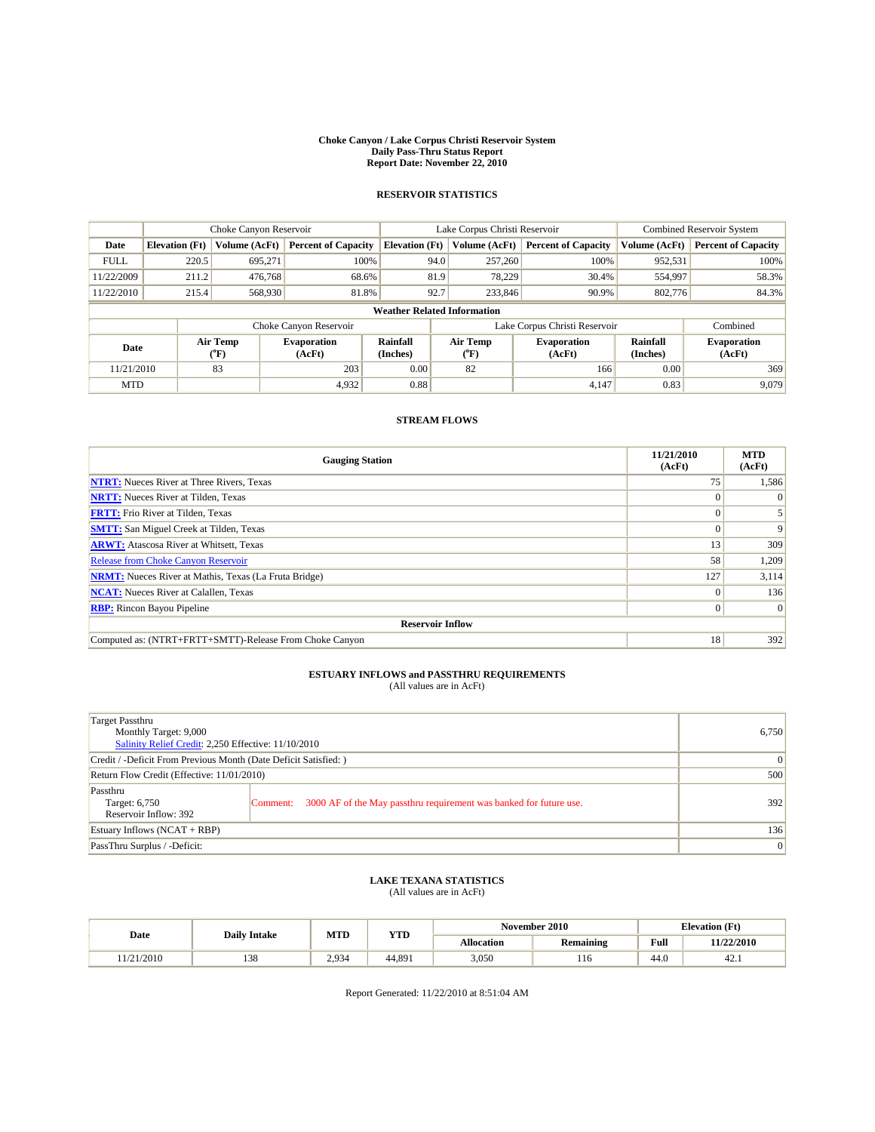#### **Choke Canyon / Lake Corpus Christi Reservoir System Daily Pass-Thru Status Report Report Date: November 22, 2010**

### **RESERVOIR STATISTICS**

|             | Choke Canyon Reservoir |                  |                              |                                    | Lake Corpus Christi Reservoir |                  |                               |                      | <b>Combined Reservoir System</b> |  |  |
|-------------|------------------------|------------------|------------------------------|------------------------------------|-------------------------------|------------------|-------------------------------|----------------------|----------------------------------|--|--|
| Date        | <b>Elevation</b> (Ft)  | Volume (AcFt)    | <b>Percent of Capacity</b>   | <b>Elevation</b> (Ft)              |                               | Volume (AcFt)    | <b>Percent of Capacity</b>    | Volume (AcFt)        | <b>Percent of Capacity</b>       |  |  |
| <b>FULL</b> | 220.5                  | 695.271          | 100%                         |                                    | 94.0                          | 257,260          | 100%                          | 952,531              | 100%                             |  |  |
| 11/22/2009  | 211.2                  | 476,768          | 68.6%                        |                                    | 81.9                          | 78.229           | 30.4%                         | 554,997              | 58.3%                            |  |  |
| 11/22/2010  | 215.4                  | 568,930          | 81.8%                        |                                    | 92.7                          | 233,846          | 90.9%                         | 802,776              | 84.3%                            |  |  |
|             |                        |                  |                              | <b>Weather Related Information</b> |                               |                  |                               |                      |                                  |  |  |
|             |                        |                  | Choke Canyon Reservoir       |                                    |                               |                  | Lake Corpus Christi Reservoir |                      | Combined                         |  |  |
| Date        |                        | Air Temp<br>(°F) | <b>Evaporation</b><br>(AcFt) | Rainfall<br>(Inches)               |                               | Air Temp<br>("F) | <b>Evaporation</b><br>(AcFt)  | Rainfall<br>(Inches) | <b>Evaporation</b><br>(AcFt)     |  |  |
| 11/21/2010  |                        | 83               | 203                          | 0.00                               |                               | 82               | 166                           | 0.00                 | 369                              |  |  |
| <b>MTD</b>  |                        |                  | 4,932                        | 0.88                               |                               |                  | 4,147                         | 0.83                 | 9,079                            |  |  |

### **STREAM FLOWS**

| <b>Gauging Station</b>                                       | 11/21/2010<br>(AcFt) | <b>MTD</b><br>(AcFt) |
|--------------------------------------------------------------|----------------------|----------------------|
| <b>NTRT:</b> Nueces River at Three Rivers, Texas             | 75                   | 1,586                |
| <b>NRTT:</b> Nueces River at Tilden, Texas                   |                      | $\Omega$             |
| <b>FRTT:</b> Frio River at Tilden, Texas                     |                      |                      |
| <b>SMTT:</b> San Miguel Creek at Tilden, Texas               |                      | 9                    |
| <b>ARWT:</b> Atascosa River at Whitsett, Texas               | 13                   | 309                  |
| <b>Release from Choke Canyon Reservoir</b>                   | 58                   | 1,209                |
| <b>NRMT:</b> Nueces River at Mathis, Texas (La Fruta Bridge) | 127                  | 3,114                |
| <b>NCAT:</b> Nueces River at Calallen, Texas                 |                      | 136                  |
| <b>RBP:</b> Rincon Bayou Pipeline                            | 0                    | $\Omega$             |
| <b>Reservoir Inflow</b>                                      |                      |                      |
| Computed as: (NTRT+FRTT+SMTT)-Release From Choke Canyon      | 18                   | 392                  |

### **ESTUARY INFLOWS and PASSTHRU REQUIREMENTS**<br>(All values are in AcFt)

| Target Passthru<br>Monthly Target: 9,000<br>Salinity Relief Credit: 2,250 Effective: 11/10/2010 |                                                                                |     |  |  |  |  |
|-------------------------------------------------------------------------------------------------|--------------------------------------------------------------------------------|-----|--|--|--|--|
| Credit / -Deficit From Previous Month (Date Deficit Satisfied: )                                |                                                                                |     |  |  |  |  |
| Return Flow Credit (Effective: 11/01/2010)                                                      |                                                                                |     |  |  |  |  |
| Passthru<br>Target: 6,750<br>Reservoir Inflow: 392                                              | 3000 AF of the May passthru requirement was banked for future use.<br>Comment: | 392 |  |  |  |  |
| Estuary Inflows $(NCAT + RBP)$                                                                  | 136                                                                            |     |  |  |  |  |
| PassThru Surplus / -Deficit:                                                                    |                                                                                |     |  |  |  |  |

# **LAKE TEXANA STATISTICS** (All values are in AcFt)

| Date       | <b>Daily Intake</b> | MTD   | YTD    | November 2010     |                  | <b>Elevation</b> (Ft) |            |
|------------|---------------------|-------|--------|-------------------|------------------|-----------------------|------------|
|            |                     |       |        | <b>Allocation</b> | <b>Remaining</b> | Full                  | 11/22/2010 |
| 11/21/2010 | 138                 | 2.934 | 44.891 | 3,050             | 116              | 44.0                  | 42.1       |

Report Generated: 11/22/2010 at 8:51:04 AM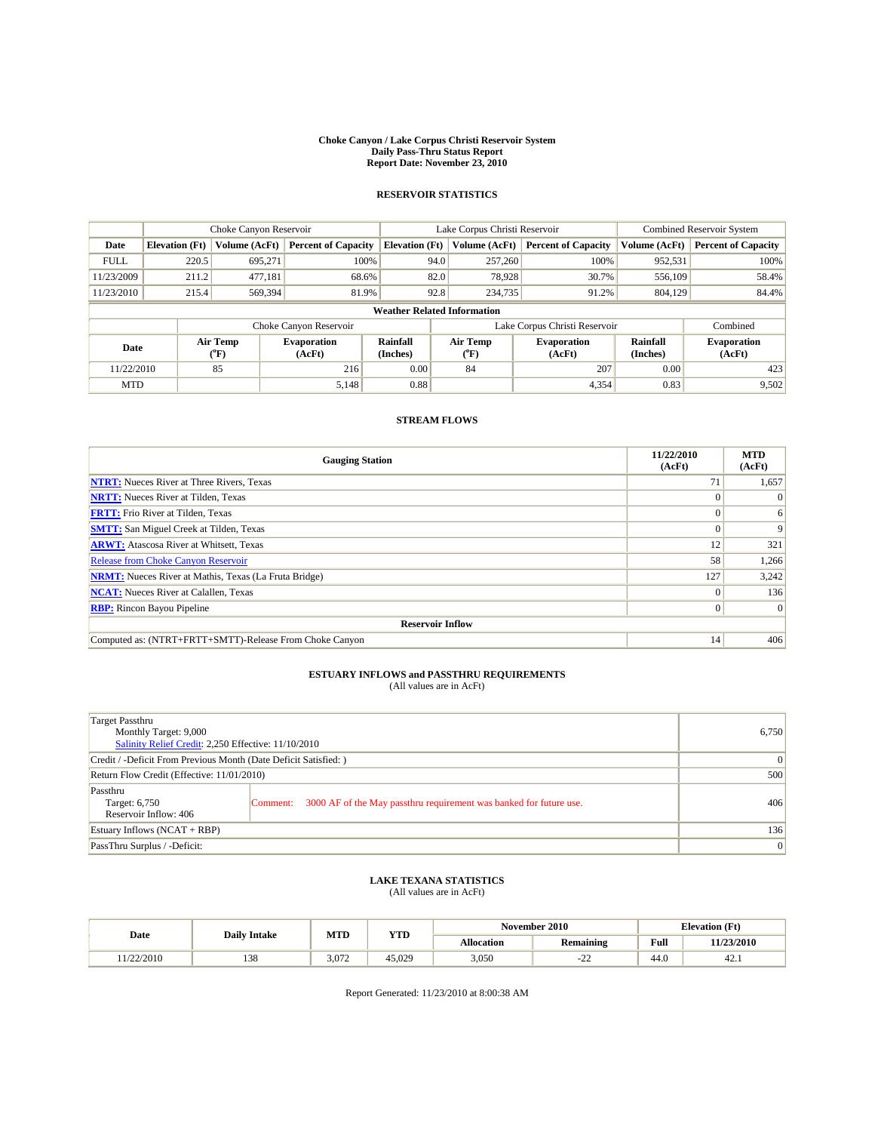#### **Choke Canyon / Lake Corpus Christi Reservoir System Daily Pass-Thru Status Report Report Date: November 23, 2010**

### **RESERVOIR STATISTICS**

|             | Choke Canyon Reservoir             |                  |                              |                       | Lake Corpus Christi Reservoir | <b>Combined Reservoir System</b> |                      |                              |  |  |
|-------------|------------------------------------|------------------|------------------------------|-----------------------|-------------------------------|----------------------------------|----------------------|------------------------------|--|--|
| Date        | <b>Elevation</b> (Ft)              | Volume (AcFt)    | <b>Percent of Capacity</b>   | <b>Elevation</b> (Ft) | Volume (AcFt)                 | <b>Percent of Capacity</b>       | Volume (AcFt)        | <b>Percent of Capacity</b>   |  |  |
| <b>FULL</b> | 220.5                              | 695.271          | 100%                         | 94.0                  | 257,260                       | 100%                             | 952,531              | 100%                         |  |  |
| 11/23/2009  | 211.2                              | 477.181          | 68.6%                        | 82.0                  | 78.928                        | 30.7%                            | 556,109              | 58.4%                        |  |  |
| 11/23/2010  | 215.4                              | 569,394          | 81.9%                        | 92.8                  | 234,735                       | 91.2%                            | 804,129              | 84.4%                        |  |  |
|             | <b>Weather Related Information</b> |                  |                              |                       |                               |                                  |                      |                              |  |  |
|             |                                    |                  | Choke Canyon Reservoir       |                       |                               | Lake Corpus Christi Reservoir    |                      | Combined                     |  |  |
| Date        |                                    | Air Temp<br>(°F) | <b>Evaporation</b><br>(AcFt) | Rainfall<br>(Inches)  | Air Temp<br>$^{\circ}$ F)     | <b>Evaporation</b><br>(AcFt)     | Rainfall<br>(Inches) | <b>Evaporation</b><br>(AcFt) |  |  |
| 11/22/2010  |                                    | 85               | 216                          | 0.00                  | 84                            | 207                              | 0.00                 | 423                          |  |  |
| <b>MTD</b>  |                                    |                  | 5,148                        | 0.88                  |                               | 4,354                            | 0.83                 | 9,502                        |  |  |

### **STREAM FLOWS**

| <b>Gauging Station</b>                                       | 11/22/2010<br>(AcFt) | <b>MTD</b><br>(AcFt) |
|--------------------------------------------------------------|----------------------|----------------------|
| <b>NTRT:</b> Nueces River at Three Rivers, Texas             | 71                   | 1,657                |
| <b>NRTT:</b> Nueces River at Tilden, Texas                   |                      | $\Omega$             |
| <b>FRTT:</b> Frio River at Tilden, Texas                     |                      | 6                    |
| <b>SMTT:</b> San Miguel Creek at Tilden, Texas               |                      | 9                    |
| <b>ARWT:</b> Atascosa River at Whitsett, Texas               | 12                   | 321                  |
| <b>Release from Choke Canyon Reservoir</b>                   | 58                   | 1,266                |
| <b>NRMT:</b> Nueces River at Mathis, Texas (La Fruta Bridge) | 127                  | 3,242                |
| <b>NCAT:</b> Nueces River at Calallen, Texas                 |                      | 136                  |
| <b>RBP:</b> Rincon Bayou Pipeline                            | 0                    | $\Omega$             |
| <b>Reservoir Inflow</b>                                      |                      |                      |
| Computed as: (NTRT+FRTT+SMTT)-Release From Choke Canyon      | 14                   | 406                  |

### **ESTUARY INFLOWS and PASSTHRU REQUIREMENTS**<br>(All values are in AcFt)

| Target Passthru<br>Monthly Target: 9,000<br>Salinity Relief Credit: 2,250 Effective: 11/10/2010 |                                                                                |     |  |  |
|-------------------------------------------------------------------------------------------------|--------------------------------------------------------------------------------|-----|--|--|
| Credit / -Deficit From Previous Month (Date Deficit Satisfied: )                                |                                                                                | 0   |  |  |
| Return Flow Credit (Effective: 11/01/2010)                                                      |                                                                                |     |  |  |
| Passthru<br>Target: 6,750<br>Reservoir Inflow: 406                                              | 3000 AF of the May passthru requirement was banked for future use.<br>Comment: | 406 |  |  |
| Estuary Inflows $(NCAT + RBP)$                                                                  | 136                                                                            |     |  |  |
| PassThru Surplus / -Deficit:                                                                    |                                                                                | 0   |  |  |

# **LAKE TEXANA STATISTICS** (All values are in AcFt)

| Date      | <b>Daily Intake</b> | MTD   | YTD    | November 2010     |                         | <b>Elevation</b> (Ft) |            |
|-----------|---------------------|-------|--------|-------------------|-------------------------|-----------------------|------------|
|           |                     |       |        | <b>Allocation</b> | <b>Remaining</b>        | Full                  | 11/23/2010 |
| 1/22/2010 | 138                 | 3.072 | 45.029 | 3,050             | $\mathcal{L}$<br>ے ہے – | 44.0                  | 42.1       |

Report Generated: 11/23/2010 at 8:00:38 AM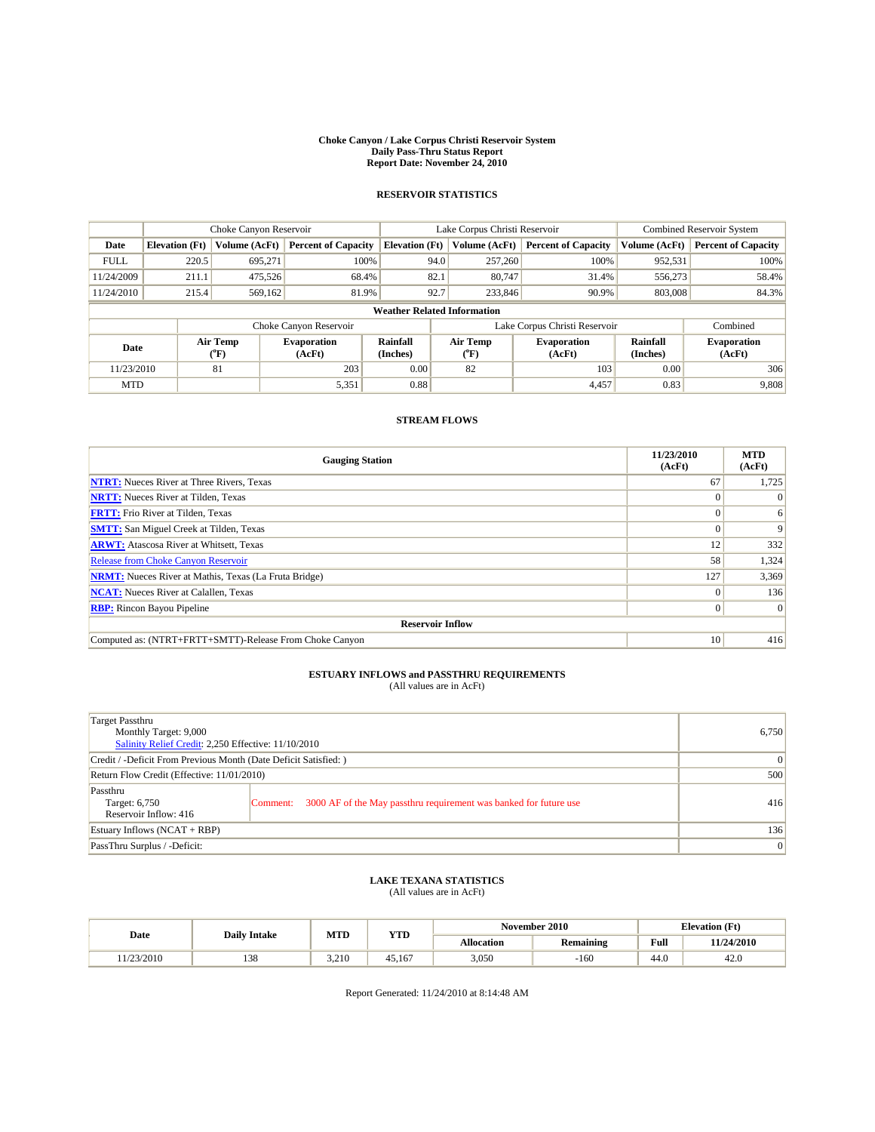#### **Choke Canyon / Lake Corpus Christi Reservoir System Daily Pass-Thru Status Report Report Date: November 24, 2010**

### **RESERVOIR STATISTICS**

|             | Choke Canyon Reservoir             |                  |                              | Lake Corpus Christi Reservoir                                                                      |                               | <b>Combined Reservoir System</b> |                              |                      |                              |         |       |
|-------------|------------------------------------|------------------|------------------------------|----------------------------------------------------------------------------------------------------|-------------------------------|----------------------------------|------------------------------|----------------------|------------------------------|---------|-------|
| Date        | <b>Elevation</b> (Ft)              | Volume (AcFt)    |                              | <b>Percent of Capacity</b><br><b>Elevation</b> (Ft)<br><b>Percent of Capacity</b><br>Volume (AcFt) |                               | Volume (AcFt)                    | <b>Percent of Capacity</b>   |                      |                              |         |       |
| <b>FULL</b> | 220.5                              | 695.271          | 100%                         |                                                                                                    | 94.0                          | 257,260                          | 100%                         | 952,531              | 100%                         |         |       |
| 11/24/2009  | 211.1                              | 475.526          | 68.4%                        |                                                                                                    | 82.1                          | 80,747                           | 31.4%                        | 556,273              | 58.4%                        |         |       |
| 11/24/2010  | 215.4                              | 569,162          | 81.9%                        |                                                                                                    | 92.7                          |                                  |                              |                      | 233,846<br>90.9%             | 803,008 | 84.3% |
|             | <b>Weather Related Information</b> |                  |                              |                                                                                                    |                               |                                  |                              |                      |                              |         |       |
|             |                                    |                  | Choke Canyon Reservoir       |                                                                                                    | Lake Corpus Christi Reservoir |                                  |                              | Combined             |                              |         |       |
| Date        |                                    | Air Temp<br>(°F) | <b>Evaporation</b><br>(AcFt) | Rainfall<br>(Inches)                                                                               |                               | Air Temp<br>("F)                 | <b>Evaporation</b><br>(AcFt) | Rainfall<br>(Inches) | <b>Evaporation</b><br>(AcFt) |         |       |
| 11/23/2010  |                                    | 81               | 203                          | 0.00                                                                                               |                               | 82                               | 103                          | 0.00                 | 306                          |         |       |
| <b>MTD</b>  |                                    |                  | 5,351                        | 0.88                                                                                               |                               |                                  | 4,457                        | 0.83                 | 9,808                        |         |       |

### **STREAM FLOWS**

| <b>Gauging Station</b>                                       | 11/23/2010<br>(AcFt) | <b>MTD</b><br>(AcFt) |
|--------------------------------------------------------------|----------------------|----------------------|
| <b>NTRT:</b> Nueces River at Three Rivers, Texas             | 67                   | 1,725                |
| <b>NRTT:</b> Nueces River at Tilden, Texas                   |                      | $\Omega$             |
| <b>FRTT:</b> Frio River at Tilden, Texas                     |                      | 6                    |
| <b>SMTT:</b> San Miguel Creek at Tilden, Texas               |                      | 9                    |
| <b>ARWT:</b> Atascosa River at Whitsett, Texas               | 12                   | 332                  |
| <b>Release from Choke Canyon Reservoir</b>                   | 58                   | 1,324                |
| <b>NRMT:</b> Nueces River at Mathis, Texas (La Fruta Bridge) | 127                  | 3,369                |
| <b>NCAT:</b> Nueces River at Calallen, Texas                 |                      | 136                  |
| <b>RBP:</b> Rincon Bayou Pipeline                            | 0                    | $\Omega$             |
| <b>Reservoir Inflow</b>                                      |                      |                      |
| Computed as: (NTRT+FRTT+SMTT)-Release From Choke Canyon      | 10                   | 416                  |

## **ESTUARY INFLOWS and PASSTHRU REQUIREMENTS**<br>(All values are in AcFt)

| Target Passthru<br>Monthly Target: 9,000<br>Salinity Relief Credit: 2,250 Effective: 11/10/2010 |                                                                               |     |  |  |  |  |
|-------------------------------------------------------------------------------------------------|-------------------------------------------------------------------------------|-----|--|--|--|--|
| Credit / -Deficit From Previous Month (Date Deficit Satisfied: )                                |                                                                               |     |  |  |  |  |
| Return Flow Credit (Effective: 11/01/2010)                                                      | 500                                                                           |     |  |  |  |  |
| Passthru<br>Target: 6,750<br>Reservoir Inflow: 416                                              | 3000 AF of the May passthru requirement was banked for future use<br>Comment: | 416 |  |  |  |  |
| Estuary Inflows $(NCAT + RBP)$                                                                  | 136                                                                           |     |  |  |  |  |
| PassThru Surplus / -Deficit:                                                                    |                                                                               |     |  |  |  |  |

# **LAKE TEXANA STATISTICS** (All values are in AcFt)

| Date       | <b>Daily Intake</b>   | MTD   | <b>YTD</b> |                   | November 2010    | <b>Elevation</b> (Ft) |            |
|------------|-----------------------|-------|------------|-------------------|------------------|-----------------------|------------|
|            |                       |       |            | <b>Allocation</b> | <b>Remaining</b> | Full                  | 11/24/2010 |
| 11/23/2010 | 0 <sup>0</sup><br>120 | 3.210 | 45.167     | 3,050             | -160             | 44.0                  | 42.6       |

Report Generated: 11/24/2010 at 8:14:48 AM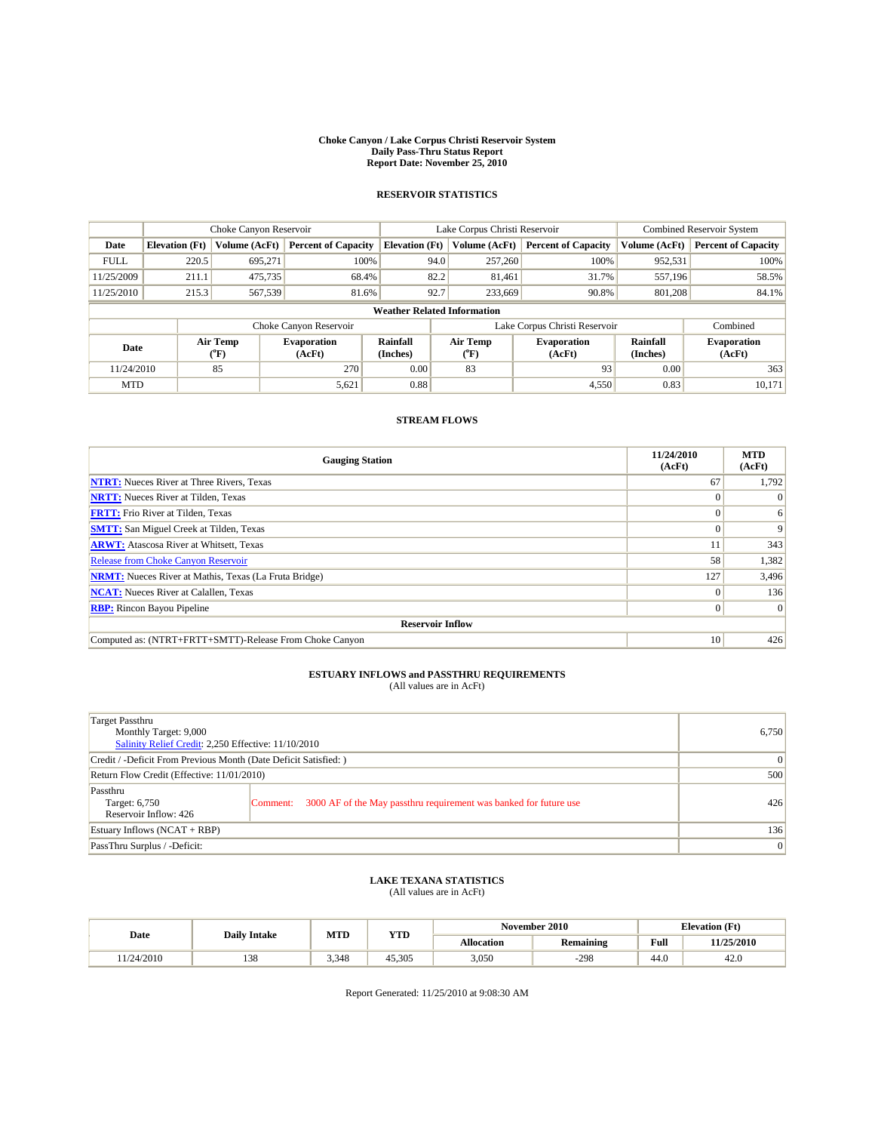#### **Choke Canyon / Lake Corpus Christi Reservoir System Daily Pass-Thru Status Report Report Date: November 25, 2010**

### **RESERVOIR STATISTICS**

|             |                                    | Choke Canyon Reservoir |                              |                       | Lake Corpus Christi Reservoir |                               | <b>Combined Reservoir System</b> |                              |  |  |
|-------------|------------------------------------|------------------------|------------------------------|-----------------------|-------------------------------|-------------------------------|----------------------------------|------------------------------|--|--|
| Date        | <b>Elevation</b> (Ft)              | Volume (AcFt)          | <b>Percent of Capacity</b>   | <b>Elevation</b> (Ft) | Volume (AcFt)                 | <b>Percent of Capacity</b>    | Volume (AcFt)                    | <b>Percent of Capacity</b>   |  |  |
| <b>FULL</b> | 220.5                              | 695.271                | 100%                         | 94.0                  | 257,260                       | 100%                          | 952,531                          | 100%                         |  |  |
| 11/25/2009  | 211.1                              | 475,735                | 68.4%                        | 82.2                  | 81.461                        | 31.7%                         | 557,196                          | 58.5%                        |  |  |
| 11/25/2010  | 215.3                              | 567,539                | 81.6%                        | 92.7                  | 233,669                       | 90.8%                         | 801,208                          | 84.1%                        |  |  |
|             | <b>Weather Related Information</b> |                        |                              |                       |                               |                               |                                  |                              |  |  |
|             |                                    |                        | Choke Canyon Reservoir       |                       |                               | Lake Corpus Christi Reservoir |                                  | Combined                     |  |  |
| Date        |                                    | Air Temp<br>(°F)       | <b>Evaporation</b><br>(AcFt) | Rainfall<br>(Inches)  | Air Temp<br>$^{\circ}$ F)     | <b>Evaporation</b><br>(AcFt)  | Rainfall<br>(Inches)             | <b>Evaporation</b><br>(AcFt) |  |  |
| 11/24/2010  |                                    | 85                     | 270                          | 0.00                  | 83                            | 93                            | 0.00                             | 363                          |  |  |
| <b>MTD</b>  |                                    |                        | 5,621                        | 0.88                  |                               | 4,550                         | 0.83                             | 10,171                       |  |  |

### **STREAM FLOWS**

| <b>Gauging Station</b>                                       | 11/24/2010<br>(AcFt) | <b>MTD</b><br>(AcFt) |  |  |  |  |  |  |  |
|--------------------------------------------------------------|----------------------|----------------------|--|--|--|--|--|--|--|
| <b>NTRT:</b> Nueces River at Three Rivers, Texas             | 67                   | 1,792                |  |  |  |  |  |  |  |
| <b>NRTT:</b> Nueces River at Tilden, Texas                   |                      | $\Omega$             |  |  |  |  |  |  |  |
| <b>FRTT:</b> Frio River at Tilden, Texas                     |                      | 6                    |  |  |  |  |  |  |  |
| <b>SMTT:</b> San Miguel Creek at Tilden, Texas               |                      | 9                    |  |  |  |  |  |  |  |
| <b>ARWT:</b> Atascosa River at Whitsett, Texas               | 11                   | 343                  |  |  |  |  |  |  |  |
| <b>Release from Choke Canyon Reservoir</b>                   | 58                   | 1,382                |  |  |  |  |  |  |  |
| <b>NRMT:</b> Nueces River at Mathis, Texas (La Fruta Bridge) | 127                  | 3,496                |  |  |  |  |  |  |  |
| <b>NCAT:</b> Nueces River at Calallen, Texas                 |                      | 136                  |  |  |  |  |  |  |  |
| <b>RBP:</b> Rincon Bayou Pipeline                            | 0                    | $\Omega$             |  |  |  |  |  |  |  |
| <b>Reservoir Inflow</b>                                      |                      |                      |  |  |  |  |  |  |  |
| Computed as: (NTRT+FRTT+SMTT)-Release From Choke Canyon      | 10                   | 426                  |  |  |  |  |  |  |  |

## **ESTUARY INFLOWS and PASSTHRU REQUIREMENTS**<br>(All values are in AcFt)

| Target Passthru<br>Monthly Target: 9,000<br>Salinity Relief Credit: 2,250 Effective: 11/10/2010 |                                                                               |                 |  |  |  |
|-------------------------------------------------------------------------------------------------|-------------------------------------------------------------------------------|-----------------|--|--|--|
| Credit / -Deficit From Previous Month (Date Deficit Satisfied: )                                |                                                                               |                 |  |  |  |
| Return Flow Credit (Effective: 11/01/2010)                                                      | 500                                                                           |                 |  |  |  |
| Passthru<br>Target: 6,750<br>Reservoir Inflow: 426                                              | 3000 AF of the May passthru requirement was banked for future use<br>Comment: | 426             |  |  |  |
| Estuary Inflows $(NCAT + RBP)$                                                                  | 136                                                                           |                 |  |  |  |
| PassThru Surplus / -Deficit:                                                                    |                                                                               | $\vert 0 \vert$ |  |  |  |

# **LAKE TEXANA STATISTICS** (All values are in AcFt)

| Date       | <b>Daily Intake</b>   | MTD   | <b>YTD</b> |                   | November 2010    | <b>Elevation</b> (Ft) |            |
|------------|-----------------------|-------|------------|-------------------|------------------|-----------------------|------------|
|            |                       |       |            | <b>Allocation</b> | <b>Remaining</b> | Full                  | 11/25/2010 |
| 11/24/2010 | 0 <sup>0</sup><br>120 | 3,348 | 45,305     | 3,050             | $-298$           | 44.0                  | 42.6       |

Report Generated: 11/25/2010 at 9:08:30 AM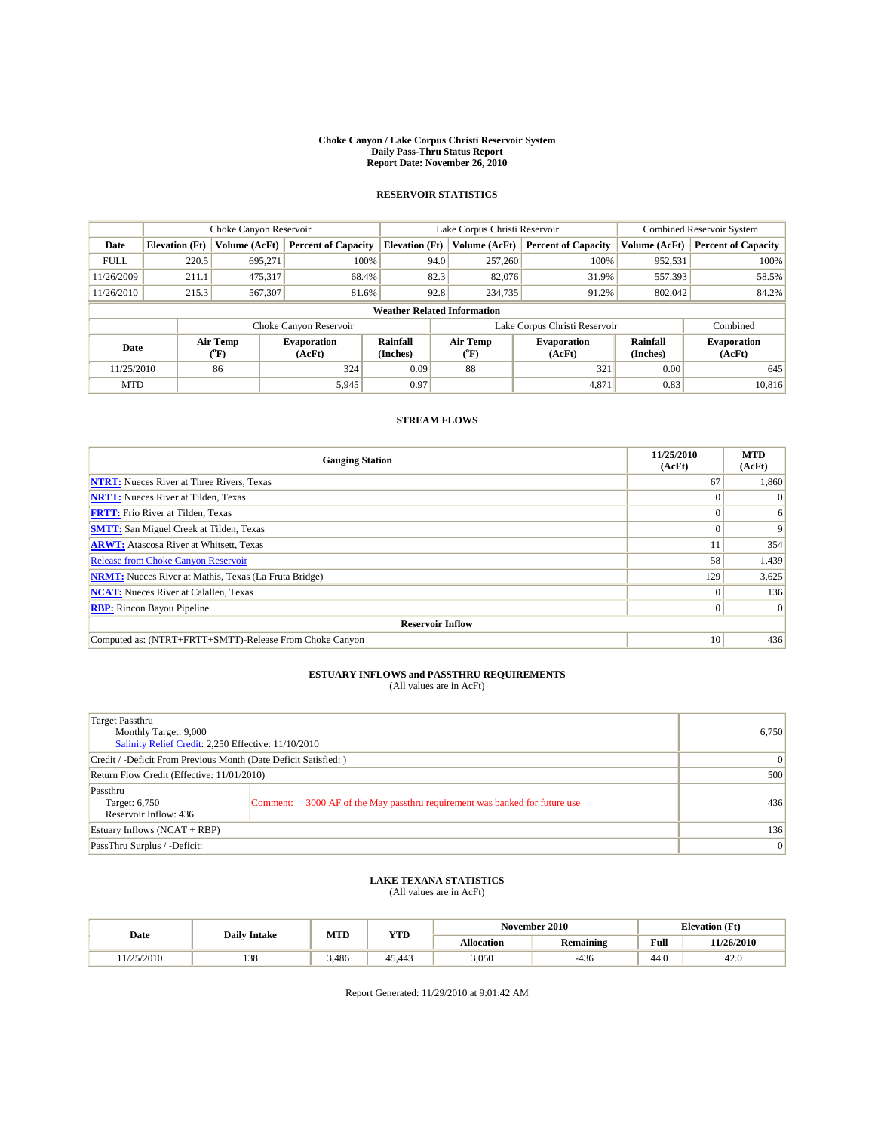#### **Choke Canyon / Lake Corpus Christi Reservoir System Daily Pass-Thru Status Report Report Date: November 26, 2010**

### **RESERVOIR STATISTICS**

|             | Choke Canyon Reservoir             |                  |                              | Lake Corpus Christi Reservoir |                               | Combined Reservoir System |                              |                      |                              |  |
|-------------|------------------------------------|------------------|------------------------------|-------------------------------|-------------------------------|---------------------------|------------------------------|----------------------|------------------------------|--|
| Date        | <b>Elevation</b> (Ft)              | Volume (AcFt)    | <b>Percent of Capacity</b>   | <b>Elevation</b> (Ft)         |                               | Volume (AcFt)             | <b>Percent of Capacity</b>   | Volume (AcFt)        | <b>Percent of Capacity</b>   |  |
| <b>FULL</b> | 220.5                              | 695,271          | 100%                         |                               | 94.0                          | 257,260                   | 100%                         | 952,531              | 100%                         |  |
| 11/26/2009  | 211.1                              | 475,317          | 68.4%                        |                               | 82.3                          | 82,076                    | 31.9%                        | 557,393<br>58.5%     |                              |  |
| 11/26/2010  | 215.3                              | 567,307          | 81.6%                        |                               | 92.8                          | 234,735                   | 91.2%                        | 802,042              | 84.2%                        |  |
|             | <b>Weather Related Information</b> |                  |                              |                               |                               |                           |                              |                      |                              |  |
|             |                                    |                  | Choke Canyon Reservoir       |                               | Lake Corpus Christi Reservoir |                           |                              |                      | Combined                     |  |
| Date        |                                    | Air Temp<br>(°F) | <b>Evaporation</b><br>(AcFt) | Rainfall<br>(Inches)          |                               | Air Temp<br>("F)          | <b>Evaporation</b><br>(AcFt) | Rainfall<br>(Inches) | <b>Evaporation</b><br>(AcFt) |  |
| 11/25/2010  |                                    | 86               | 324                          | 0.09                          |                               | 88                        | 321                          | 0.00                 | 645                          |  |
| <b>MTD</b>  |                                    |                  | 5,945                        | 0.97                          |                               |                           | 4,871                        | 0.83                 | 10,816                       |  |

### **STREAM FLOWS**

| <b>Gauging Station</b>                                       | 11/25/2010<br>(AcFt) | <b>MTD</b><br>(AcFt) |  |  |  |  |  |  |  |
|--------------------------------------------------------------|----------------------|----------------------|--|--|--|--|--|--|--|
| <b>NTRT:</b> Nueces River at Three Rivers, Texas             | 67                   | 1,860                |  |  |  |  |  |  |  |
| <b>NRTT:</b> Nueces River at Tilden, Texas                   |                      | $\Omega$             |  |  |  |  |  |  |  |
| <b>FRTT:</b> Frio River at Tilden, Texas                     |                      | 6                    |  |  |  |  |  |  |  |
| <b>SMTT:</b> San Miguel Creek at Tilden, Texas               |                      | 9                    |  |  |  |  |  |  |  |
| <b>ARWT:</b> Atascosa River at Whitsett, Texas               |                      | 354                  |  |  |  |  |  |  |  |
| <b>Release from Choke Canyon Reservoir</b>                   | 58                   | 1,439                |  |  |  |  |  |  |  |
| <b>NRMT:</b> Nueces River at Mathis, Texas (La Fruta Bridge) | 129                  | 3,625                |  |  |  |  |  |  |  |
| <b>NCAT:</b> Nueces River at Calallen, Texas                 |                      | 136                  |  |  |  |  |  |  |  |
| <b>RBP:</b> Rincon Bayou Pipeline                            |                      | $\vert$ 0            |  |  |  |  |  |  |  |
| <b>Reservoir Inflow</b>                                      |                      |                      |  |  |  |  |  |  |  |
| Computed as: (NTRT+FRTT+SMTT)-Release From Choke Canyon      | 10                   | 436                  |  |  |  |  |  |  |  |

### **ESTUARY INFLOWS and PASSTHRU REQUIREMENTS**<br>(All values are in AcFt)

| Target Passthru<br>Monthly Target: 9,000<br>Salinity Relief Credit: 2,250 Effective: 11/10/2010 |                                                                               |           |  |  |  |
|-------------------------------------------------------------------------------------------------|-------------------------------------------------------------------------------|-----------|--|--|--|
| Credit / -Deficit From Previous Month (Date Deficit Satisfied: )                                |                                                                               | $\vert$ 0 |  |  |  |
| Return Flow Credit (Effective: 11/01/2010)                                                      |                                                                               |           |  |  |  |
| Passthru<br>Target: 6,750<br>Reservoir Inflow: 436                                              | 3000 AF of the May passthru requirement was banked for future use<br>Comment: | 436       |  |  |  |
| Estuary Inflows $(NCAT + RBP)$                                                                  | 136                                                                           |           |  |  |  |
| PassThru Surplus / -Deficit:                                                                    | 0                                                                             |           |  |  |  |

# **LAKE TEXANA STATISTICS** (All values are in AcFt)

| Date     | <b>Daily Intake</b> | MTD   | YTD           |            | November 2010    |      | <b>Elevation</b> (Ft) |
|----------|---------------------|-------|---------------|------------|------------------|------|-----------------------|
|          |                     |       |               | Allocation | <b>Remaining</b> | Full | 11/26/2010            |
| /25/2010 | 138                 | 3,486 | . .<br>45.443 | 3,050      | $-436$           | 44.0 | 42.0                  |

Report Generated: 11/29/2010 at 9:01:42 AM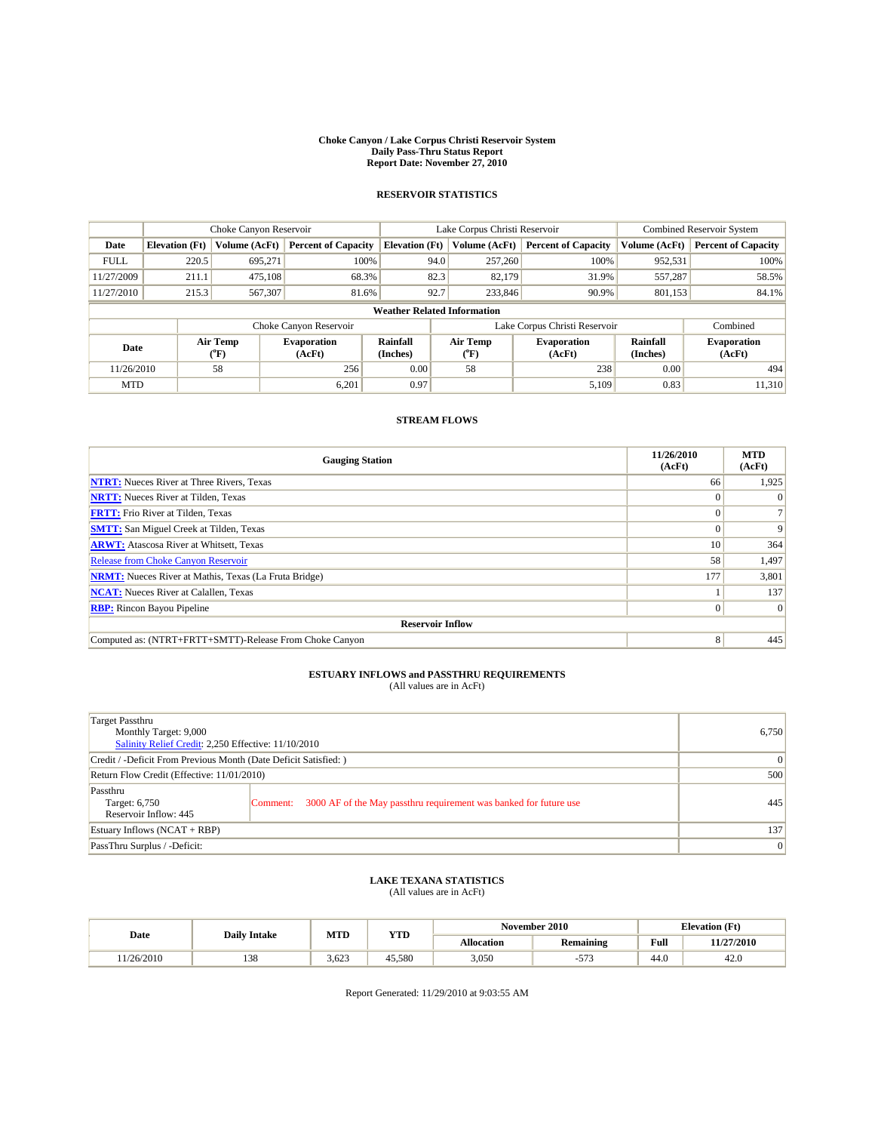#### **Choke Canyon / Lake Corpus Christi Reservoir System Daily Pass-Thru Status Report Report Date: November 27, 2010**

### **RESERVOIR STATISTICS**

|             |                                    | Choke Canyon Reservoir |                              | Lake Corpus Christi Reservoir |                           |        | <b>Combined Reservoir System</b> |                      |                              |  |  |
|-------------|------------------------------------|------------------------|------------------------------|-------------------------------|---------------------------|--------|----------------------------------|----------------------|------------------------------|--|--|
| Date        | <b>Elevation</b> (Ft)              | Volume (AcFt)          | <b>Percent of Capacity</b>   | <b>Elevation</b> (Ft)         | Volume (AcFt)             |        | <b>Percent of Capacity</b>       | Volume (AcFt)        | <b>Percent of Capacity</b>   |  |  |
| <b>FULL</b> | 220.5                              | 695.271                | 100%                         | 94.0                          | 257,260                   |        | 100%                             | 952,531              | 100%                         |  |  |
| 11/27/2009  | 211.1                              | 475.108                | 68.3%                        | 82.3                          |                           | 82.179 | 31.9%                            | 557,287              | 58.5%                        |  |  |
| 11/27/2010  | 215.3                              | 567,307                | 81.6%                        | 92.7                          | 233,846                   |        | 90.9%                            | 801,153              | 84.1%                        |  |  |
|             | <b>Weather Related Information</b> |                        |                              |                               |                           |        |                                  |                      |                              |  |  |
|             |                                    |                        | Choke Canyon Reservoir       |                               |                           |        | Lake Corpus Christi Reservoir    |                      | Combined                     |  |  |
| Date        |                                    | Air Temp<br>(°F)       | <b>Evaporation</b><br>(AcFt) | Rainfall<br>(Inches)          | Air Temp<br>$^{\circ}$ F) |        | <b>Evaporation</b><br>(AcFt)     | Rainfall<br>(Inches) | <b>Evaporation</b><br>(AcFt) |  |  |
| 11/26/2010  |                                    | 58                     | 256                          | 0.00                          | 58                        |        | 238                              | 0.00                 | 494                          |  |  |
| <b>MTD</b>  |                                    |                        | 6,201                        | 0.97                          |                           |        | 5,109                            | 0.83                 | 11,310                       |  |  |

### **STREAM FLOWS**

| <b>Gauging Station</b>                                       | 11/26/2010<br>(AcFt) | <b>MTD</b><br>(AcFt) |  |  |  |  |  |  |  |
|--------------------------------------------------------------|----------------------|----------------------|--|--|--|--|--|--|--|
| <b>NTRT:</b> Nueces River at Three Rivers, Texas             | 66                   | 1,925                |  |  |  |  |  |  |  |
| <b>NRTT:</b> Nueces River at Tilden, Texas                   |                      | $\Omega$             |  |  |  |  |  |  |  |
| <b>FRTT:</b> Frio River at Tilden, Texas                     |                      |                      |  |  |  |  |  |  |  |
| <b>SMTT:</b> San Miguel Creek at Tilden, Texas               |                      | 9                    |  |  |  |  |  |  |  |
| <b>ARWT:</b> Atascosa River at Whitsett, Texas               | 10                   | 364                  |  |  |  |  |  |  |  |
| <b>Release from Choke Canyon Reservoir</b>                   | 58                   | 1,497                |  |  |  |  |  |  |  |
| <b>NRMT:</b> Nueces River at Mathis, Texas (La Fruta Bridge) | 177                  | 3,801                |  |  |  |  |  |  |  |
| <b>NCAT:</b> Nueces River at Calallen, Texas                 |                      | 137                  |  |  |  |  |  |  |  |
| <b>RBP:</b> Rincon Bayou Pipeline                            |                      | $\Omega$             |  |  |  |  |  |  |  |
| <b>Reservoir Inflow</b>                                      |                      |                      |  |  |  |  |  |  |  |
| Computed as: (NTRT+FRTT+SMTT)-Release From Choke Canyon      | 8                    | 445                  |  |  |  |  |  |  |  |

## **ESTUARY INFLOWS and PASSTHRU REQUIREMENTS**<br>(All values are in AcFt)

| Target Passthru<br>Monthly Target: 9,000<br>Salinity Relief Credit: 2,250 Effective: 11/10/2010 |                                                                               |                 |  |  |  |
|-------------------------------------------------------------------------------------------------|-------------------------------------------------------------------------------|-----------------|--|--|--|
| Credit / -Deficit From Previous Month (Date Deficit Satisfied: )                                |                                                                               | 0               |  |  |  |
| Return Flow Credit (Effective: 11/01/2010)                                                      | 500                                                                           |                 |  |  |  |
| Passthru<br>Target: 6,750<br>Reservoir Inflow: 445                                              | 3000 AF of the May passthru requirement was banked for future use<br>Comment: | 445             |  |  |  |
| Estuary Inflows $(NCAT + RBP)$                                                                  | 137                                                                           |                 |  |  |  |
| PassThru Surplus / -Deficit:                                                                    |                                                                               | $\vert 0 \vert$ |  |  |  |

# **LAKE TEXANA STATISTICS** (All values are in AcFt)

| Date       | <b>Daily Intake</b>   | MTD   | <b>YTD</b> |                   | November 2010   |      | <b>Elevation</b> (Ft) |
|------------|-----------------------|-------|------------|-------------------|-----------------|------|-----------------------|
|            |                       |       |            | <b>Allocation</b> | Remaining       | Full | 11/27/2010            |
| 11/26/2010 | 0 <sup>0</sup><br>156 | 3,623 | 45.580     | 3,050             | $- - -$<br>-212 | 44.0 | 42.6                  |

Report Generated: 11/29/2010 at 9:03:55 AM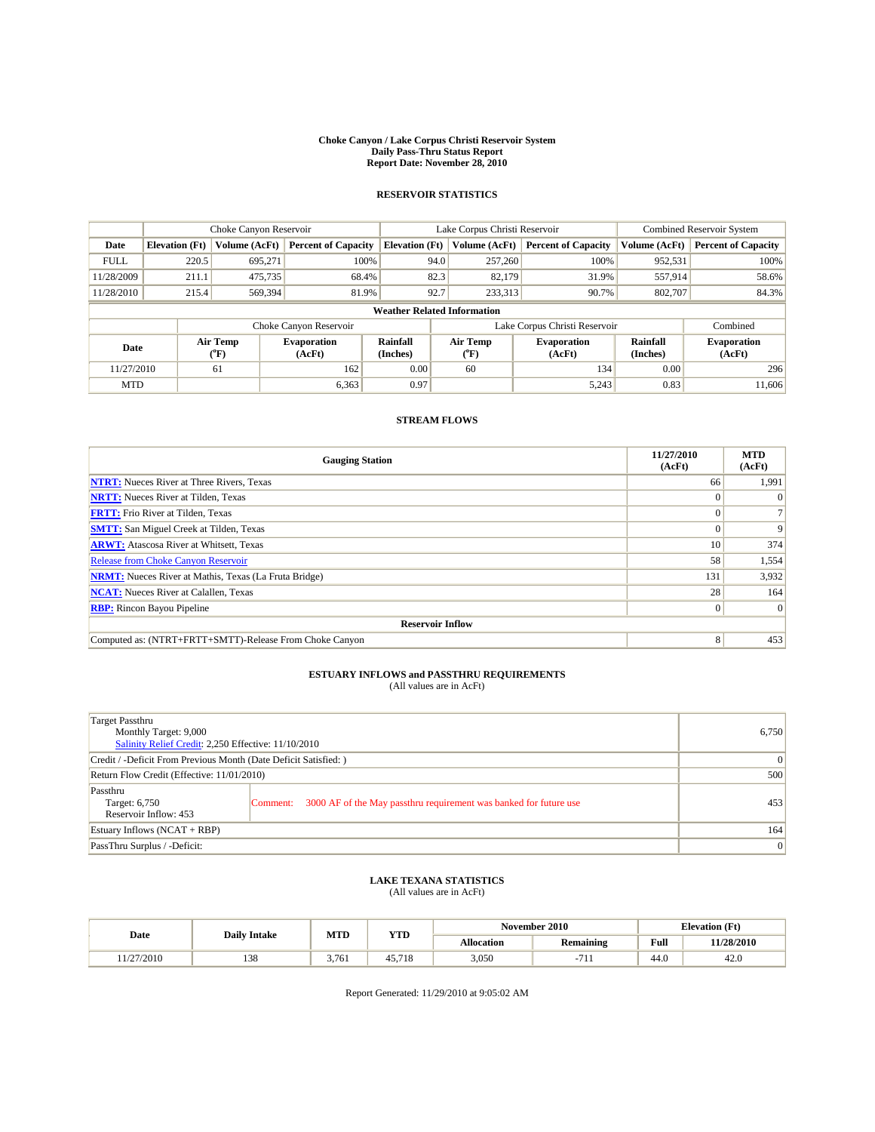#### **Choke Canyon / Lake Corpus Christi Reservoir System Daily Pass-Thru Status Report Report Date: November 28, 2010**

### **RESERVOIR STATISTICS**

|             | Choke Canyon Reservoir             |                  |                              | Lake Corpus Christi Reservoir |      | <b>Combined Reservoir System</b> |                               |                      |                              |  |  |
|-------------|------------------------------------|------------------|------------------------------|-------------------------------|------|----------------------------------|-------------------------------|----------------------|------------------------------|--|--|
| Date        | <b>Elevation</b> (Ft)              | Volume (AcFt)    | <b>Percent of Capacity</b>   | <b>Elevation</b> (Ft)         |      | Volume (AcFt)                    | <b>Percent of Capacity</b>    | Volume (AcFt)        | <b>Percent of Capacity</b>   |  |  |
| <b>FULL</b> | 220.5                              | 695.271          | 100%                         |                               | 94.0 | 257,260                          | 100%                          | 952,531              | 100%                         |  |  |
| 11/28/2009  | 211.1                              | 475,735          | 68.4%                        |                               | 82.3 | 82.179                           | 31.9%                         | 557,914              | 58.6%                        |  |  |
| 11/28/2010  | 215.4                              | 569,394          | 81.9%                        |                               | 92.7 | 233,313                          | 90.7%                         | 802,707              | 84.3%                        |  |  |
|             | <b>Weather Related Information</b> |                  |                              |                               |      |                                  |                               |                      |                              |  |  |
|             |                                    |                  | Choke Canyon Reservoir       |                               |      |                                  | Lake Corpus Christi Reservoir |                      | Combined                     |  |  |
| Date        |                                    | Air Temp<br>(°F) | <b>Evaporation</b><br>(AcFt) | Rainfall<br>(Inches)          |      | Air Temp<br>("F)                 | <b>Evaporation</b><br>(AcFt)  | Rainfall<br>(Inches) | <b>Evaporation</b><br>(AcFt) |  |  |
| 11/27/2010  |                                    | 61               | 162                          | 0.00                          |      | 60                               | 134                           | 0.00                 | 296                          |  |  |
| <b>MTD</b>  |                                    |                  | 6,363                        | 0.97                          |      |                                  | 5,243                         | 0.83                 | 11,606                       |  |  |

### **STREAM FLOWS**

| <b>Gauging Station</b>                                       | 11/27/2010<br>(AcFt) | <b>MTD</b><br>(AcFt) |  |  |  |  |  |  |  |
|--------------------------------------------------------------|----------------------|----------------------|--|--|--|--|--|--|--|
| <b>NTRT:</b> Nueces River at Three Rivers, Texas             | 66                   | 1,991                |  |  |  |  |  |  |  |
| <b>NRTT:</b> Nueces River at Tilden, Texas                   |                      | $\Omega$             |  |  |  |  |  |  |  |
| <b>FRTT:</b> Frio River at Tilden, Texas                     |                      |                      |  |  |  |  |  |  |  |
| <b>SMTT:</b> San Miguel Creek at Tilden, Texas               |                      | 9                    |  |  |  |  |  |  |  |
| <b>ARWT:</b> Atascosa River at Whitsett, Texas               | 10                   | 374                  |  |  |  |  |  |  |  |
| <b>Release from Choke Canyon Reservoir</b>                   | 58                   | 1,554                |  |  |  |  |  |  |  |
| <b>NRMT:</b> Nueces River at Mathis, Texas (La Fruta Bridge) | 131                  | 3,932                |  |  |  |  |  |  |  |
| <b>NCAT:</b> Nueces River at Calallen, Texas                 | 28                   | 164                  |  |  |  |  |  |  |  |
| <b>RBP:</b> Rincon Bayou Pipeline                            | $\Omega$             | $\Omega$             |  |  |  |  |  |  |  |
| <b>Reservoir Inflow</b>                                      |                      |                      |  |  |  |  |  |  |  |
| Computed as: (NTRT+FRTT+SMTT)-Release From Choke Canyon      | 8                    | 453                  |  |  |  |  |  |  |  |

### **ESTUARY INFLOWS and PASSTHRU REQUIREMENTS**<br>(All values are in AcFt)

| Target Passthru<br>Monthly Target: 9,000<br>Salinity Relief Credit: 2,250 Effective: 11/10/2010 |                                                                               |     |  |  |  |  |
|-------------------------------------------------------------------------------------------------|-------------------------------------------------------------------------------|-----|--|--|--|--|
|                                                                                                 | Credit / -Deficit From Previous Month (Date Deficit Satisfied: )              |     |  |  |  |  |
| Return Flow Credit (Effective: 11/01/2010)                                                      |                                                                               |     |  |  |  |  |
| Passthru<br>Target: 6,750<br>Reservoir Inflow: 453                                              | 3000 AF of the May passthru requirement was banked for future use<br>Comment: | 453 |  |  |  |  |
| Estuary Inflows $(NCAT + RBP)$                                                                  | 164                                                                           |     |  |  |  |  |
| PassThru Surplus / -Deficit:                                                                    | 0                                                                             |     |  |  |  |  |

# **LAKE TEXANA STATISTICS** (All values are in AcFt)

| Date      | <b>Daily Intake</b> | MTD   | YTD    |                   | November 2010        |      | <b>Elevation</b> (Ft) |
|-----------|---------------------|-------|--------|-------------------|----------------------|------|-----------------------|
|           |                     |       |        | <b>Allocation</b> | <b>Remaining</b>     | Full | 11/28/2010            |
| 1/27/2010 | 138                 | 3,761 | 45.718 | 3,050             | $\sim$<br>۰<br>1.1.1 | 44.0 | 42.0                  |

Report Generated: 11/29/2010 at 9:05:02 AM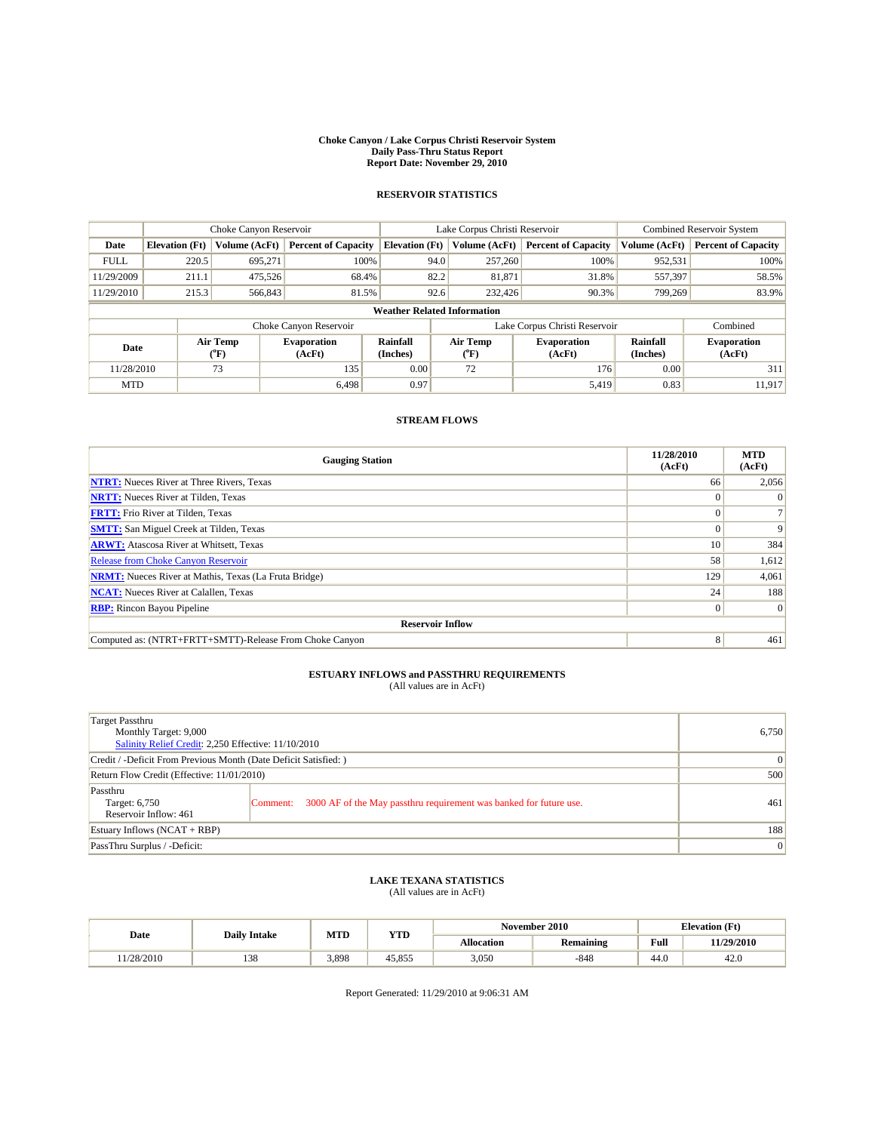#### **Choke Canyon / Lake Corpus Christi Reservoir System Daily Pass-Thru Status Report Report Date: November 29, 2010**

### **RESERVOIR STATISTICS**

|             | Choke Canyon Reservoir             |                  |                              | Lake Corpus Christi Reservoir                                        |      | Combined Reservoir System |                               |                      |                              |  |  |
|-------------|------------------------------------|------------------|------------------------------|----------------------------------------------------------------------|------|---------------------------|-------------------------------|----------------------|------------------------------|--|--|
| Date        | <b>Elevation</b> (Ft)              | Volume (AcFt)    | <b>Percent of Capacity</b>   | <b>Percent of Capacity</b><br><b>Elevation</b> (Ft)<br>Volume (AcFt) |      | Volume (AcFt)             | <b>Percent of Capacity</b>    |                      |                              |  |  |
| <b>FULL</b> | 220.5                              | 695.271          | 100%                         |                                                                      | 94.0 | 257,260                   | 100%                          | 952,531              | 100%                         |  |  |
| 11/29/2009  | 211.1                              | 475,526          | 68.4%                        |                                                                      | 82.2 | 81,871                    | 31.8%                         | 557,397              | 58.5%                        |  |  |
| 11/29/2010  | 215.3                              | 566,843          | 81.5%                        |                                                                      | 92.6 |                           | 232,426<br>90.3%              | 799,269              | 83.9%                        |  |  |
|             | <b>Weather Related Information</b> |                  |                              |                                                                      |      |                           |                               |                      |                              |  |  |
|             |                                    |                  | Choke Canyon Reservoir       |                                                                      |      |                           | Lake Corpus Christi Reservoir |                      | Combined                     |  |  |
| Date        |                                    | Air Temp<br>(°F) | <b>Evaporation</b><br>(AcFt) | Rainfall<br>(Inches)                                                 |      | Air Temp<br>("F)          | <b>Evaporation</b><br>(AcFt)  | Rainfall<br>(Inches) | <b>Evaporation</b><br>(AcFt) |  |  |
| 11/28/2010  |                                    | 73               | 135                          | 0.00                                                                 |      | 72                        | 176                           | 0.00                 | 311                          |  |  |
| <b>MTD</b>  |                                    |                  | 6,498                        | 0.97                                                                 |      |                           | 5,419                         | 0.83                 | 11,917                       |  |  |

### **STREAM FLOWS**

| <b>Gauging Station</b>                                       | 11/28/2010<br>(AcFt) | <b>MTD</b><br>(AcFt) |  |  |  |  |  |  |
|--------------------------------------------------------------|----------------------|----------------------|--|--|--|--|--|--|
| <b>NTRT:</b> Nueces River at Three Rivers, Texas             | 66                   | 2,056                |  |  |  |  |  |  |
| <b>NRTT:</b> Nueces River at Tilden, Texas                   |                      | $\Omega$             |  |  |  |  |  |  |
| <b>FRTT:</b> Frio River at Tilden, Texas                     |                      |                      |  |  |  |  |  |  |
| <b>SMTT:</b> San Miguel Creek at Tilden, Texas               |                      | 9                    |  |  |  |  |  |  |
| <b>ARWT:</b> Atascosa River at Whitsett, Texas               | 10                   | 384                  |  |  |  |  |  |  |
| <b>Release from Choke Canyon Reservoir</b>                   | 58                   | 1,612                |  |  |  |  |  |  |
| <b>NRMT:</b> Nueces River at Mathis, Texas (La Fruta Bridge) | 129                  | 4,061                |  |  |  |  |  |  |
| <b>NCAT:</b> Nueces River at Calallen, Texas                 | 24                   | 188                  |  |  |  |  |  |  |
| <b>RBP:</b> Rincon Bayou Pipeline                            | $\Omega$             | $\Omega$             |  |  |  |  |  |  |
| <b>Reservoir Inflow</b>                                      |                      |                      |  |  |  |  |  |  |
| Computed as: (NTRT+FRTT+SMTT)-Release From Choke Canyon      | 8                    | 461                  |  |  |  |  |  |  |

## **ESTUARY INFLOWS and PASSTHRU REQUIREMENTS**<br>(All values are in AcFt)

| Target Passthru<br>Monthly Target: 9,000<br>Salinity Relief Credit: 2,250 Effective: 11/10/2010 | 6.750                                                                          |     |
|-------------------------------------------------------------------------------------------------|--------------------------------------------------------------------------------|-----|
| Credit / -Deficit From Previous Month (Date Deficit Satisfied: )                                | 0                                                                              |     |
| Return Flow Credit (Effective: 11/01/2010)                                                      | 500                                                                            |     |
| Passthru<br>Target: 6,750<br>Reservoir Inflow: 461                                              | 3000 AF of the May passthru requirement was banked for future use.<br>Comment: | 461 |
| Estuary Inflows $(NCAT + RBP)$                                                                  | 188                                                                            |     |
| PassThru Surplus / -Deficit:                                                                    | $\vert 0 \vert$                                                                |     |

# **LAKE TEXANA STATISTICS** (All values are in AcFt)

| Date       | <b>Daily Intake</b>   | MTD   | <b>YTD</b> | November 2010     |                  | <b>Elevation</b> (Ft) |            |
|------------|-----------------------|-------|------------|-------------------|------------------|-----------------------|------------|
|            |                       |       |            | <b>Allocation</b> | <b>Remaining</b> | Full                  | 11/29/2010 |
| 11/28/2010 | 0 <sup>0</sup><br>156 | 3,898 | 45.855     | 3,050             | $-848$           | 44.0                  | 42.6       |

Report Generated: 11/29/2010 at 9:06:31 AM